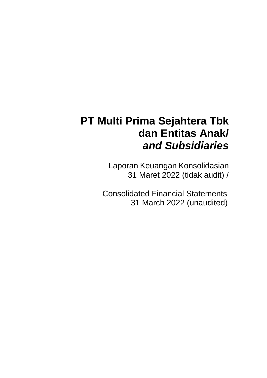# **PT Multi Prima Sejahtera Tbk dan Entitas Anak/**  *and Subsidiaries*

Laporan Keuangan Konsolidasian 31 Maret 2022 (tidak audit) /

Consolidated Financial Statements 31 March 2022 (unaudited)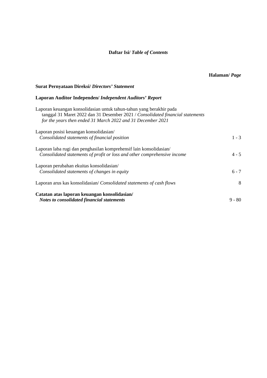### **Daftar Isi/** *Table of Contents*

### **Surat Pernyataan Direksi/** *Directors' Statement*

### **Laporan Auditor Independen/** *Independent Auditors' Report*

| Laporan keuangan konsolidasian untuk tahun-tahun yang berakhir pada<br>tanggal 31 Maret 2022 dan 31 Desember 2021 / Consolidated financial statements<br>for the years then ended 31 March 2022 and 31 December 2021 |          |
|----------------------------------------------------------------------------------------------------------------------------------------------------------------------------------------------------------------------|----------|
| Laporan posisi keuangan konsolidasian/                                                                                                                                                                               |          |
| Consolidated statements of financial position                                                                                                                                                                        | $1 - 3$  |
| Laporan laba rugi dan penghasilan komprehensif lain konsolidasian/                                                                                                                                                   |          |
| Consolidated statements of profit or loss and other comprehensive income                                                                                                                                             | $4 - 5$  |
| Laporan perubahan ekuitas konsolidasian/                                                                                                                                                                             |          |
| Consolidated statements of changes in equity                                                                                                                                                                         | $6 - 7$  |
| Laporan arus kas konsolidasian/Consolidated statements of cash flows                                                                                                                                                 | 8        |
| Catatan atas laporan keuangan konsolidasian/<br><b>Notes to consolidated financial statements</b>                                                                                                                    | $9 - 80$ |
|                                                                                                                                                                                                                      |          |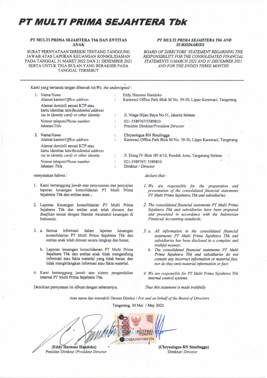## **PT MULTI PRIMA SEJAHTERA Tbk**

#### PT MULTI PRIMA SEJAHTERA Tbk DAN ENTITAS **ANAK**

SURAT PERNYATAAN DIREKSI TENTANG TANGGUNG JAWAB ATAS LAPORAN KEUANGAN KONSOLIDASIAN PADA TANGGAL 31 MARET 2022 DAN 31 DESEMBER 2021 SERTA UNTUK TIGA BULAN YANG BERAKHIR PADA **TANGGAL TERSEBUT** 

#### PT MULTI PRIMA SEJAHTERA Tbk AND **SUBSIDIARIES**

**BOARD OF DIRECTORS' STATEMENT REGARDING THE** RESPONSIBILITY FOR THE CONSOLIDATED FINANCIAL STATEMENTS 31MARCH 2022 AND 31 DECEMBER 2021 AND FOR THE ENDED THREE MONTHS

Kami yang bertanda tangan dibawah ini/We, the undersigned:

|    | 1. Nama/Name                                                                                                           |                      | Eddy Harsono Handoko                                             |
|----|------------------------------------------------------------------------------------------------------------------------|----------------------|------------------------------------------------------------------|
|    | Alamat kantor/Office address                                                                                           |                      | Karawaci Office Park Blok M No. 39-50, Lippo Karawaci, Tangerang |
|    | Alamat domisili sesuai KTP atau<br>kartu identitas lain/Residential address<br>(as in identity card) or other identity |                      | Jl. Niaga Hijau Raya No.51, Jakarta Selatan                      |
|    | Nomor telepon/Phone number                                                                                             |                      | 021-5589767/5589810                                              |
|    | Jabatan/Title                                                                                                          |                      | Presiden Direktur/President Director                             |
| 2. | Nama/Name                                                                                                              | $\ddot{\phantom{1}}$ | Chrysologus RN Sinulingga                                        |
|    | Alamat kantor/Office address                                                                                           |                      | Karawaci Office Park Blok M No. 39-50, Lippo Karawaci, Tangerang |
|    | Alamat domisili sesuai KTP atau<br>kartu identitas lain/Residential address                                            |                      |                                                                  |
|    | (as in identity card) or other identity                                                                                |                      | J. Elang IV Blok HF 6/10, Pondok Aren, Tangerang Selatan         |
|    | Nomor telepon/Phone number                                                                                             |                      | 021-5589767/5589810                                              |
|    | Jabatan/Title                                                                                                          | ٠                    | Direktur / Director                                              |
|    | menyatakan hahwa '                                                                                                     |                      | $d$ <i>anlarg</i> that.                                          |

- 1. Kami bertanggung jawab atas penyusunan dan penyajian laporan keuangan konsolidasian PT Multi Prima Sejahtera Tbk dan entitas anak;
- 2. Laporan Keuangan konsolidasian PT Multi Prima Sejahtera Tbk dan entitas anak telah disusun dan disajikan sesuai dengan Standar Akuntansi keuangan di Indonesia.
- 3. a. Semua informasi dalam laporan keuangan konsolidasian PT Multi Prima Sejahtera Tbk dan entitas anak telah dimuat secara lengkap dan benar,
	- b. Laporan keuangan konsolidasian PT Multi Prima Sejahtera Tbk dan entitas anak tidak mengandung informasi atau fakta material yang tidak benar, dan tidak menghilangkan informasi atau fakta material.
- 4. Kami bertanggung jawab atas sistem pengendalian internal PT Multi Prima Sejahtera Tbk.

Demikian pernyataan ini dibuat dengan sebenarnya.

- 
- 1. We are responsible for the preparation and presentation of the consolidated financial statements PT Multi Prima Sejahtera Tbk and subsidiaries;
- 2. The consolidated financial statements PT Multi Prima Sejahtera Tbk and subsidiaries have been prepared and presented in accordance with the Indonesian Financial Accounting standards;
- 3. a. All information in the consolidated financial statements PT Multi Prima Sejahtera Tbk and subsidiaries has been disclosed in a complete and truthful manner;
	- b. The consolidated financial statements PT Multi Prima Sejahtera Tbk and subsidiaries do not contain any incorrect information or material fact, nor do they omit material information or fact;
- 4. We are responsible for PT Multi Prima Sejahtera Tbk internal control systems.

Thus this statement is made truthfully

Atas nama dan mewakili Dewan Direksi / For and on behalf of the Board of Directors

Tangerang, 30 Mei / May 2022



Presiden Direktur /President Director

(Chrysologus RN Sinulingga) Direktur/ Director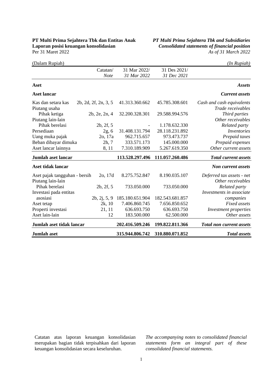### **PT Multi Prima Sejahtera Tbk dan Entitas Anak** *PT Multi Prima Sejahtera Tbk and Subsidiaries* **Laporan posisi keuangan konsolidasian** *Consolidated statements of financial position*<br>Per 31 Maret 2022 *As of 31 March* 2022

Per 31 Maret 2022 *As of 31 March 2022* 

| (Dalam Rupiah)                |                      |                 |                 | (In Rupiah)                     |
|-------------------------------|----------------------|-----------------|-----------------|---------------------------------|
|                               | Catatan/             | 31 Mar 2022/    | 31 Des 2021/    |                                 |
|                               | <b>Note</b>          | 31 Mar 2022     | 31 Dec 2021     |                                 |
| Aset                          |                      |                 |                 | <b>Assets</b>                   |
| <b>Aset lancar</b>            |                      |                 |                 | <b>Current assets</b>           |
| Kas dan setara kas            | 2b, 2d, 2f, 2n, 3, 5 | 41.313.360.662  | 45.785.308.601  | Cash and cash equivalents       |
| Piutang usaha                 |                      |                 |                 | Trade receivables               |
| Pihak ketiga                  | 2b, 2e, 2n, 4        | 32.200.328.301  | 29.588.994.576  | Third parties                   |
| Piutang lain-lain             |                      |                 |                 | Other receivables               |
| Pihak berelasi                | 2b, 2f, 5            |                 | 1.178.632.330   | Related party                   |
| Persediaan                    | 2g, 6                | 31.408.131.794  | 28.118.231.892  | Inventories                     |
| Uang muka pajak               | 2o, 17a              | 962.715.657     | 973.473.737     | Prepaid taxes                   |
| Beban dibayar dimuka          | 2h, 7                | 333.571.173     | 145.000.000     | Prepaid expenses                |
| Aset lancar lainnya           | 8, 11                | 7.310.189.909   | 5.267.619.350   | Other current assets            |
| Jumlah aset lancar            |                      | 113.528.297.496 | 111.057.260.486 | <b>Total current assets</b>     |
| <b>Aset tidak lancar</b>      |                      |                 |                 | <b>Non current assets</b>       |
| Aset pajak tangguhan - bersih | 2o, 17d              | 8.275.752.847   | 8.190.035.107   | Deferred tax assets - net       |
| Piutang lain-lain             |                      |                 |                 | Other receivables               |
| Pihak berelasi                | 2b, 2f, 5            | 733.050.000     | 733.050.000     | Related party                   |
| Investasi pada entitas        |                      |                 |                 | Investments in associate        |
| asosiasi                      | 2b, 2j, 5, 9         | 185.180.651.904 | 182.543.681.857 | companies                       |
| Aset tetap                    | 2k, 10               | 7.406.860.745   | 7.656.850.652   | <b>Fixed</b> assets             |
| Properti investasi            | 21, 11               | 636.693.750     | 636.693.750     | <b>Investment</b> properties    |
| Aset lain-lain                | 12                   | 183.500.000     | 62.500.000      | Other assets                    |
| Jumlah aset tidak lancar      |                      | 202.416.509.246 | 199.822.811.366 | <b>Total non current assets</b> |
| Jumlah aset                   |                      | 315.944.806.742 | 310.880.071.852 | <b>Total</b> assets             |

Catatan atas laporan keuangan konsolidasian merupakan bagian tidak terpisahkan dari laporan keuangan konsolidasian secara keseluruhan.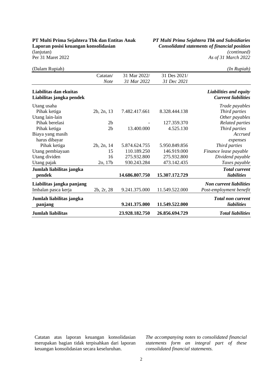# **Laporan posisi keuangan konsolidasian** *Consolidated statements of financial position*

**PT Multi Prima Sejahtera Tbk dan Entitas Anak** *PT Multi Prima Sejahtera Tbk and Subsidiaries* (lanjutan) *(continued)* Per 31 Maret 2022 *As of 31 March 2022* 

| <b>Jumlah liabilitas</b>                           |                | 23.928.182.750 | 26.856.694.729 | <b>Total liabilities</b>                                  |
|----------------------------------------------------|----------------|----------------|----------------|-----------------------------------------------------------|
| Jumlah liabilitas jangka<br>panjang                |                | 9.241.375.000  | 11.549.522.000 | <b>Total non current</b><br>liabilities                   |
| Liabilitas jangka panjang<br>Imbalan pasca kerja   | 2b, 2r, 28     | 9.241.375.000  | 11.549.522.000 | <b>Non current liabilities</b><br>Post-employment benefit |
| Jumlah liabilitas jangka<br>pendek                 |                | 14.686.807.750 | 15.307.172.729 | <b>Total current</b><br>liabilities                       |
| Utang pajak                                        | 2o, 17b        | 930.243.284    | 473.142.435    | Taxes payable                                             |
| Utang dividen                                      | 16             | 275.932.800    | 275.932.800    | Dividend payable                                          |
| Utang pembiayaan                                   | 15             | 110.189.250    | 146.919.000    | Finance lease payable                                     |
| Pihak ketiga                                       | 2b, 2n, 14     | 5.874.624.755  | 5.950.849.856  | Third parties                                             |
| Biaya yang masih<br>harus dibayar                  |                |                |                | Accrued<br>expenses                                       |
| Pihak ketiga                                       | 2 <sub>b</sub> | 13.400.000     | 4.525.130      | Third parties                                             |
| Utang lain-lain<br>Pihak berelasi                  | 2 <sub>b</sub> |                | 127.359.370    | Other payables<br><b>Related parties</b>                  |
| Utang usaha<br>Pihak ketiga                        | 2b, 2n, 13     | 7.482.417.661  | 8.328.444.138  | Trade payables<br>Third parties                           |
| Liabilitas dan ekuitas<br>Liabilitas jangka pendek |                |                |                | Liabilities and equity<br><b>Current liabilities</b>      |
|                                                    | <b>Note</b>    | 31 Mar 2022    | 31 Dec 2021    |                                                           |
|                                                    | Catatan/       | 31 Mar 2022/   | 31 Des 2021/   |                                                           |
| (Dalam Rupiah)                                     |                |                |                | (In Rupiah)                                               |

Catatan atas laporan keuangan konsolidasian merupakan bagian tidak terpisahkan dari laporan keuangan konsolidasian secara keseluruhan.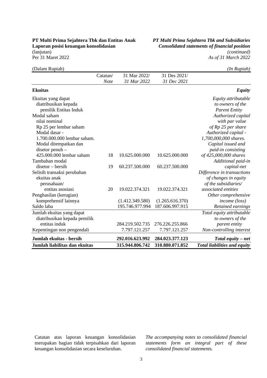# **Laporan posisi keuangan konsolidasian** *Consolidated statements of financial position*

**PT Multi Prima Sejahtera Tbk dan Entitas Anak** *PT Multi Prima Sejahtera Tbk and Subsidiaries* (lanjutan) *(continued)* Per 31 Maret 2022 *As of 31 March 2022* 

| (Dalam Rupiah)                |          |                 |                 | (In Rupiah)                         |
|-------------------------------|----------|-----------------|-----------------|-------------------------------------|
|                               | Catatan/ | 31 Mar 2022/    | 31 Des 2021/    |                                     |
|                               | Note     | 31 Mar 2022     | 31 Dec 2021     |                                     |
| <b>Ekuitas</b>                |          |                 |                 | <b>Equity</b>                       |
| Ekuitas yang dapat            |          |                 |                 | Equity attributable                 |
| diatribusikan kepada          |          |                 |                 | to owners of the                    |
| pemilik Entitas Induk         |          |                 |                 | <b>Parent Entity</b>                |
| Modal saham                   |          |                 |                 | Authorized capital                  |
| nilai nominal                 |          |                 |                 | with par value                      |
| Rp 25 per lembar saham        |          |                 |                 | of Rp 25 per share                  |
| Modal dasar -                 |          |                 |                 | Authorized capital -                |
| 1.700.000.000 lembar saham.   |          |                 |                 | 1,700,000,000 shares.               |
| Modal ditempatkan dan         |          |                 |                 | Capital issued and                  |
| $disetor$ penuh $-$           |          |                 |                 | paid-in consisting                  |
| 425.000.000 lembar saham      | 18       | 10.625.000.000  | 10.625.000.000  | of 425,000,000 shares               |
| Tambahan modal                |          |                 |                 | Additional paid-in                  |
| $disetor - bersih$            | 19       | 60.237.500.000  | 60.237.500.000  | capital-net                         |
| Selisih transaksi perubahan   |          |                 |                 | Difference in transactions          |
| ekuitas anak                  |          |                 |                 | of changes in equity                |
| perusahaan/                   |          |                 |                 | of the subsidiaries/                |
| entitas asosiasi              | 20       | 19.022.374.321  | 19.022.374.321  | associated entities                 |
| Penghasilan (kerugian)        |          |                 |                 | Other comprehensive                 |
| komprehensif lainnya          |          | (1.412.349.580) | (1.265.616.370) | <i>income</i> (loss)                |
| Saldo laba                    |          | 195.746.977.994 | 187.606.997.915 | Retained earnings                   |
| Jumlah ekuitas yang dapat     |          |                 |                 | Total equity attributable           |
| diatribusikan kepada pemilik  |          |                 |                 | to owners of the                    |
| entitas induk                 |          | 284.219.502.735 | 276.226.255.866 | parent entity                       |
| Kepentingan non pengendali    |          | 7.797.121.257   | 7.797.121.257   | Non-controlling interest            |
| Jumlah ekuitas - bersih       |          | 292.016.623.992 | 284.023.377.123 | Total equity – net                  |
| Jumlah liabilitas dan ekuitas |          | 315.944.806.742 | 310.880.071.852 | <b>Total liabilities and equity</b> |

Catatan atas laporan keuangan konsolidasian merupakan bagian tidak terpisahkan dari laporan keuangan konsolidasian secara keseluruhan.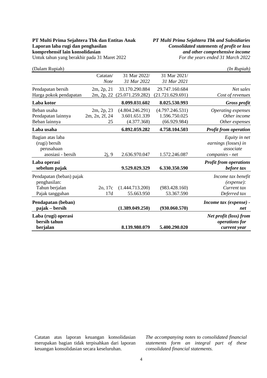### **PT Multi Prima Sejahtera Tbk dan Entitas Anak** *PT Multi Prima Sejahtera Tbk and Subsidiaries* **Laporan laba rugi dan penghasilan** *Consolidated statements of profit or loss* **<br>
<b>***Consolidated statements of profit or loss*<br> *and other comprehensive income* Untuk tahun yang berakhir pada 31 Maret 2022

**komprehensif lain konsolidasian**<br>
Untuk tahun yang berakhir pada 31 Maret 2022<br> *For the years ended 31 March* 2022

| (Dalam Rupiah)                                                                |                                    |                                                 |                                                  | (In Rupiah)                                                           |
|-------------------------------------------------------------------------------|------------------------------------|-------------------------------------------------|--------------------------------------------------|-----------------------------------------------------------------------|
|                                                                               | Catatan/<br><b>Note</b>            | 31 Mar 2022/<br>31 Mar 2022                     | 31 Mar 2021/<br>31 Mar 2021                      |                                                                       |
| Pendapatan bersih<br>Harga pokok pendapatan                                   | 2m, 2p, 21<br>2m, 2p, 22           | 33.170.290.884<br>(25.071.259.282)              | 29.747.160.684<br>(21.721.629.691)               | Net sales<br>Cost of revenues                                         |
| Laba kotor                                                                    |                                    | 8.099.031.602                                   | 8.025.530.993                                    | Gross profit                                                          |
| Beban usaha<br>Pendapatan lainnya<br>Beban lainnya                            | 2m, 2p, 23<br>2m, 2n, 2f, 24<br>25 | (4.804.246.291)<br>3.601.651.339<br>(4.377.368) | (4.797.246.531)<br>1.596.750.025<br>(66.929.984) | Operating expenses<br>Other income<br>Other expenses                  |
| Laba usaha                                                                    |                                    | 6.892.059.282                                   | 4.758.104.503                                    | <b>Profit from operation</b>                                          |
| Bagian atas laba<br>(rugi) bersih<br>perusahaan<br>asosiasi - bersih          | 2j, 9                              | 2.636.970.047                                   | 1.572.246.087                                    | Equity in net<br>earnings (losses) in<br>associate<br>companies - net |
| Laba operasi<br>sebelum pajak                                                 |                                    | 9.529.029.329                                   | 6.330.350.590                                    | <b>Profit from operations</b><br>before tax                           |
| Pendapatan (beban) pajak<br>penghasilan:<br>Tahun berjalan<br>Pajak tangguhan | 2o, 17c<br>17d                     | (1.444.713.200)<br>55.663.950                   | (983.428.160)<br>53.367.590                      | Income tax benefit<br>(expense):<br>Current tax<br>Deferred tax       |
| Pendapatan (beban)<br>pajak – bersih                                          |                                    | (1.389.049.250)                                 | (930.060.570)                                    | Income tax (expense) -<br>net                                         |
| Laba (rugi) operasi<br>bersih tahun<br>berjalan                               |                                    | 8.139.980.079                                   | 5.400.290.020                                    | Net profit (loss) from<br>operations for<br>current year              |

Catatan atas laporan keuangan konsolidasian merupakan bagian tidak terpisahkan dari laporan keuangan konsolidasian secara keseluruhan.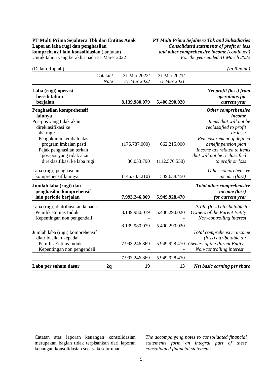## **Laporan laba rugi dan penghasilan** *Consolidated statements of profit or loss* **<b>***consolidated statements of profit or loss comprehensif lain konsolidasian (lanjutan)**and other comprehensive income (continued)* Untuk tahun yang berakhir pada 31 Maret 2022 *For the year ended 31 March 2022*

# **PT Multi Prima Sejahtera Tbk dan Entitas Anak** *PT Multi Prima Sejahtera Tbk and Subsidiaries* **komprehensive income (continued)**

|  | $(In$ $Rupiah)$ |  |
|--|-----------------|--|

| (Dalam Rupiah)                                                                                                  | Catatan/    | 31 Mar 2022/  | 31 Mar 2021/  | (In Rupiah)                                                                                                      |
|-----------------------------------------------------------------------------------------------------------------|-------------|---------------|---------------|------------------------------------------------------------------------------------------------------------------|
|                                                                                                                 | <b>Note</b> | 31 Mar 2022   | 31 Mar 2021   |                                                                                                                  |
| Laba (rugi) operasi<br>bersih tahun<br>berjalan                                                                 |             | 8.139.980.079 | 5.400.290.020 | Net profit (loss) from<br>operations for<br>current year                                                         |
| Penghasilan komprehensif<br>lainnya                                                                             |             |               |               | Other comprehensive<br>income                                                                                    |
| Pos-pos yang tidak akan<br>direklasifikasi ke<br>laba rugi:                                                     |             |               |               | Items that will not be<br>reclassified to profit<br>or loss:                                                     |
| Pengukuran kembali atas<br>program imbalan pasti<br>Pajak penghasilan terkait                                   |             | (176.787.000) | 662.215.000   | Remeasurement of defined<br>benefit pension plan<br>Income tax related to items                                  |
| pos-pos yang tidak akan<br>direklasifikasi ke laba rugi                                                         |             | 30.053.790    | (112.576.550) | that will not be reclassified<br>to profit or loss                                                               |
| Laba (rugi) penghasilan<br>komprehensif lainnya                                                                 |             | (146.733.210) | 549.638.450   | Other comprehensive<br><i>income</i> (loss)                                                                      |
| Jumlah laba (rugi) dan<br>penghasilan komprehensif<br>lain periode berjalan                                     |             | 7.993.246.869 | 5.949.928.470 | <b>Total other comprehensive</b><br><i>income</i> (loss)<br>for current year                                     |
| Laba (rugi) diatribusikan kepada:<br>Pemilik Entitas Induk<br>Kepentingan non pengendali                        |             | 8.139.980.079 | 5.400.290.020 | Profit (loss) attributable to:<br><b>Owners of the Parent Entity</b><br>Non-controlling interest                 |
|                                                                                                                 |             | 8.139.980.079 | 5.400.290.020 |                                                                                                                  |
| Jumlah laba (rugi) komprehensif<br>diatribusikan kepada:<br>Pemilik Entitas Induk<br>Kepentingan non pengendali |             | 7.993.246.869 | 5.949.928.470 | Total comprehensive income<br>(loss) attributable to:<br>Owners of the Parent Entity<br>Non-controlling interest |
|                                                                                                                 |             | 7.993.246.869 | 5.949.928.470 |                                                                                                                  |
| Laba per saham dasar                                                                                            | 2q          | 19            | 13            | Net basic earning per share                                                                                      |

Catatan atas laporan keuangan konsolidasian merupakan bagian tidak terpisahkan dari laporan keuangan konsolidasian secara keseluruhan.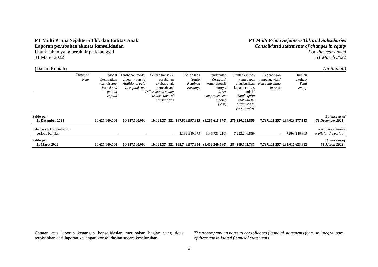#### **PT Multi Prima Sejahtera Tbk dan Entitas Anak Laporan perubahan ekuitas konsolidasian**

Untuk tahun yang berakhir pada tanggal 31 Maret 2022

#### *PT Multi Prima Sejahtera Tbk and Subsidiaries Consolidated statements of changes in equity For the year ended 31 March 2022*

| (Dalam Rupiah)                               |                         |                                                                          |                                                                          |                                                                                                                          |                                              |                                                                                                             |                                                                                                                                             |                                                              |                                       | $(In$ $Rupiah)$                            |
|----------------------------------------------|-------------------------|--------------------------------------------------------------------------|--------------------------------------------------------------------------|--------------------------------------------------------------------------------------------------------------------------|----------------------------------------------|-------------------------------------------------------------------------------------------------------------|---------------------------------------------------------------------------------------------------------------------------------------------|--------------------------------------------------------------|---------------------------------------|--------------------------------------------|
|                                              | Catatan/<br><b>Note</b> | Modal<br>ditempatkan<br>dan disetor/<br>Issued and<br>paid in<br>capital | Fambahan modal<br>disetor - bersih/<br>Additional paid<br>in capital-net | Selisih transaksi<br>perubahan<br>ekuitas anak<br>perusahaan/<br>Difference in equity<br>transactions of<br>subsidiaries | Saldo laba<br>(rugi)<br>Retained<br>earnings | Pendapatan<br>(Kerugian)<br>komprehensif<br>lainnya/<br>Other<br>comprehensive<br>income<br>$(\text{loss})$ | Jumlah ekuitas<br>yang dapat<br>diatribusikan<br>kepada entitas<br>induk/<br>Total equity<br>that will be<br>attributed to<br>parent entity | Kepentingan<br>nonpengendali/<br>Non controlling<br>interest | Jumlah<br>ekuitas/<br>Total<br>equity |                                            |
| Saldo per<br>31 Desember 2021                |                         | 10.625.000.000                                                           | 60.237.500.000                                                           |                                                                                                                          | 19.022.374.321 187.606.997.915               | (1.265.616.370)                                                                                             | 276.226.255.866                                                                                                                             | 7.797.121.257                                                | 284.023.377.123                       | <b>Balance</b> as of<br>31 December 2021   |
| Laba bersih komprehensif<br>periode berjalan |                         |                                                                          |                                                                          | $\sim$                                                                                                                   | 8.139.980.079                                | (146.733.210)                                                                                               | 7.993.246.869                                                                                                                               |                                                              | 7.993.246.869                         | Net comprehensive<br>profit for the period |
| Saldo per<br>31 Maret 2022                   |                         | 10.625.000.000                                                           | 60.237.500.000                                                           |                                                                                                                          | 19.022.374.321 195.746.977.994               | (1.412.349.580)                                                                                             | 284.219.502.735                                                                                                                             |                                                              | 7.797.121.257 292.016.623.992         | <b>Balance</b> as of<br>31 March 2022      |

Catatan atas laporan keuangan konsolidasian merupakan bagian yang tidak terpisahkan dari laporan keuangan konsolidasian secara keseluruhan.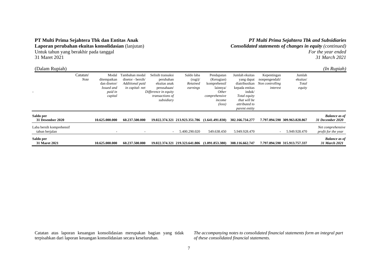#### **PT Multi Prima Sejahtera Tbk dan Entitas Anak Laporan perubahan ekuitas konsolidasian** (lanjutan)

Untuk tahun yang berakhir pada tanggal 31 Maret 2021

*PT Multi Prima Sejahtera Tbk and Subsidiaries Consolidated statements of changes in equity (continued) For the year ended 31 March 2021* 

| (Dalam Rupiah)                             |                         |                                                                          |                                                                          |                                                                                                                        |                                                       |                                                                                                                    |                                                                                                                                                    |                                                              |                                       | (In Rupiah)                              |
|--------------------------------------------|-------------------------|--------------------------------------------------------------------------|--------------------------------------------------------------------------|------------------------------------------------------------------------------------------------------------------------|-------------------------------------------------------|--------------------------------------------------------------------------------------------------------------------|----------------------------------------------------------------------------------------------------------------------------------------------------|--------------------------------------------------------------|---------------------------------------|------------------------------------------|
|                                            | Catatan/<br><b>Note</b> | Modal<br>ditempatkan<br>dan disetor/<br>Issued and<br>paid in<br>capital | Tambahan modal<br>disetor - bersih/<br>Additional paid<br>in capital-net | Selisih transaksi<br>perubahan<br>ekuitas anak<br>perusahaan/<br>Difference in equity<br>transactions of<br>subsidiary | Saldo laba<br>$(\text{rugi})$<br>Retained<br>earnings | Pendapatan<br>(Kerugian)<br>komprehensif<br>lainnya/<br><i>Other</i><br>comprehensive<br>income<br>$(\text{loss})$ | Jumlah ekuitas<br>yang dapat<br>diatribusikan<br>kepada entitas<br>induk/<br>Total equity<br>that will be<br>attributed to<br><i>parent entity</i> | Kepentingan<br>nonpengendali/<br>Non controlling<br>interest | Jumlah<br>ekuitas/<br>Total<br>equity |                                          |
| Saldo per<br>31 Desember 2020              |                         | 10.625.000.000                                                           | 60.237.500.000                                                           |                                                                                                                        | 19.022.374.321 213.923.351.786                        | (1.641.491.830)                                                                                                    | 302.166.734.277                                                                                                                                    |                                                              | 7.797.094.590 309.963.828.867         | <b>Balance as of</b><br>31 December 2020 |
| Laba bersih komprehensif<br>tahun berjalan |                         |                                                                          |                                                                          | $\overline{\phantom{a}}$                                                                                               | 5.400.290.020                                         | 549.638.450                                                                                                        | 5.949.928.470                                                                                                                                      |                                                              | 5.949.928.470                         | Net comprehensive<br>profit for the year |
| Saldo per<br><b>31 Maret 2021</b>          |                         | 10.625.000.000                                                           | 60.237.500.000                                                           |                                                                                                                        | 19.022.374.321 219.323.641.806                        | (1.091.853.380)                                                                                                    | 308.116.662.747                                                                                                                                    |                                                              | 7.797.094.590 315.913.757.337         | <b>Balance as of</b><br>31 March 2021    |

Catatan atas laporan keuangan konsolidasian merupakan bagian yang tidak terpisahkan dari laporan keuangan konsolidasian secara keseluruhan.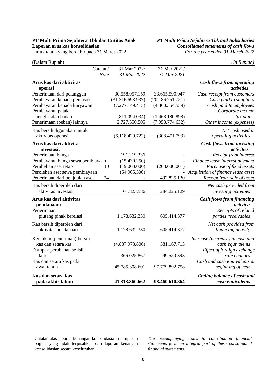# **Laporan arus kas konsolidasian** *Consolidated statements of cash flows*

**PT Multi Prima Sejahtera Tbk dan Entitas Anak** *PT Multi Prima Sejahtera Tbk and Subsidiaries* Untuk tahun yang berakhir pada 31 Maret 2022 *For the year ended 31 March 2022*

| (Dalam Rupiah)                                    |                  |                  | (In Rupiah)                                           |
|---------------------------------------------------|------------------|------------------|-------------------------------------------------------|
| Catatan/                                          | 31 Mar 2022/     | 31 Mar 2021/     |                                                       |
| <b>Note</b>                                       | 31 Mar 2022      | 31 Mar 2021      |                                                       |
| Arus kas dari aktivitas<br>operasi                |                  |                  | <b>Cash flows from operating</b><br>activities        |
| Penerimaan dari pelanggan                         | 30.558.957.159   | 33.665.590.047   | Cash receipt from customers                           |
| Pembayaran kepada pemasok                         | (31.316.693.937) | (20.186.751.751) | Cash paid to suppliers                                |
| Pembayaran kepada karyawan                        | (7.277.149.415)  | (4.360.354.559)  | Cash paid to employees                                |
| Pembayaran pajak                                  |                  |                  | Corporate income                                      |
| penghasilan badan                                 | (811.094.034)    | (1.468.180.898)  | tax paid                                              |
| Penerimaan (beban) lainnya                        | 2.727.550.505    | (7.958.774.632)  | Other income (expenses)                               |
| Kas bersih digunakan untuk<br>aktivitas operasi   | (6.118.429.722)  | (308.471.793)    | Net cash used in<br>operating activities              |
|                                                   |                  |                  |                                                       |
| Arus kas dari aktivitas<br>investasi:             |                  |                  | <b>Cash flows from investing</b><br>activities:       |
| Penerimaan bunga                                  | 191.219.336      |                  | Receipt from interest                                 |
| Pembayaran bunga sewa pembiayaan                  | (15.430.250)     |                  | Finance lease interest payment                        |
| Pembelian aset tetap<br>10                        | (19.000.000)     | (208.600.001)    | Purchase of fixed assets                              |
| Perolehan aset sewa pembiayaan                    | (54.965.500)     |                  | Acquisition of finance lease asset                    |
| Penerimaan dari penjualan aset<br>24              |                  | 492.825.130      | Receipt from sale of asset                            |
| Kas bersih diperoleh dari                         |                  |                  | Net cash provided from                                |
| aktivitas investasi                               | 101.823.586      | 284.225.129      | investing activities                                  |
| Arus kas dari aktivitas<br>pendanaan:             |                  |                  | <b>Cash flows from financing</b><br><i>activity:</i>  |
| Penerimaan                                        |                  |                  | Receipts of related                                   |
| piutang pihak berelasi                            | 1.178.632.330    | 605.414.377      | parties receivables                                   |
| Kas bersih diperoleh dari<br>aktivitas pendanaan  | 1.178.632.330    | 605.414.377      | Net cash provided from<br>financing activity          |
| Kenaikan (penurunan) bersih<br>kas dan setara kas | (4.837.973.806)  | 581.167.713      | Increase (decrease) in cash and<br>cash equivalents   |
| Dampak perubahan selisih                          |                  |                  | Effect of foreign exchange                            |
| kurs                                              | 366.025.867      | 99.550.393       | rate changes                                          |
| Kas dan setara kas pada                           |                  |                  | Cash and cash equivalents at                          |
| awal tahun                                        | 45.785.308.601   | 97.779.892.758   | beginning of year                                     |
| Kas dan setara kas<br>pada akhir tahun            | 41.313.360.662   | 98.460.610.864   | <b>Ending balance of cash and</b><br>cash equivalents |

Catatan atas laporan keuangan konsolidasian merupakan bagian yang tidak terpisahkan dari laporan keuangan konsolidasian secara keseluruhan.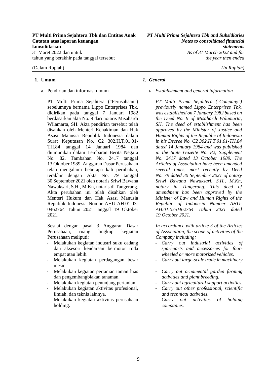#### **PT Multi Prima Sejahtera Tbk dan Entitas Anak** *PT Multi Prima Sejahtera Tbk and Subsidiaries* **Catatan atas laporan keuangan** *Notes to consolidated financial*  **konsolidasian** *statements* 31 Maret 2022 dan untuk *As of 31 March 2022 and for*

#### (Dalam Rupiah) *(In Rupiah)*

PT Multi Prima Sejahtera ("Perusahaan") sebelumnya bernama Lippo Enterprises Tbk. didirikan pada tanggal 7 Januari 1982 berdasarkan akta No. 9 dari notaris Misahardi Wilamarta, SH. Akta pendirian tersebut telah disahkan oleh Menteri Kehakiman dan Hak Asasi Manusia Republik Indonesia dalam Surat Keputusan No. C2 302.H.T.01.01- TH.84 tanggal 14 Januari 1984 dan diumumkan dalam Lembaran Berita Negara No. 82, Tambahan No. 2417 tanggal 13 Oktober 1989. Anggaran Dasar Perusahaan telah mengalami beberapa kali perubahan, terakhir dengan Akta No. 79 tanggal 30 September 2021 oleh notaris Sriwi Bawana Nawaksari, S.H., M.Kn, notaris di Tangerang. Akta perubahan ini telah disahkan oleh Menteri Hukum dan Hak Asasi Manusia Republik Indonesia Nomor AHU-AH.01.03- 0462764 Tahun 2021 tanggal 19 Oktober 2021.

Sesuai dengan pasal 3 Anggaran Dasar Perusahaan, ruang lingkup kegiatan Perusahaan meliputi:

- Melakukan kegiatan industri suku cadang dan aksesori kendaraan bermotor roda empat atau lebih.
- Melakukan kegiatan perdagangan besar mesin.
- Melakukan kegiatan pertanian taman hias dan pengembangbiakan tanaman.
- Melakukan kegiatan penunjang pertanian.
- Melakukan kegiatan aktivitas profesional, ilmiah, dan teknis lainnya.
- Melakukan kegiatan aktivitas perusahaan holding.

#### **1. Umum** *1. General*

a. Pendirian dan informasi umum *a. Establishment and general information* 

*PT Multi Prima Sejahtera ("Company") previously named Lippo Enterprises Tbk. was established on 7 January 1982 based on the Deed No. 9 of Misahardi Wilamarta, SH. The deed of establishment has been approved by the Minister of Justice and Human Rights of the Republic of Indonesia in his Decree No. C2 302.H.T.01.01-TH.84 dated 14 January 1984 and was published in the State Gazette No. 82, Supplement No. 2417 dated 13 October 1989. The Articles of Association have been amended several times, most recently by Deed No. 79 dated 30 September 2021 of notary Sriwi Bawana Nawaksari, S.H., M.Kn, notary in Tangerang. This deed of amendment has been approved by the Minister of Law and Human Rights of the Republic of Indonesia Number AHU-AH.01.03-0462764 Tahun 2021 dated 19 October 2021.* 

*In accordance with article 3 of the Articles of Association, the scope of activities of the Company including:* 

- *Carry out industrial activities of spareparts and accessories for fourwheeled or more motorized vehicles.*
- *Carry out large-scale trade in machinery*
- *Carry out ornamental garden farming activities and plant breeding.*
- *Carry out agricultural support activities.*
- *Carry out other professional, scientific and technical activities.*
- *Carry out activities of holding companies.*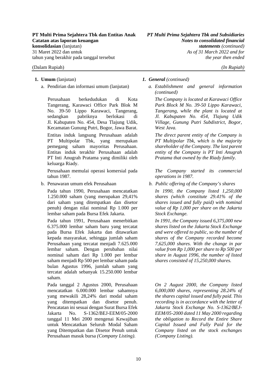#### (Dalam Rupiah) *(In Rupiah)*

Perusahaan berkedudukan di Kota Tangerang, Karawaci Office Park Blok M No. 39-50 Lippo Karawaci, Tangerang, sedangkan pabriknya berlokasi di Jl. Kabupaten No. 454, Desa Tlajung Udik, Kecamatan Gunung Putri, Bogor, Jawa Barat. Entitas induk langsung Perusahaan adalah PT Multipolar Tbk, yang merupakan pemegang saham mayoritas Perusahaan. Entitas induk terakhir Perusahaan adalah PT Inti Anugrah Pratama yang dimiliki oleh keluarga Riady.

Perusahaan memulai operasi komersial pada tahun 1987.

Pada tahun 1990, Perusahaan mencatatkan 1.250.000 saham (yang merupakan 29,41% dari saham yang ditempatkan dan disetor penuh) dengan nilai nominal Rp 1.000 per lembar saham pada Bursa Efek Jakarta.

Pada tahun 1991, Perusahaan menerbitkan 6.375.000 lembar saham baru yang tercatat pada Bursa Efek Jakarta dan ditawarkan kepada masyarakat, sehingga jumlah saham Perusahaan yang tercatat menjadi 7.625.000 lembar saham. Dengan perubahan nilai nominal saham dari Rp 1.000 per lembar saham menjadi Rp 500 per lembar saham pada bulan Agustus 1996, jumlah saham yang tercatat adalah sebanyak 15.250.000 lembar saham.

Pada tanggal 2 Agustus 2000, Perusahaan mencatatkan 6.000.000 lembar sahamnya yang mewakili 28,24% dari modal saham yang ditempatkan dan disetor penuh. Pencatatan ini sesuai dengan Surat Bursa Efek Jakarta No. S-1362/BEJ-EEM/05-2000 tanggal 11 Mei 2000 mengenai Kewajiban untuk Mencatatkan Seluruh Modal Saham yang Ditempatkan dan Disetor Penuh untuk Perusahaan masuk bursa *(Company Listing)*.

#### **1. Umum** (lanjutan) *1. General (continued)*

a. Pendirian dan informasi umum (lanjutan) *a. Establishment and general information (continued)* 

> *The Company is located at Karawaci Office Park Block M No. 39-50 Lippo Karawaci, Tangerang, while the plant is located at Jl. Kabupaten No. 454, Tlajung Udik Village, Gunung Putri Subdistrict, Bogor, West Java.*

> *The direct parent entity of the Company is PT Multipolar Tbk, which is the majority shareholder of the Company. The last parent entity of the Company is PT Inti Anugrah Pratama that owned by the Riady family.*

> *The Company started its commercial operations in 1987.*

b. Penawaran umum efek Perusahaan *b. Public offering of the Company's shares* 

*In 1990, the Company listed 1,250,000 shares (which constitute 29.41% of the shares issued and fully paid) with nominal value of Rp 1,000 per share on the Jakarta Stock Exchange.* 

*In 1991, the Company issued 6,375,000 new shares listed on the Jakarta Stock Exchange and were offered to public, so the number of shares of the Company recorded become 7,625,000 shares. With the change in par value from Rp 1,000 per share to Rp 500 per share in August 1996, the number of listed shares consisted of 15,250,000 shares.* 

*On 2 August 2000, the Company listed 6,000,000 shares, representing 28.24% of the shares capital issued and fully paid. This recording is in accordance with the letter of Jakarta Stock Exchange No. S-1362/BEJ-EEM/05-2000 dated 11 May 2000 regarding the obligation to Record the Entire Share Capital Issued and Fully Paid for the Company listed on the stock exchanges (Company Listing).*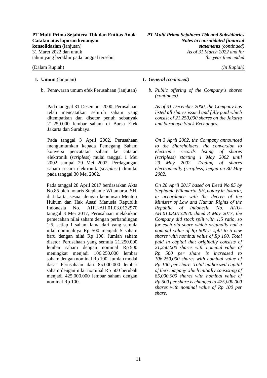b. Penawaran umum efek Perusahaan (lanjutan) *b. Public offering of the Company's shares* 

Pada tanggal 31 Desember 2000, Perusahaan telah mencatatkan seluruh saham yang ditempatkan dan disetor penuh sebanyak 21.250.000 lembar saham di Bursa Efek Jakarta dan Surabaya.

Pada tanggal 3 April 2002, Perusahaan mengumumkan kepada Pemegang Saham konversi pencatatan saham ke catatan elektronik (*scripless*) mulai tanggal 1 Mei 2002 sampai 29 Mei 2002. Perdagangan saham secara elektronik (*scripless*) dimulai pada tanggal 30 Mei 2002.

Pada tanggal 28 April 2017 berdasarkan Akta No.85 oleh notaris Stephanie Wilamarta. SH, di Jakarta, sesuai dengan keputusan Menteri Hukum dan Hak Asasi Manusia Republik Indonesia No. AHU-AH.01.03.0132970 tanggal 3 Mei 2017, Perusahaan melakukan pemecahan nilai saham dengan perbandingan 1:5, setiap 1 saham lama dari yang semula nilai nominalnya Rp 500 menjadi 5 saham baru dengan nilai Rp 100. Jumlah saham disetor Perusahaan yang semula 21.250.000 lembar saham dengan nominal Rp 500 meningkat menjadi 106.250.000 lembar saham dengan nominal Rp 100. Jumlah modal dasar Perusahaan dari 85.000.000 lembar saham dengan nilai nominal Rp 500 berubah menjadi 425.000.000 lembar saham dengan nominal Rp 100.

#### **1. Umum** (lanjutan) *1. General (continued)*

*(continued)* 

*As of 31 December 2000, the Company has listed all shares issued and fully paid which consist of 21,250,000 shares on the Jakarta and Surabaya Stock Exchanges.* 

*On 3 April 2002, the Company announced to the Shareholders, the conversion to electronic records listing of shares (scripless) starting 1 May 2002 until 29 May 2002. Trading of shares electronically (scripless) began on 30 May 2002.* 

*On 28 April 2017 based on Deed No.85 by Stephanie Wilamarta. SH, notary in Jakarta, in accordance with the decree of the Minister of Law and Human Rights of the Republic of Indonesia No. AHU-AH.01.03.0132970 dated 3 May 2017, the Company did stock split with 1:5 ratio, so for each old share which originally had a nominal value of Rp 500 is split to 5 new shares with nominal value of Rp 100. Total paid in capital that originally consists of 21,250,000 shares with nominal value of Rp 500 per share is increased to 106,250,000 shares with nominal value of Rp 100 per share. Total authorized capital of the Company which initially consisting of 85,000,000 shares with nominal value of Rp 500 per share is changed to 425,000,000 shares with nominal value of Rp 100 per share.*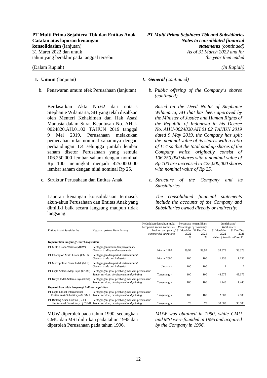b. Penawaran umum efek Perusahaan (lanjutan) *b. Public offering of the Company's shares* 

Berdasarkan Akta No.62 dari notaris Stephanie Wilamarta, SH yang telah disahkan oleh Menteri Kehakiman dan Hak Asasi Manusia dalam Surat Keputusan No. AHU-0024820.AH.01.02 TAHUN 2019 tanggal 9 Mei 2019, Perusahaan melakukan pemecahan nilai nominal sahamnya dengan perbandingan 1:4 sehingga jumlah lembar saham disetor Perusahaan yang semula 106.250.000 lembar saham dengan nominal Rp 100 meningkat menjadi 425.000.000 lembar saham dengan nilai nominal Rp 25.

Laporan keuangan konsolidasian termasuk akun-akun Perusahaan dan Entitas Anak yang dimiliki baik secara langsung maupun tidak langsung:

#### **1. Umum** (lanjutan) *1. General (continued)*

*(continued)* 

*Based on the Deed No.62 of Stephanie Wilamarta, SH that has been approved by the Minister of Justice and Human Rights of the Republic of Indonesia in his Decree No. AHU-0024820.AH.01.02 TAHUN 2019 dated 9 May 2019, the Company has split the nominal value of its shares with a ratio of 1: 4 so that the total paid up shares of the Company which originally consist of 106,250,000 shares with a nominal value of Rp 100 are increased to 425,000,000 shares with nominal value of Rp 25.* 

c. Struktur Perusahaan dan Entitas Anak *c. Structure of the Company and its Subsidiaries* 

> *The consolidated financial statements include the accounts of the Company and Subsidiaries owned directly or indirectly:*

|                                                                  |                                                                                                                             | Kedudukan dan tahun mulai<br>beroperasi secara komersial/ Percentage of ownership |       | Persentase kepemilikan/ | Jumlah aset/<br>Total assets |                            |
|------------------------------------------------------------------|-----------------------------------------------------------------------------------------------------------------------------|-----------------------------------------------------------------------------------|-------|-------------------------|------------------------------|----------------------------|
| Entitas Anak/Subsidiaries                                        | Kegiatan pokok/ Main Activity                                                                                               | Position and year of 31 Mar/Mar 31 Des/Dec                                        |       |                         | 31 Mar/Mar                   | 31 Des/Dec                 |
|                                                                  |                                                                                                                             | commercial operations                                                             | 2022  | 2021                    | 2022                         | 2021                       |
|                                                                  |                                                                                                                             |                                                                                   | %     | %                       |                              | dalam jutaan/in million Rp |
| Kepemilikan langsung/ Direct acquisition                         |                                                                                                                             |                                                                                   |       |                         |                              |                            |
| PT Multi Usaha Wisesa (MUW)                                      | Perdagangan umum dan penyertaan/<br>General trading and investments                                                         | Jakarta, 1982                                                                     | 99,99 | 99.99                   | 33.378                       | 33.378                     |
| PT Champion Multi Usaha (CMU)                                    | Perdagangan dan perindustrian umum/<br>General trade and industrial                                                         | Jakarta, 2000                                                                     | 100   | 100                     | 1.236                        | 1.236                      |
| PT Metropolitan Sinar Indah (MSI)                                | Perdagangan dan perindustrian umum/<br>General trade and industrial                                                         | Jakarta, -                                                                        | 100   | 100                     | $\overline{c}$               | $\mathfrak{2}$             |
| PT Cipta Selaras Maju Jaya (CSMJ)                                | Perdagangan, jasa, pembangunan dan percetakan/<br>Trade, services, development and printing                                 | Tangerang, -                                                                      | 100   | 100                     | 48.676                       | 48.676                     |
| PT Karya Indah Selaras Jaya (KISJ)                               | Perdagangan, jasa, pembangunan dan percetakan/<br>Trade, services, development and printing                                 | Tangerang, -                                                                      | 100   | 100                     | 1.440                        | 1.440                      |
| Kepemilikan tidak langsung/ <i>Indirect acquisition</i>          |                                                                                                                             |                                                                                   |       |                         |                              |                            |
| PT Cipta Global Internasional<br>Entitas anak/Subsidiary of CSMJ | Perdagangan, jasa, pembangunan dan percetakan/<br>Trade, services, development and printing                                 | Tangerang, -                                                                      | 100   | 100                     | 2.000                        | 2.000                      |
| PT Bintang Sinar Fortuna (BSF)                                   | Perdagangan, jasa, pembangunan dan percetakan/<br>Entitas anak/Subsidiary of CSMJ Trade, services, development and printing | Tangerang, -                                                                      | 73    | 73                      | 30.000                       | 30.000                     |

MUW diperoleh pada tahun 1990, sedangkan CMU dan MSI didirikan pada tahun 1995 dan diperoleh Perusahaan pada tahun 1996.

*MUW was obtained in 1990, while CMU and MSI were founded in 1995 and acquired by the Company in 1996.*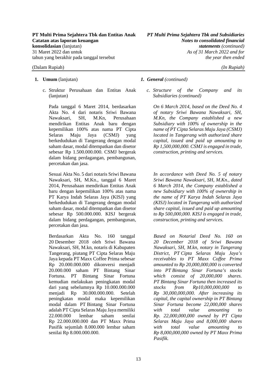c. Struktur Perusahaan dan Entitas Anak (lanjutan)

Pada tanggal 6 Maret 2014, berdasarkan Akta No. 4 dari notaris Sriwi Bawana Nawaksari, SH, M.Kn, Perusahaan mendirikan Entitas Anak baru dengan kepemilikan 100% atas nama PT Cipta Selaras Maju Jaya (CSMJ) yang berkedudukan di Tangerang dengan modal saham dasar, modal ditempatkan dan disetor sebesar Rp 1.500.000.000. CSMJ bergerak dalam bidang perdagangan, pembangunan, percetakan dan jasa.

Sesuai Akta No. 5 dari notaris Sriwi Bawana Nawaksari, SH, M.Kn., tanggal 6 Maret 2014, Perusahaan mendirikan Entitas Anak baru dengan kepemilikan 100% atas nama PT Karya Indah Selaras Jaya (KISJ) yang berkedudukan di Tangerang dengan modal saham dasar, modal ditempatkan dan disetor sebesar Rp 500.000.000. KISJ bergerak dalam bidang perdagangan, pembangunan, percetakan dan jasa.

Berdasarkan Akta No. 160 tanggal 20 Desember 2018 oleh Sriwi Bawana Nawaksari, SH, M.kn, notaris di Kabupaten Tangerang, piutang PT Cipta Selaras Maju Jaya kepada PT Maxx Coffee Prima sebesar Rp 20.000.000.000 dikonversi menjadi 20.000.000 saham PT Bintang Sinar Fortuna. PT Bintang Sinar Fortuna kemudian melakukan peningkatan modal dari yang sebelumnya Rp 10.000.000.000 menjadi Rp 30.000.000.000. Setelah peningkatan modal maka kepemilikan modal dalam PT Bintang Sinar Fortuna adalah PT Cipta Selaras Maju Jaya memiliki 22.000.000 lembar saham senilai Rp 22.000.000.000 dan PT Maxx Prima Pasifik sejumlah 8.000.000 lembar saham senilai Rp 8.000.000.000.

#### **1. Umum** (lanjutan) *1. General (continued)*

*c. Structure of the Company and its Subsidiaries (continued)* 

*On 6 March 2014, based on the Deed No. 4 of notary Sriwi Bawana Nawaksari, SH, M.Kn, the Company established a new Subsidiary with 100% of ownership in the name of PT Cipta Selaras Maju Jaya (CSMJ) located in Tangerang with authorized share capital, issued and paid up amounting to Rp 1,500,000,000. CSMJ is engaged in trade, construction, printing and services.* 

*In accordance with Deed No. 5 of notary Sriwi Bawana Nawaksari, SH, M.Kn., dated 6 March 2014, the Company established a new Subsidiary with 100% of ownership in the name of PT Karya Indah Selaras Jaya (KISJ) located in Tangerang with authorized share capital, issued and paid up amounting to Rp 500,000,000. KISJ is engaged in trade, construction, printing and services.* 

*Based on Notarial Deed No. 160 on 20 December 2018 of Sriwi Bawana Nawaksari, SH, M.kn, notary in Tangerang District, PT Cipta Selaras Maju Jaya's receivables to PT Maxx Coffee Prima amounted to Rp 20,000,000,000 is converted into PT Bintang Sinar Fortuna's stocks which consist of 20,000,000 shares. PT Bintang Sinar Fortuna then increased its stocks from Rp10,000,000,000 to Rp 30,000,000,000. After increasing its capital, the capital ownership in PT Bintang Sinar Fortuna become 22,000,000 shares with total value amounting to Rp. 22,000,000,000 owned by PT Cipta Selaras Maju Jaya and 8,000,000 shares with total value amounting to Rp 8,000,000,000 owned by PT Maxx Prima Pasifik.*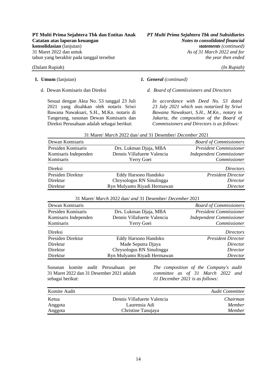(Dalam Rupiah) *(In Rupiah)* 

Sesuai dengan Akta No. 53 tanggal 23 Juli 2021 yang disahkan oleh notaris Sriwi Bawana Nawaksari, S.H., M.Kn. notaris di Tangerang, susunan Dewan Komisaris dan Direksi Perusahaan adalah sebagai berikut:

#### **1. Umum** (lanjutan) *1. General (continued)*

d. Dewan Komisaris dan Direksi *d. Board of Commissioners and Directors* 

*In accordance with Deed No. 53 dated 23 July 2021 which was notarized by Sriwi Bawana Nawaksari, S.H., M.Kn., notary in Jakarta, the composition of the Board of Commissioners and Directors is as follows:* 

| Dewan Komisaris      |                              | <b>Board of Commissioners</b>   |
|----------------------|------------------------------|---------------------------------|
| Presiden Komisaris   | Drs. Lukman Djaja, MBA       | <b>President Commissioner</b>   |
| Komisaris Independen | Dennis Villafuerte Valencia  | <b>Independent Commissioner</b> |
| Komisaris            | Yerry Goei                   | Commissioner                    |
| Direksi              |                              | <i>Directors</i>                |
| Presiden Direktur    | Eddy Harsono Handoko         | <b>President Director</b>       |
| Direktur             | Chrysologus RN Sinulingga    | Director                        |
| Direktur             | Ryn Mulyanto Riyadi Hermawan | Director                        |

31 Maret/ *March* 2022 dan/ *and* 31 Desember/ *December* 2021

### 31 Maret/ *March* 2022 dan/ *and* 31 Desember/ *December* 2021

| Dewan Komisaris      |                              | <b>Board of Commissioners</b>   |
|----------------------|------------------------------|---------------------------------|
| Presiden Komisaris   | Drs. Lukman Djaja, MBA       | <b>President Commissioner</b>   |
| Komisaris Independen | Dennis Villafuerte Valencia  | <b>Independent Commissioner</b> |
| Komisaris            | Yerry Goei                   | Commissioner                    |
| Direksi              |                              | <i>Directors</i>                |
| Presiden Direktur    | Eddy Harsono Handoko         | <b>President Director</b>       |
| Direktur             | Made Seputra Djaya           | Director                        |
| Direktur             | Chrysologus RN Sinulingga    | Director                        |
| Direktur             | Ryn Mulyanto Riyadi Hermawan | Director                        |
|                      |                              |                                 |

Susunan komite audit Perusahaan per 31 Maret 2022 dan 31 Desember 2021 adalah sebagai berikut:

*The composition of the Company's audit committee as of 31 March 2022 and 31 December 2021 is as follows:* 

| Komite Audit |                             | <b>Audit Committee</b> |
|--------------|-----------------------------|------------------------|
| Ketua        | Dennis Villafuerte Valencia | Chairman               |
| Anggota      | Laurensia Adi               | Member                 |
| Anggota      | Christine Tanujaya          | Member                 |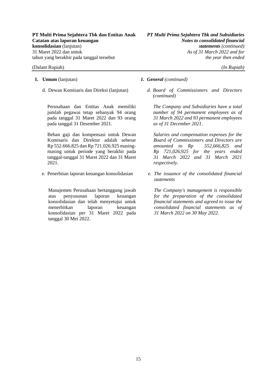#### (Dalam Rupiah) *(In Rupiah)*

- -

Perusahaan dan Entitas Anak memiliki jumlah pegawai tetap sebanyak 94 orang pada tanggal 31 Maret 2022 dan 93 orang pada tanggal 31 Desember 2021.

Beban gaji dan kompensasi untuk Dewan Komisaris dan Direktur adalah sebesar Rp 552.666.825 dan Rp 721.026.925 masingmasing untuk periode yang berakhir pada tanggal-tanggal 31 Maret 2022 dan 31 Maret 2021.

Manajemen Perusahaan bertanggung jawab atas penyusunan laporan keuangan konsolidasian dan telah menyetujui untuk menerbitkan laporan keuangan konsolidasian per 31 Maret 2022 pada tanggal 30 Mei 2022.

- **1. Umum** (lanjutan) *1. General (continued)*
	- d. Dewan Komisaris dan Direksi (lanjutan) *d. Board of Commissioners and Directors (continued)*

*The Company and Subsidiaries have a total number of 94 permanent employees as of 31 March 2022 and 93 permanent employees as of 31 December 2021.* 

*Salaries and compensation expenses for the Board of Commissioners and Directors are amounted to Rp 552,666,825 and Rp 721,026,925 for the years ended 31 March 2022 and 31 March 2021 respectively.* 

e. Penerbitan laporan keuangan konsolidasian *e. The issuance of the consolidated financial statements* 

> *The Company's management is responsible for the preparation of the consolidated financial statements and agreed to issue the consolidated financial statements as of 31 March 2022 on 30 May 2022.*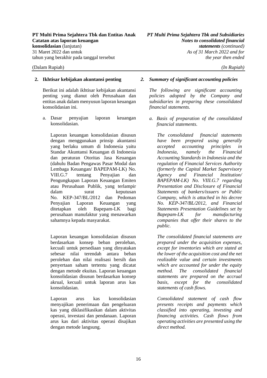Berikut ini adalah ikhtisar kebijakan akuntansi penting yang dianut oleh Perusahaan dan entitas anak dalam menyusun laporan keuangan konsolidasian ini.

a. Dasar penyajian laporan keuangan konsolidasian.

Laporan keuangan konsolidasian disusun dengan menggunakan prinsip akuntansi yang berlaku umum di Indonesia yaitu Standar Akuntansi Keuangan di Indonesia dan peraturan Otoritas Jasa Keuangan (dahulu Badan Pengawas Pasar Modal dan Lembaga Keuangan/ BAPEPAM-LK) No. VIII.G.7 tentang Penyajian dan Pengungkapan Laporan Keuangan Emiten atau Perusahaan Publik, yang terlampir dalam surat keputusan No. KEP-347/BL/2012 dan Pedoman Penyajian Laporan Keuangan yang ditetapkan oleh Bapepam-LK bagi perusahaan manufaktur yang menawarkan sahamnya kepada masyarakat.

Laporan keuangan konsolidasian disusun berdasarkan konsep beban perolehan, kecuali untuk persediaan yang dinyatakan sebesar nilai terendah antara beban perolehan dan nilai realisasi bersih dan penyertaan saham tertentu yang dicatat dengan metode ekuitas. Laporan keuangan konsolidasian disusun berdasarkan konsep akrual, kecuali untuk laporan arus kas konsolidasian.

Laporan arus kas konsolidasian menyajikan penerimaan dan pengeluaran kas yang diklasifikasikan dalam aktivitas operasi, investasi dan pendanaan. Laporan arus kas dari aktivitas operasi disajikan dengan metode langsung.

#### **2. Ikhtisar kebijakan akuntansi penting** *2. Summary of significant accounting policies*

*The following are significant accounting policies adopted by the Company and subsidiaries in preparing these consolidated financial statements.* 

*a. Basis of preparation of the consolidated financial statements.* 

*The consolidated financial statements have been prepared using generally accepted accounting principles in Indonesia, namely the Financial Accounting Standards in Indonesia and the regulation of Financial Services Authority (formerly the Capital Market Supervisory Agency and Financial Institution/ BAPEPAM-LK) No. VIII.G.7 regarding Presentation and Disclosure of Financial Statements of bankers/issuers or Public Company, which is attached in his decree No. KEP-347/BL/2012, and Financial Statements Presentation Guidelines set by Bapepam-LK for manufacturing companies that offer their shares to the public.* 

*The consolidated financial statements are prepared under the acquisition expenses, except for inventories which are stated at the lower of the acquisition cost and the net realizable value and certain investments which are accounted for under the equity method. The consolidated financial statements are prepared on the accrual basis, except for the consolidated statements of cash flows.* 

*Consolidated statement of cash flow presents receipts and payments which classified into operating, investing and financing activities. Cash flows from operating activities are presented using the direct method.*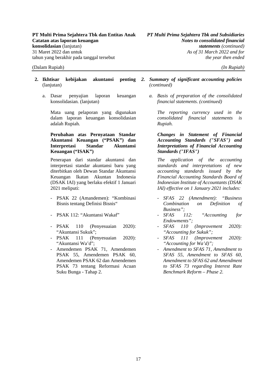- **2. Ikhtisar kebijakan akuntansi penting**  (lanjutan)
	- a. Dasar penyajian laporan keuangan konsolidasian. (lanjutan)

Mata uang pelaporan yang digunakan dalam laporan keuangan konsolidasian adalah Rupiah.

#### **Perubahan atas Pernyataan Standar Akuntansi Keuangan ("PSAK") dan Interpretasi Standar Akuntansi Keuangan ("ISAK")**

Penerapan dari standar akuntansi dan interpretasi standar akuntansi baru yang diterbitkan oleh Dewan Standar Akuntansi Keuangan Ikatan Akuntan Indonesia (DSAK IAI) yang berlaku efektif 1 Januari 2021 meliputi:

- PSAK 22 (Amandemen): "Kombinasi Bisnis tentang Definisi Bisnis"
- PSAK 112: "Akuntansi Wakaf"
- PSAK 110 (Penyesuaian 2020): "Akuntansi Sukuk";
- PSAK 111 (Penyesuaian 2020): "Akuntansi Wa'd";
- Amendemen PSAK 71, Amendemen PSAK 55, Amendemen PSAK 60, Amendemen PSAK 62 dan Amendemen PSAK 73 tentang Reformasi Acuan Suku Bunga - Tahap 2.
- *2. Summary of significant accounting policies (continued)*
	- *a. Basis of preparation of the consolidated financial statements. (continued)*

*The reporting currency used in the consolidated financial statements is Rupiah.* 

*Changes in Statement of Financial Accounting Standards ("SFAS") and Interpretations of Financial Accounting Standards ("IFAS")* 

*The application of the accounting standards and interpretations of new accounting standards issued by the Financial Accounting Standards Board of Indonesian Institute of Accountants (DSAK IAI) effective on 1 January 2021 includes:*

- *SFAS 22 (Amendment): "Business Combination on Definition of Business";*
- *SFAS 112: "Accounting for Endowments";*
- *SFAS 110 (Improvement 2020): "Accounting for Sukuk";*
- *SFAS 111 (Improvement 2020): "Accounting for Wa'd)";*
- *Amendment to SFAS 71, Amendment to SFAS 55, Amendment to SFAS 60, Amendment to SFAS 62 and Amendment to SFAS 73 regarding Interest Rate Benchmark Reform – Phase 2.*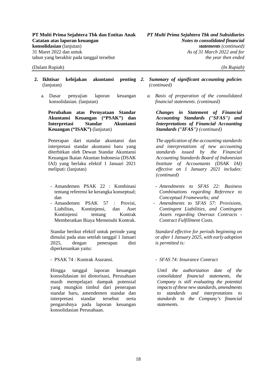- **2. Ikhtisar kebijakan akuntansi penting**  (lanjutan)
	- a. Dasar penyajian laporan keuangan konsolidasian. (lanjutan)

**Perubahan atas Pernyataan Standar Akuntansi Keuangan ("PSAK") dan Interpretasi Standar Akuntansi Keuangan ("ISAK")** (lanjutan)

Penerapan dari standar akuntansi dan interpretasi standar akuntansi baru yang diterbitkan oleh Dewan Standar Akuntansi Keuangan Ikatan Akuntan Indonesia (DSAK IAI) yang berlaku efektif 1 Januari 2021 meliputi: (lanjutan)

- Amandemen PSAK 22 : Kombinasi tentang referensi ke kerangka konseptual; dan
- Amandemen PSAK 57 : Provisi, Liabilitas, Kontinjensi, dan Aset Kontinjensi tentang Kontrak Memberatkan Biaya Memenuhi Kontrak.

Standar berikut efektif untuk periode yang dimulai pada atau setelah tanggal 1 Januari 2025, dengan penerapan dini diperkenankan yaitu:

- PSAK 74 : Kontrak Asuransi. - **SFAS 74: Insurance Contract** 

Hingga tanggal laporan keuangan konsolidasian ini diotorisasi, Perusahaan masih mempelajari dampak potensial yang mungkin timbul dari penerapan standar baru, amendemen standar dan interpretasi standar tersebut serta pengaruhnya pada laporan keuangan konsolidasian Perusahaan.

- *2. Summary of significant accounting policies (continued)* 
	- *a. Basis of preparation of the consolidated financial statements. (continued)*

*Changes in Statement of Financial Accounting Standards ("SFAS") and Interpretations of Financial Accounting Standards ("IFAS") (continued)*

*The application of the accounting standards and interpretations of new accounting standards issued by the Financial Accounting Standards Board of Indonesian Institute of Accountants (DSAK IAI) effective on 1 January 2021 includes: (continued)* 

- *Amendments to SFAS 22: Business Combinations regarding Reference to Conceptual Frameworks; and*
- *Amendments to SFAS 57: Provisions, Contingent Liabilities, and Contingent Assets regarding Onerous Contracts - Contract Fulfillment Costs.*

*Standard effective for periods beginning on or after 1 January 2025, with early adoption is permitted is:* 

*Until the authorization date of the consolidated financial statements, the Company is still evaluating the potential impacts of these new standards, amendments to standards and interpretations to standards to the Company's financial statements.*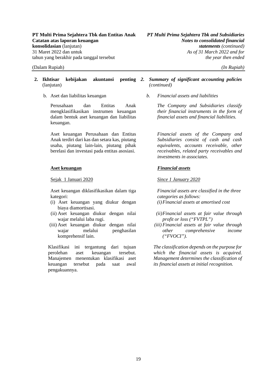- **2. Ikhtisar kebijakan akuntansi penting**  (lanjutan)
	-

Perusahaan dan Entitas Anak mengklasifikasikan instrumen keuangan dalam bentuk aset keuangan dan liabilitas keuangan.

Aset keuangan Perusahaan dan Entitas Anak terdiri dari kas dan setara kas, piutang usaha, piutang lain-lain, piutang pihak berelasi dan investasi pada entitas asosiasi.

#### **Aset keuangan**

Sejak 1 Januari 2020

Aset keuangan diklasifikasikan dalam tiga kategori:

- (i) Aset keuangan yang diukur dengan biaya diamortisasi.
- (ii) Aset keuangan diukur dengan nilai wajar melalui laba rugi.
- (iii) Aset keuangan diukur dengan nilai wajar melalui penghasilan komprehensif lain.

Klasifikasi ini tergantung dari tujuan perolehan aset keuangan tersebut. Manajemen menentukan klasifikasi aset keuangan tersebut pada saat awal pengakuannya.

*2. Summary of significant accounting policies (continued)* 

b. Aset dan liabilitas keuangan *b. Financial assets and liabilities* 

*The Company and Subsidiaries classify their financial instruments in the form of financial assets and financial liabilities.* 

*Financial assets of the Company and Subsidiaries consist of cash and cash equivalents, accounts receivable, other receivables, related party receivables and investments in associates.* 

### *Financial assets*

#### *Since 1 January 2020*

*Financial assets are classified in the three categories as follows: (i) Financial assets at amortised cost* 

- *(ii) Financial assets at fair value through profit or loss ("FVTPL")*
- *(iii) Financial assets at fair value through other comprehensive income ("FVOCI").*

*The classification depends on the purpose for which the financial assets is acquired. Management determines the classification of its financial assets at initial recognition.*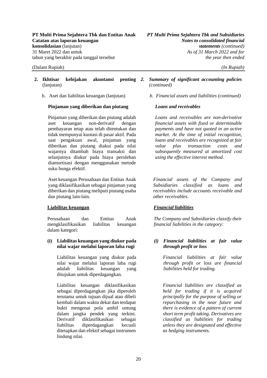- **2. Ikhtisar kebijakan akuntansi penting**  (lanjutan)
	-

#### **Pinjaman yang diberikan dan piutang**

Pinjaman yang diberikan dan piutang adalah aset keuangan non-derivatif dengan pembayaran tetap atau telah ditentukan dan tidak mempunyai kuotasi di pasar aktif. Pada saat pengakuan awal, pinjaman yang diberikan dan piutang diakui pada nilai wajarnya ditambah biaya transaksi dan selanjutnya diukur pada biaya perolehan diamortisasi dengan menggunakan metode suku bunga efektif.

Aset keuangan Perusahaan dan Entitas Anak yang diklasifikasikan sebagai pinjaman yang diberikan dan piutang meliputi piutang usaha dan piutang lain-lain.

### **Liabilitas keuangan**

Perusahaan dan Entitas Anak mengklasifikasikan liabilitas keuangan dalam kategori:

#### **(i) Liabilitas keuangan yang diukur pada nilai wajar melalui laporan laba rugi**

Liabilitas keuangan yang diukur pada nilai wajar melalui laporan laba rugi adalah liabilitas keuangan yang ditujukan untuk diperdagangkan.

Liabilitas keuangan diklasifikasikan sebagai diperdagangkan jika diperoleh terutama untuk tujuan dijual atau dibeli kembali dalam waktu dekat dan terdapat bukti mengenai pola ambil untung dalam jangka pendek yang terkini. Derivatif diklasifikasikan sebagai liabilitas diperdagangkan kecuali ditetapkan dan efektif sebagai instrumen lindung nilai.

#### *2. Summary of significant accounting policies (continued)*

b. Aset dan liabilitas keuangan (lanjutan) *b. Financial assets and liabilities (continued)* 

### *Loans and receivables*

*Loans and receivables are non-derivative financial assets with fixed or determinable payments and have not quoted in an active market. At the time of initial recognition, loans and receivables are recognized at fair value plus transaction costs and subsequently measured at amortized cost using the effective interest method.* 

*Financial assets of the Company and Subsidiaries classified as loans and receivables include accounts receivable and other receivables.*

### *Financial liabilities*

*The Company and Subsidiaries classify their financial liabilities in the category:* 

#### *(i) Financial liabilities at fair value through profit or loss*

*Financial liabilities at fair value through profit or loss are financial liabilities held for trading.* 

*Financial liabilities are classified as held for trading if it is acquired principally for the purpose of selling or repurchasing in the near future and there is evidence of a pattern of current short term profit taking. Derivatives are classified as liabilities for trading unless they are designated and effective as hedging instruments.*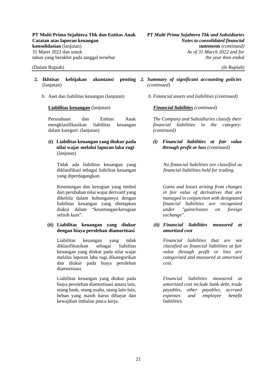- 2. Ikhtisar kebijakan akuntansi (lanjutan)
	- b. Aset dan liabilitas keuangan (lanjutan)

#### **Liabilitas keuangan** (lanjutan)

Perusahaan dan Entitas Anak mengklasifikasikan liabilitas keuangan dalam kategori: (lanjutan)

**(i) Liabilitas keuangan yang diukur pada nilai wajar melalui laporan laba rugi** (lanjutan)

Tidak ada liabilitas keuangan yang diklasifikasi sebagai liabilitas keuangan yang diperdagangkan.

Keuntungan dan kerugian yang timbul dari perubahan nilai wajar derivatif yang dikelola dalam hubungannya dengan liabilitas keuangan yang ditetapkan diakui dalam "keuntungan/kerugian selisih kurs".

### **(ii) Liabilitas keuangan yang diukur dengan biaya perolehan diamortisasi**

Liabilitas keuangan yang tidak diklasifikasikan sebagai liabilitas keuangan yang diukur pada nilai wajar melalui laporan laba rugi dikategorikan dan diukur pada biaya perolehan diamortisasi.

Liabilitas keuangan yang diukur pada biaya perolehan diamortisasi antara lain, utang bank, utang usaha, utang lain-lain, beban yang masih harus dibayar dan kewajiban imbalan pasca kerja.

- *2. Summary of significant accounting policies (continued)* 
	- *b. Financial assets and liabilities (continued)*

*Financial liabilities (continued)*

*The Company and Subsidiaries classify their financial liabilities in the category: (continued)* 

*(i) Financial liabilities at fair value through profit or loss (continued)*

> *No financial liabilities are classified as financial liabilities held for trading.*

> *Gains and losses arising from changes in fair value of derivatives that are managed in conjunction with designated financial liabilities are recognized under "gains/losses on foreign exchange".*

*(ii) Financial liabilities measured at amortized cost* 

> *Financial liabilities that are not classified as financial liabilities at fair value through profit or loss are categorized and measured at amortized cost.*

> *Financial liabilities measured at amortized cost include bank debt, trade payables, other payables, accrued expenses and employee benefit liabilities.*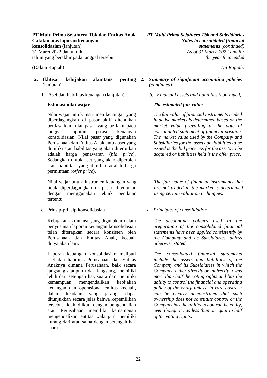- **2. Ikhtisar kebijakan akuntansi penting**  (lanjutan)
	-

Nilai wajar untuk instrumen keuangan yang diperdagangkan di pasar aktif ditentukan berdasarkan nilai pasar yang berlaku pada tanggal laporan posisi keuangan konsolidasian. Nilai pasar yang digunakan Perusahaan dan Entitas Anak untuk aset yang dimiliki atau liabilitas yang akan diterbitkan adalah harga penawaran (*bid price*). Sedangkan untuk aset yang akan diperoleh atau liabilitas yang dimiliki adalah harga permintaan (*offer price*).

Nilai wajar untuk instrumen keuangan yang tidak diperdagangkan di pasar ditentukan dengan menggunakan teknik penilaian tertentu.

c. Prinsip-prinsip konsolidasian *c. Principles of consolidation* 

Kebijakan akuntansi yang digunakan dalam penyusunan laporan keuangan konsolidasian telah diterapkan secara konsisten oleh Perusahaan dan Entitas Anak, kecuali dinyatakan lain.

Laporan keuangan konsolidasian meliputi aset dan liabilitas Perusahaan dan Entitas Anaknya dimana Perusahaan, baik secara langsung ataupun tidak langsung, memiliki lebih dari setengah hak suara dan memiliki kemampuan mengendalikan kebijakan keuangan dan operasional entitas kecuali, dalam keadaan yang jarang, dapat ditunjukkan secara jelas bahwa kepemilikan tersebut tidak diikuti dengan pengendalian atau Perusahaan memiliki kemampuan mengendalikan entitas walaupun memiliki kurang dari atau sama dengan setengah hak suara.

- *2. Summary of significant accounting policies (continued)*
- b. Aset dan liabilitas keuangan (lanjutan) *b. Financial assets and liabilities (continued)*

### **Estimasi nilai wajar** *The estimated fair value*

*The fair value of financial instruments traded in active markets is determined based on the market value prevailing at the date of consolidated statement of financial position. The market value used by the Company and Subsidiaries for the assets or liabilities to be issued is the bid price. As for the assets to be acquired or liabilities held is the offer price.* 

*The fair value of financial instruments that are not traded in the market is determined using certain valuation techniques.* 

*The accounting policies used in the preparation of the consolidated financial statements have been applied consistently by the Company and its Subsidiaries, unless otherwise stated.* 

*The consolidated financial statements include the assets and liabilities of the Company and its Subsidiaries in which the Company, either directly or indirectly, owns more than half the voting rights and has the ability to control the financial and operating policy of the entity unless, in rare cases, it can be clearly demonstrated that such ownership does not constitute control or the Company has the ability to control the entity, even though it has less than or equal to half of the voting rights.*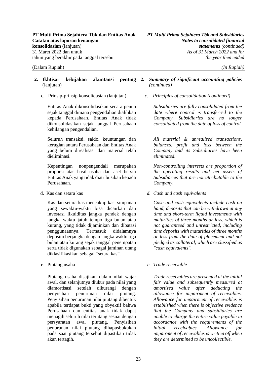- **2. Ikhtisar kebijakan akuntansi penting**  (lanjutan)
	-

Entitas Anak dikonsolidasikan secara penuh sejak tanggal dimana pengendalian dialihkan kepada Perusahaan. Entitas Anak tidak dikonsolidasikan sejak tanggal Perusahaan kehilangan pengendalian.

Seluruh transaksi, saldo, keuntungan dan kerugian antara Perusahaan dan Entitas Anak yang belum direalisasi dan material telah dieliminasi.

Kepentingan nonpengendali merupakan proporsi atas hasil usaha dan aset bersih Entitas Anak yang tidak diatribusikan kepada Perusahaan.

Kas dan setara kas mencakup kas, simpanan yang sewaktu-waktu bisa dicairkan dan investasi likuiditas jangka pendek dengan jangka waktu jatuh tempo tiga bulan atau kurang, yang tidak dijaminkan dan dibatasi penggunaannya. Termasuk didalamnya deposito berjangka dengan jangka waktu tiga bulan atau kurang sejak tanggal penempatan serta tidak digunakan sebagai jaminan utang diklasifikasikan sebagai "setara kas".

Piutang usaha disajikan dalam nilai wajar awal, dan selanjutnya diukur pada nilai yang diamortisasi setelah dikurangi dengan penyisihan penurunan nilai piutang. Penyisihan penurunan nilai piutang dibentuk apabila terdapat bukti yang obyektif bahwa Perusahaan dan entitas anak tidak dapat menagih seluruh nilai terutang sesuai dengan persyaratan awal piutang. Penyisihan penurunan nilai piutang dihapusbukukan pada saat piutang tersebut dipastikan tidak akan tertagih.

#### *2. Summary of significant accounting policies (continued)*

c. Prinsip-prinsip konsolidasian (lanjutan) *c. Principles of consolidation (continued)* 

*Subsidiaries are fully consolidated from the date where control is transferred to the Company. Subsidiaries are no longer consolidated from the date of loss of control.*

*All material & unrealized transactions, balances, profit and loss between the Company and its Subsidiaries have been eliminated.* 

*Non-controlling interests are proportion of the operating results and net assets of Subsidiaries that are not attributable to the Company.* 

d. Kas dan setara kas *d. Cash and cash equivalents* 

*Cash and cash equivalents include cash on hand, deposits that can be withdrawn at any time and short-term liquid investments with maturities of three months or less, which is not guaranteed and unrestricted, including time deposits with maturities of three months or less from the date of placement and not pledged as collateral, which are classified as "cash equivalents".* 

e. Piutang usaha *e. Trade receivable* 

*Trade receivables are presented at the initial fair value and subsequently measured at amortized value after deducting the allowance for impairment of receivables. Allowance for impairment of receivables is established when there is objective evidence that the Company and subsidiaries are unable to charge the entire value payable in accordance with the requirements of the initial receivables. Allowance for impairment of receivables is written off when they are determined to be uncollectible.*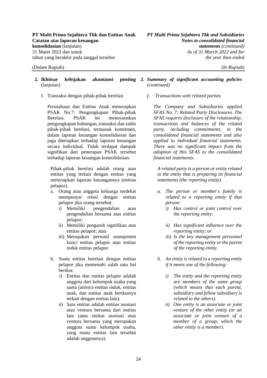#### 2. Ikhtisar kebijakan akuntansi (lanjutan)

f. Transaksi dengan pihak-pihak berelasi *f. Transactions with related parties* 

Perusahaan dan Entitas Anak menerapkan PSAK No.7: Pengungkapan Pihak-pihak Berelasi. PSAK ini mensyaratkan pengungkapan hubungan, transaksi dan saldo pihak-pihak berelasi, termasuk komitmen, dalam laporan keuangan konsolidasian dan juga diterapkan terhadap laporan keuangan secara individual. Tidak terdapat dampak signifikan dari penerapan PSAK tersebut terhadap laporan keuangan konsolidasian.

Pihak-pihak berelasi adalah orang atau entitas yang terkait dengan entitas yang menyiapkan laporan keuangannya (entitas pelapor).

- a. Orang atau anggota keluarga terdekat mempunyai relasi dengan entitas pelapor jika orang tersebut:
	- i) Memiliki pengendalian atau pengendalian bersama atas entitas pelapor;
	- ii) Memiliki pengaruh signifikan atas entitas pelapor; atau
	- iii) Merupakan personil manajemen kunci entitas pelapor atau entitas induk entitas pelapor.
- b. Suatu entitas berelasi dengan entitas pelapor jika memenuhi salah satu hal berikut:
	- i) Entitas dan entitas pelapor adalah anggota dari kelompok usaha yang sama (artinya entitas induk, entitas anak, dan entitas anak berikutnya terkait dengan entitas lain).
	- ii) Satu entitas adalah entitas asosiasi atau ventura bersama dari entitas lain (atau entitas asosiasi atau ventura bersama yang merupakan anggota suatu kelompok usaha, yang mana entitas lain tersebut adalah anggotanya).

#### *2. Summary of significant accounting policies (continued)*

*The Company and Subsidiaries applied SFAS No. 7: Related Party Disclosures. The SFAS requires disclosure of the relationship, transactions and balances of the related party, including commitments, in the consolidated financial statements and also applied to individual financial statements. There was no significant impact from the adoption of this SFAS to the consolidated financial statements.* 

*A related party is a person or entity related to the entity that is preparing its financial statements (the reporting entity).* 

- *a. The person or member's family is related to a reporting entity if that person:*
	- *i) Has control or joint control over the reporting entity;*
	- *ii) Has significant influence over the reporting entity; or*
	- *iii) Is the key management personnel of the reporting entity or the parent of the reporting entity.*
- *b. An entity is related to a reporting entity if it meets one of the following:*
	- *i) The entity and the reporting entity are members of the same group (which means that each parent, subsidiary and fellow subsidiary is related to the others).*
	- *ii) One entity is an associate or joint venture of the other entity (or an associate or joint venture of a member of a group, which the other entity is a member).*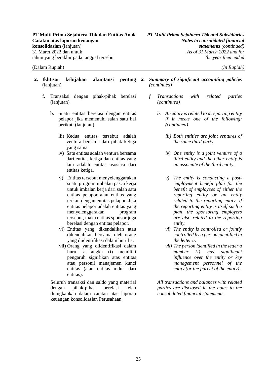- 2. Ikhtisar kebijakan akuntansi (lanjutan)
	- f. Transaksi dengan pihak-pihak berelasi (lanjutan)
		- b. Suatu entitas berelasi dengan entitas pelapor jika memenuhi salah satu hal berikut: (lanjutan)
			- iii) Kedua entitas tersebut adalah ventura bersama dari pihak ketiga yang sama.
			- iv) Satu entitas adalah ventura bersama dari entitas ketiga dan entitas yang lain adalah entitas asosiasi dari entitas ketiga.
			- v) Entitas tersebut menyelenggarakan suatu program imbalan pasca kerja untuk imbalan kerja dari salah satu entitas pelapor atau entitas yang terkait dengan entitas pelapor. Jika entitas pelapor adalah entitas yang menyelenggarakan program tersebut, maka entitas sponsor juga berelasi dengan entitas pelapor.
			- vi) Entitas yang dikendalikan atau dikendalikan bersama oleh orang yang diidentifikasi dalam huruf a.
			- vii) Orang yang diidentifikasi dalam huruf a angka (i) memiliki pengaruh signifikan atas entitas atau personil manajemen kunci entitas (atau entitas induk dari entitas).

Seluruh transaksi dan saldo yang material dengan pihak-pihak berelasi telah diungkapkan dalam catatan atas laporan keuangan konsolidasian Perusahaan.

- *2. Summary of significant accounting policies (continued)* 
	- *f. Transactions with related parties (continued)* 
		- *b. An entity is related to a reporting entity if it meets one of the following: (continued)*
			- *iii) Both entities are joint ventures of the same third party.*
			- *iv) One entity is a joint venture of a third entity and the other entity is an associate of the third entity.*
			- *v) The entity is conducting a postemployment benefit plan for the benefit of employees of either the reporting entity or an entity related to the reporting entity. If the reporting entity is itself such a plan, the sponsoring employers are also related to the reporting entity.*
			- *vi) The entity is controlled or jointly controlled by a person identified in the letter a.*
			- *vii) The person identified in the letter a number (i) has significant influence over the entity or key management personnel of the entity (or the parent of the entity).*

*All transactions and balances with related parties are disclosed in the notes to the consolidated financial statements.*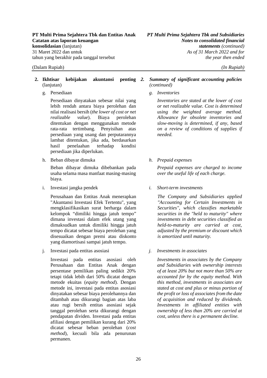Persediaan dinyatakan sebesar nilai yang lebih rendah antara biaya perolehan dan nilai realisasi bersih (*the lower of cost or net realizable value*). Biaya perolehan ditentukan dengan menggunakan metode rata-rata tertimbang. Penyisihan atas persediaan yang usang dan perputarannya lambat ditentukan, jika ada, berdasarkan hasil penelaahan terhadap kondisi persediaan jika diperlukan.

h. Beban dibayar dimuka *h. Prepaid expenses* 

Beban dibayar dimuka dibebankan pada usaha selama masa manfaat masing-masing biaya.

i. Investasi jangka pendek *i. Short-term investments* 

Perusahaan dan Entitas Anak menerapkan "Akuntansi Investasi Efek Tertentu", yang mengklasifikasikan surat berharga dalam kelompok "dimiliki hingga jatuh tempo" dimana investasi dalam efek utang yang dimaksudkan untuk dimiliki hingga jatuh tempo dicatat sebesar biaya perolehan yang disesuaikan dengan premi atau diskonto yang diamortisasi sampai jatuh tempo.

j. Investasi pada entitas asosiasi *j. Investments in associates* 

Investasi pada entitas asosiasi oleh Perusahaan dan Entitas Anak dengan persentase pemilikan paling sedikit 20% tetapi tidak lebih dari 50% dicatat dengan metode ekuitas (*equity method*). Dengan metode ini, investasi pada entitas asosiasi dinyatakan sebesar biaya perolehannya dan ditambah atau dikurangi bagian atas laba atau rugi bersih entitas asosiasi sejak tanggal perolehan serta dikurangi dengan pendapatan dividen. Investasi pada entitas afiliasi dengan pemilikan kurang dari 20% dicatat sebesar beban perolehan (*cost method*), kecuali bila ada penurunan permanen.

#### *2. Summary of significant accounting policies (continued)*

g. Persediaan *g. Inventories* 

*Inventories are stated at the lower of cost or net realizable value. Cost is determined using the weighted average method. Allowance for obsolete inventories and slow-moving is determined, if any, based on a review of conditions of supplies if needed.* 

*Prepaid expenses are charged to income over the useful life of each charge.* 

*The Company and Subsidiaries applied "Accounting for Certain Investments in Securities", which classifies marketable securities in the "held to maturity" where investments in debt securities classified as held-to-maturity are carried at cost, adjusted by the premium or discount which is amortized until maturity.* 

*Investments in associates by the Company and Subsidiaries with ownership interests of at least 20% but not more than 50% are accounted for by the equity method. With this method, investments in associates are stated at cost and plus or minus portion of the profit or loss of associates from the date of acquisition and reduced by dividends. Investments in affiliated entities with ownership of less than 20% are carried at cost, unless there is a permanent decline.*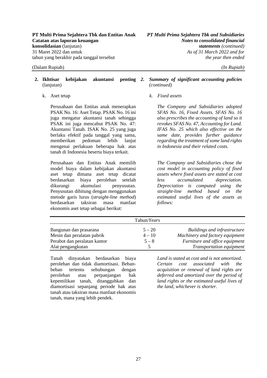Perusahaan dan Entitas anak menerapkan PSAK No. 16: Aset Tetap. PSAK No. 16 ini juga mengatur akuntansi tanah sehingga PSAK ini juga mencabut PSAK No. 47: Akuntansi Tanah. ISAK No. 25 yang juga berlaku efektif pada tanggal yang sama, memberikan pedoman lebih lanjut mengenai perlakuan beberapa hak atas tanah di Indonesia beserta biaya terkait.

Perusahaan dan Entitas Anak memilih model biaya dalam kebijakan akuntansi aset tetap dimana aset tetap dicatat berdasarkan biaya perolehan setelah dikurangi akumulasi penyusutan. Penyusutan dihitung dengan menggunakan metode garis lurus (*straight-line method*) berdasarkan taksiran masa manfaat ekonomis aset tetap sebagai berikut:

#### *2. Summary of significant accounting policies (continued)*

### k. Aset tetap *k. Fixed assets*

*The Company and Subsidiaries adopted SFAS No. 16, Fixed Assets. SFAS No. 16 also prescribes the accounting of land so it revokes SFAS No. 47, Accounting for Land. IFAS No. 25 which also effective on the same date, provides further guidance regarding the treatment of some land rights in Indonesia and their related costs.* 

*The Company and Subsidiaries chose the cost model in accounting policy of fixed assets where fixed assets are stated at cost less accumulated depreciation. Depreciation is computed using the straight-line method based on the estimated useful lives of the assets as follows:* 

|                              | Tahun/ <i>Years</i> |                                     |
|------------------------------|---------------------|-------------------------------------|
| Bangunan dan prasarana       | $5 - 20$            | <b>Buildings and infrastructure</b> |
| Mesin dan peralatan pabrik   | $4 - 10$            | Machinery and factory equipment     |
| Perabot dan peralatan kantor | $5 - 8$             | Furniture and office equipment      |
| Alat pengangkutan            |                     | Transportation equipment            |

Tanah dinyatakan berdasarkan biaya perolehan dan tidak diamortisasi. Bebanbeban tertentu sehubungan dengan perolehan atau perpanjangan hak kepemilikan tanah, ditangguhkan dan diamortisasi sepanjang periode hak atas tanah atau taksiran masa manfaat ekonomis tanah, mana yang lebih pendek.

*Land is stated at cost and is not amortized. Certain cost associated with the acquisition or renewal of land rights are deferred and amortized over the period of land rights or the estimated useful lives of the land, whichever is shorter.*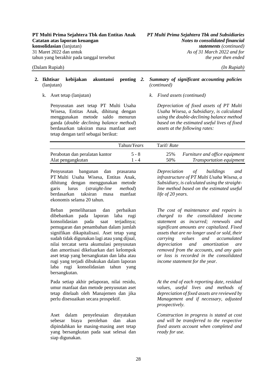Penyusutan aset tetap PT Multi Usaha Wisesa, Entitas Anak, dihitung dengan menggunakan metode saldo menurun ganda (*double declining balance method*) berdasarkan taksiran masa manfaat aset tetap dengan tarif sebagai berikut:

### *2. Summary of significant accounting policies (continued)*

k. Aset tetap (lanjutan) *k. Fixed assets (continued)* 

*Depreciation of fixed assets of PT Multi Usaha Wisesa, a Subsidiary, is calculated using the double-declining balance method based on the estimated useful lives of fixed assets at the following rates:* 

|                                | Tahun/ <i>Years</i> | Tarif/ <i>Rate</i> |                                 |
|--------------------------------|---------------------|--------------------|---------------------------------|
| Perabotan dan peralatan kantor | $5 - 8$             | 25%                | Furniture and office equipment  |
| Alat pengangkutan              | l - 4               | 50%                | <i>Transportation equipment</i> |

Penyusutan bangunan dan prasarana PT Multi Usaha Wisesa, Entitas Anak, dihitung dengan menggunakan metode garis lurus (*straight-line method*) berdasarkan taksiran masa manfaat ekonomis selama 20 tahun.

Beban pemeliharaan dan perbaikan dibebankan pada laporan laba rugi konsolidasian pada saat terjadinya; pemugaran dan penambahan dalam jumlah signifikan dikapitalisasi. Aset tetap yang sudah tidak digunakan lagi atau yang dijual, nilai tercatat serta akumulasi penyusutan dan amortisasi dikeluarkan dari kelompok aset tetap yang bersangkutan dan laba atau rugi yang terjadi dibukukan dalam laporan laba rugi konsolidasian tahun yang bersangkutan.

Pada setiap akhir pelaporan, nilai residu, umur manfaat dan metode penyusutan aset tetap ditelaah oleh Manajemen dan jika perlu disesuaikan secara prospektif.

Aset dalam penyelesaian dinyatakan sebesar biaya perolehan dan akan dipindahkan ke masing-masing aset tetap yang bersangkutan pada saat selesai dan siap digunakan.

*Depreciation of buildings and infrastructure of PT Multi Usaha Wisesa, a Subsidiary, is calculated using the straightline method based on the estimated useful life of 20 years.* 

*The cost of maintenance and repairs is charged to the consolidated income statement as incurred; renewals and significant amounts are capitalized. Fixed assets that are no longer used or sold, their carrying values and accumulated depreciation and amortization are removed from the accounts, and any gain or loss is recorded in the consolidated income statement for the year.* 

*At the end of each reporting date, residual values, useful lives and methods of depreciation of fixed assets are reviewed by Management and if necessary, adjusted prospectively.* 

*Construction in progress is stated at cost and will be transferred to the respective fixed assets account when completed and ready for use.*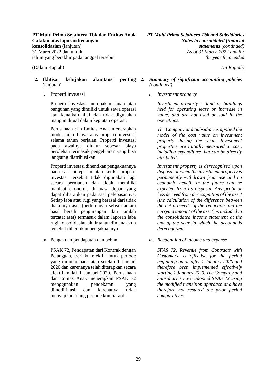- **2. Ikhtisar kebijakan akuntansi penting**  (lanjutan)
	-

Properti investasi merupakan tanah atau bangunan yang dimiliki untuk sewa operasi atau kenaikan nilai, dan tidak digunakan maupun dijual dalam kegiatan operasi.

Perusahaan dan Entitas Anak menerapkan model nilai biaya atas properti investasi selama tahun berjalan. Properti investasi pada awalnya diukur sebesar biaya perolehan termasuk pengeluaran yang bisa langsung diatribusikan.

Properti investasi dihentikan pengakuannya pada saat pelepasan atau ketika properti investasi tersebut tidak digunakan lagi secara permanen dan tidak memiliki manfaat ekonomis di masa depan yang dapat diharapkan pada saat pelepasannya. Setiap laba atau rugi yang berasal dari tidak diakuinya aset (perhitungan selisih antara hasil bersih pengurangan dan jumlah tercatat aset) termasuk dalam laporan laba rugi konsolidasian akhir tahun dimana akun tersebut dihentikan pengakuannya.

PSAK 72, Pendapatan dari Kontrak dengan Pelanggan, berlaku efektif untuk periode yang dimulai pada atau setelah 1 Januari 2020 dan karenanya telah diterapkan secara efektif mulai 1 Januari 2020. Perusahaan dan Entitas Anak menerapkan PSAK 72 menggunakan pendekatan yang dimodifikasi dan karenanya tidak menyajikan ulang periode komparatif.

#### *2. Summary of significant accounting policies (continued)*

l. Properti investasi *l. Investment property* 

*Investment property is land or buildings held for operating lease or increase in value, and are not used or sold in the operations.* 

*The Company and Subsidiaries applied the model of the cost value on investment property during the year. Investment properties are initially measured at cost, including expenditure that can be directly attributed.* 

*Investment property is derecognized upon disposal or when the investment property is permanently withdrawn from use and no economic benefit in the future can be expected from its disposal. Any profit or loss derived from derecognition of the asset (the calculation of the difference between the net proceeds of the reduction and the carrying amount of the asset) is included in the consolidated income statement at the end of the year in which the account is derecognized.* 

m. Pengakuan pendapatan dan beban *m. Recognition of income and expense* 

*SFAS 72, Revenue from Contracts with Customers, is effective for the period beginning on or after 1 January 2020 and therefore been implemented effectively starting 1 January 2020. The Company and Subsidiaries have adopted SFAS 72 using the modified transition approach and have therefore not restated the prior period comparatives.*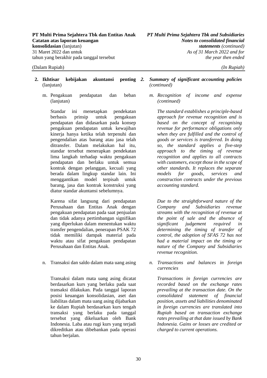- **2. Ikhtisar kebijakan akuntansi penting**  (lanjutan)
	- m. Pengakuan pendapatan dan beban (lanjutan)

Standar ini menetapkan pendekatan berbasis prinsip untuk pengakuan pendapatan dan didasarkan pada konsep pengakuan pendapatan untuk kewajiban kinerja hanya ketika telah terpenuhi dan pengendalian atas barang atau jasa telah ditransfer. Dalam melakukan hal itu, standar tersebut menerapkan pendekatan lima langkah terhadap waktu pengakuan pendapatan dan berlaku untuk semua kontrak dengan pelanggan, kecuali yang berada dalam lingkup standar lain. Ini menggantikan model terpisah untuk barang, jasa dan kontrak konstruksi yang diatur standar akuntansi sebelumnya.

Karena sifat langsung dari pendapatan Perusahaan dan Entitas Anak dengan pengakuan pendapatan pada saat penjualan dan tidak adanya pertimbangan signifikan yang diperlukan dalam menentukan waktu transfer pengendalian, penerapan PSAK 72 tidak memiliki dampak material pada waktu atau sifat pengakuan pendapatan Perusahaan dan Entitas Anak.

n. Transaksi dan saldo dalam mata uang asing *n. Transactions and balances in foreign* 

Transaksi dalam mata uang asing dicatat berdasarkan kurs yang berlaku pada saat transaksi dilakukan. Pada tanggal laporan posisi keuangan konsolidasian, aset dan liabilitas dalam mata uang asing dijabarkan ke dalam Rupiah berdasarkan kurs tengah transaksi yang berlaku pada tanggal tersebut yang dikeluarkan oleh Bank Indonesia. Laba atau rugi kurs yang terjadi dikreditkan atau dibebankan pada operasi tahun berjalan.

- *2. Summary of significant accounting policies (continued)*
	- *m. Recognition of income and expense (continued)*

*The standard establishes a principle-based approach for revenue recognition and is based on the concept of recognising revenue for performance obligations only when they are fulfilled and the control of goods or services is transferred. In doing so, the standard applies a five-step approach to the timing of revenue recognition and applies to all contracts with customers, except those in the scope of other standards. It replaces the separate models for goods, services and construction contracts under the previous accounting standard.* 

*Due to the straightforward nature of the Company and Subsidiaries revenue streams with the recognition of revenue at the point of sale and the absence of significant judgement required in determining the timing of transfer of control, the adoption of SFAS 72 has not had a material impact on the timing or nature of the Company and Subsidiaries revenue recognition.* 

*currencies* 

*Transactions in foreign currencies are recorded based on the exchange rates prevailing at the transaction date. On the consolidated statement of financial position, assets and liabilities denominated in foreign currencies are translated into Rupiah based on transaction exchange rates prevailing at that date issued by Bank Indonesia. Gains or losses are credited or charged to current operations.*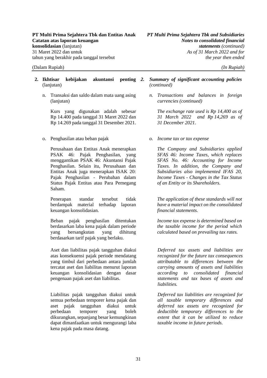n. Transaksi dan saldo dalam mata uang asing (lanjutan)

Kurs yang digunakan adalah sebesar Rp 14.400 pada tanggal 31 Maret 2022 dan Rp 14.269 pada tanggal 31 Desember 2021.

o. Penghasilan atau beban pajak *o. Income tax or tax expense* 

Perusahaan dan Entitas Anak menerapkan PSAK 46: Pajak Penghasilan, yang menggantikan PSAK 46: Akuntansi Pajak Penghasilan. Selain itu, Perusahaan dan Entitas Anak juga menerapkan ISAK 20: Pajak Penghasilan - Perubahan dalam Status Pajak Entitas atau Para Pemegang Saham.

Penerapan standar tersebut tidak berdampak material terhadap laporan keuangan konsolidasian.

Beban pajak penghasilan ditentukan berdasarkan laba kena pajak dalam periode yang bersangkutan yang dihitung berdasarkan tarif pajak yang berlaku.

Aset dan liabilitas pajak tangguhan diakui atas konsekuensi pajak periode mendatang yang timbul dari perbedaan antara jumlah tercatat aset dan liabilitas menurut laporan keuangan konsolidasian dengan dasar pengenaan pajak aset dan liabilitas.

Liabilitas pajak tangguhan diakui untuk semua perbedaan temporer kena pajak dan aset pajak tangguhan diakui untuk perbedaan temporer yang boleh dikurangkan, sepanjang besar kemungkinan dapat dimanfaatkan untuk mengurangi laba kena pajak pada masa datang.

#### *2. Summary of significant accounting policies (continued)*

*n. Transactions and balances in foreign currencies (continued)* 

*The exchange rate used is Rp 14,400 as of 31 March 2022 and Rp 14,269 as of 31 December 2021.* 

*The Company and Subsidiaries applied SFAS 46: Income Taxes, which replaces SFAS No. 46: Accounting for Income Taxes. In addition, the Company and Subsidiaries also implemented IFAS 20, Income Taxes - Changes in the Tax Status of an Entity or its Shareholders.* 

*The application of these standards will not have a material impact on the consolidated financial statements.* 

*Income tax expense is determined based on the taxable income for the period which calculated based on prevailing tax rates.* 

*Deferred tax assets and liabilities are recognized for the future tax consequences attributable to differences between the carrying amounts of assets and liabilities according to consolidated financial statements and tax bases of assets and liabilities.* 

*Deferred tax liabilities are recognized for all taxable temporary differences and deferred tax assets are recognized for deductible temporary differences to the extent that it can be utilized to reduce taxable income in future periods.*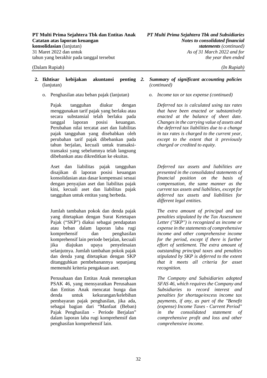o. Penghasilan atau beban pajak (lanjutan) *o. Income tax or tax expense (continued)* 

Pajak tangguhan diukur dengan menggunakan tarif pajak yang berlaku atau secara substansial telah berlaku pada tanggal laporan posisi keuangan. Perubahan nilai tercatat aset dan liabilitas pajak tangguhan yang disebabkan oleh perubahan tarif pajak dibebankan pada tahun berjalan, kecuali untuk transaksitransaksi yang sebelumnya telah langsung dibebankan atau dikreditkan ke ekuitas.

Aset dan liabilitas pajak tangguhan disajikan di laporan posisi keuangan konsolidasian atas dasar kompensasi sesuai dengan penyajian aset dan liabilitas pajak kini, kecuali aset dan liabilitas pajak tangguhan untuk entitas yang berbeda.

Jumlah tambahan pokok dan denda pajak yang ditetapkan dengan Surat Ketetapan Pajak ("SKP") diakui sebagai pendapatan atau beban dalam laporan laba rugi komprehensif dan penghasilan komprehensif lain periode berjalan, kecuali jika diajukan upaya penyelesaian selanjutnya. Jumlah tambahan pokok pajak dan denda yang ditetapkan dengan SKP ditangguhkan pembebanannya sepanjang memenuhi kriteria pengakuan aset.

Perusahaan dan Entitas Anak menerapkan PSAK 46, yang mensyaratkan Perusahaan dan Entitas Anak mencatat bunga dan denda untuk kekurangan/kelebihan pembayaran pajak penghasilan, jika ada, sebagai bagian dari "Manfaat (Beban) Pajak Penghasilan - Periode Berjalan" dalam laporan laba rugi komprehensif dan penghasilan komprehensif lain.

#### *2. Summary of significant accounting policies (continued)*

*Deferred tax is calculated using tax rates that have been enacted or substantively enacted at the balance of sheet date. Changes in the carrying value of assets and the deferred tax liabilities due to a change in tax rates is charged to the current year, except to the extent that it previously charged or credited to equity.* 

*Deferred tax assets and liabilities are presented in the consolidated statements of financial position on the basis of compensation, the same manner as the current tax assets and liabilities, except for deferred tax assets and liabilities for different legal entities.* 

*The extra amount of principal and tax penalties stipulated by the Tax Assessment Letter ("SKP") is recognized as income or expense in the statements of comprehensive income and other comprehensive income for the period, except if there is further effort of settlement. The extra amount of outstanding principal taxes and penalties stipulated by SKP is deferred to the extent that it meets all criteria for asset recognition.* 

*The Company and Subsidiaries adopted SFAS 46, which requires the Company and Subsidiaries to record interest and penalties for shortage/excess income tax payments, if any, as part of the "Benefit (expense) Income Taxes - Current Period" in the consolidated statement of comprehensive profit and loss and other comprehensive income.*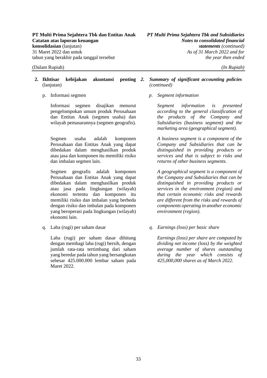- **2. Ikhtisar kebijakan akuntansi penting**  (lanjutan)
	-

Informasi segmen disajikan menurut pengelompokan umum produk Perusahaan dan Entitas Anak (segmen usaha) dan wilayah pemasarannya (segmen geografis).

Segmen usaha adalah komponen Perusahaan dan Entitas Anak yang dapat dibedakan dalam menghasilkan produk atau jasa dan komponen itu memiliki risiko dan imbalan segmen lain.

Segmen geografis adalah komponen Perusahaan dan Entitas Anak yang dapat dibedakan dalam menghasilkan produk atau jasa pada lingkungan (wilayah) ekonomi tertentu dan komponen itu memiliki risiko dan imbalan yang berbeda dengan risiko dan imbalan pada komponen yang beroperasi pada lingkungan (wilayah) ekonomi lain.

Laba (rugi) per saham dasar dihitung dengan membagi laba (rugi) bersih, dengan jumlah rata-rata tertimbang dari saham yang beredar pada tahun yang bersangkutan sebesar 425.000.000 lembar saham pada Maret 2022.

#### *2. Summary of significant accounting policies (continued)*

p. Informasi segmen *p. Segment information* 

*Segment information is presented according to the general classification of the products of the Company and Subsidiaries (business segment) and the marketing area (geographical segment).* 

*A business segment is a component of the Company and Subsidiaries that can be distinguished in providing products or services and that is subject to risks and returns of other business segments.* 

*A geographical segment is a component of the Company and Subsidiaries that can be distinguished in providing products or services in the environment (region) and that certain economic risks and rewards are different from the risks and rewards of components operating in another economic environment (region).* 

q. Laba (rugi) per saham dasar *q. Earnings (loss) per basic share* 

*Earnings (loss) per share are computed by dividing net income (loss) by the weighted average number of shares outstanding during the year which consists of 425,000,000 shares as of March 2022.*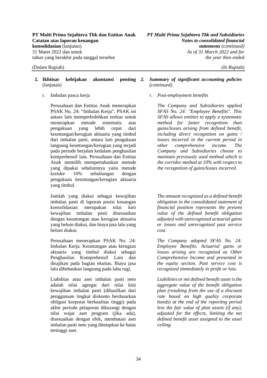### **2. Ikhtisar kebijakan akuntansi penting**  (lanjutan)

Perusahaan dan Entitas Anak menerapkan PSAK No. 24: "Imbalan Kerja". PSAK ini antara lain memperbolehkan entitas untuk menerapkan metode sistematis atas pengakuan yang lebih cepat dari keuntungan/kerugian aktuaria yang timbul dari imbalan pasti, antara lain pengakuan langsung keuntungan/kerugian yang terjadi pada periode berjalan kedalam penghasilan komprehensif lain. Perusahaan dan Entitas Anak memilih mempertahankan metode yang dipakai sebelumnya yaitu metode koridor 10% sehubungan dengan pengakuan keuntungan/kerugian aktuaria yang timbul.

Jumlah yang diakui sebagai kewajiban imbalan pasti di laporan posisi keuangan konsolidasian merupakan nilai kini kewajiban imbalan pasti disesuaikan dengan keuntungan atau kerugian aktuaria yang belum diakui, dan biaya jasa lalu yang belum diakui.

Perusahaan menerapkan PSAK No. 24: Imbalan Kerja. Keuntungan atau kerugian aktuaria yang timbul diakui sebagai Penghasilan Komprehensif Lain dan disajikan pada bagian ekuitas. Biaya jasa lalu dibebankan langsung pada laba rugi.

Liabilitas atau aset imbalan pasti neto adalah nilai agregat dari nilai kini kewajiban imbalan pasti (dihasilkan dari penggunaan tingkat diskonto berdasarkan obligasi korporat berkualitas tinggi) pada akhir periode pelaporan dikurangi dengan nilai wajar aset program (jika ada), disesuaikan dengan efek, membatasi aset imbalan pasti neto yang ditetapkan ke batas tertinggi aset.

### *2. Summary of significant accounting policies (continued)*

r. Imbalan pasca kerja *r. Post-employment benefits* 

*The Company and Subsidiaries applied SFAS No. 24: "Employee Benefits". This SFAS allows entities to apply a systematic method for faster recognition than gains/losses arising from defined benefit, including direct recognition on gains / losses incurred in the current period in other comprehensive income. The Company and Subsidiaries choose to maintain previously used method which is the corridor method at 10% with respect to the recognition of gains/losses incurred.* 

*The amount recognized as a defined benefit obligation in the consolidated statement of financial position represents the present value of the defined benefit obligation adjusted with unrecognized actuarial gains or losses and unrecognized past service cost.* 

*The Company adopted SFAS No. 24: Employee Benefits. Actuarial gains or losses arising are recognized as Other Comprehensive Income and presented in the equity section. Past service cost is recognized immediately in profit or loss.* 

*Liabilities or net defined benefit asset is the aggregate value of the benefit obligation plan (resulting from the use of a discount rate based on high quality corporate bonds) at the end of the reporting period less the fair value of plan assets (if any), adjusted for the effects, limiting the net defined benefit asset assigned to the asset ceiling.*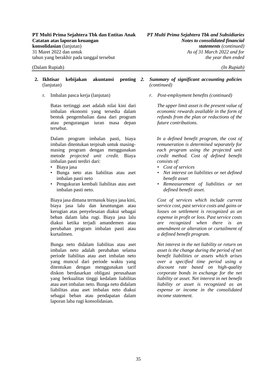### **2. Ikhtisar kebijakan akuntansi penting**  (lanjutan)

Batas tertinggi aset adalah nilai kini dari imbalan ekonomi yang tersedia dalam bentuk pengembalian dana dari program atau pengurangan iuran masa depan tersebut.

Dalam program imbalan pasti, biaya imbalan ditentukan terpisah untuk masingmasing program dengan menggunakan metode *projected unit credit*. Biaya imbalan pasti terdiri dari:

- Biaya jasa
- Bunga neto atas liabilitas atau aset imbalan pasti neto
- Pengukuran kembali liabilitas atau aset imbalan pasti neto.

Biaya jasa dimana termasuk biaya jasa kini, biaya jasa lalu dan keuntungan atau kerugian atas penyelesaian diakui sebagai beban dalam laba rugi. Biaya jasa lalu diakui ketika terjadi amandemen atau perubahan program imbalan pasti atau kurtailmen.

Bunga neto didalam liabilitas atau aset imbalan neto adalah perubahan selama periode liabilitas atau aset imbalan neto yang muncul dari periode waktu yang ditentukan dengan menggunakan tarif diskon berdasarkan obligasi perusahaan yang berkualitas tinggi kedalam liabilitas atau aset imbalan neto. Bunga neto didalam liabilitas atau aset imbalan neto diakui sebagai beban atau pendapatan dalam laporan laba rugi konsolidasian.

### *2. Summary of significant accounting policies (continued)*

r. Imbalan pasca kerja (lanjutan) *r. Post-employment benefits (continued)* 

*The upper limit asset is the present value of economic rewards available in the form of refunds from the plan or reductions of the future contributions.* 

*In a defined benefit program, the cost of remuneration is determined separately for each program using the projected unit credit method. Cost of defined benefit consists of:* 

- *Cost of services*
- *Net interest on liabilities or net defined benefit asset*
- *Remeasurement of liabilities or net defined benefit asset.*

*Cost of services which include current service cost, past service costs and gains or losses on settlement is recognized as an expense in profit or loss. Past service costs are recognized when there is an amendment or alteration or curtailment of a defined benefit program.* 

*Net interest in the net liability or return on asset is the change during the period of net benefit liabilities or assets which arises over a specified time period using a discount rate based on high-quality corporate bonds in exchange for the net liability or asset. Net interest in net benefit liability or asset is recognized as an expense or income in the consolidated income statement.*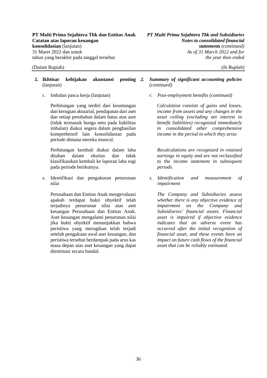### **2. Ikhtisar kebijakan akuntansi penting**  (lanjutan)

Perhitungan yang terdiri dari keuntungan dan kerugian aktuarial, pendapatan dari aset dan setiap perubahan dalam batas atas aset (tidak termasuk bunga neto pada liabilitas imbalan) diakui segera dalam penghasilan komprehensif lain konsolidasian pada periode dimana mereka muncul.

Perhitungan kembali diakui dalam laba ditahan dalam ekuitas dan tidak klasifikasikan kembali ke laporan laba rugi pada periode berikutnya.

s. Identifikasi dan pengukuran penurunan nilai

Perusahaan dan Entitas Anak mengevaluasi apakah terdapat bukti obyektif telah terjadinya penurunan nilai atas aset keuangan Perusahaan dan Entitas Anak. Aset keuangan mengalami penurunan nilai jika bukti obyektif menunjukkan bahwa peristiwa yang merugikan telah terjadi setelah pengakuan awal aset keuangan, dan peristiwa tersebut berdampak pada arus kas masa depan atas aset keuangan yang dapat diestimasi secara handal.

### *2. Summary of significant accounting policies (continued)*

r. Imbalan pasca kerja (lanjutan) *r. Post-employment benefits (continued)* 

*Calculation consists of gains and losses, income from assets and any changes in the asset ceiling (excluding net interest in benefit liabilities) recognized immediately in consolidated other comprehensive income in the period in which they arise.* 

*Recalculations are recognized in retained earnings in equity and are not reclassified to the income statement in subsequent periods.* 

*s. Identification and measurement of impairment* 

*The Company and Subsidiaries assess whether there is any objective evidence of impairment on the Company and Subsidiaries' financial assets. Financial asset is impaired if objective evidence indicates that an adverse event has occurred after the initial recognition of financial asset, and these events have an impact on future cash flows of the financial asset that can be reliably estimated.*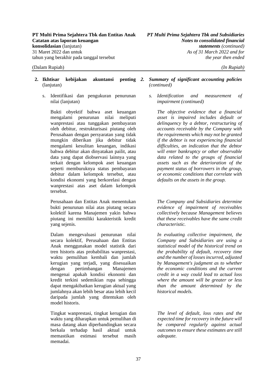- **2. Ikhtisar kebijakan akuntansi penting**  (lanjutan)
	- s. Identifikasi dan pengukuran penurunan nilai (lanjutan)

Bukti obyektif bahwa aset keuangan mengalami penurunan nilai meliputi wanprestasi atau tunggakan pembayaran oleh debitur, restrukturisasi piutang oleh Perusahaan dengan persyaratan yang tidak mungkin diberikan jika debitur tidak mengalami kesulitan keuangan, indikasi bahwa debitur akan dinyatakan pailit, atau data yang dapat diobservasi lainnya yang terkait dengan kelompok aset keuangan seperti memburuknya status pembayaran debitur dalam kelompok tersebut, atau kondisi ekonomi yang berkorelasi dengan wanprestasi atas aset dalam kelompok tersebut.

Perusahaan dan Entitas Anak menentukan bukti penurunan nilai atas piutang secara kolektif karena Manajemen yakin bahwa piutang ini memiliki karakteristik kredit yang sejenis.

Dalam mengevaluasi penurunan nilai secara kolektif, Perusahaan dan Entitas Anak menggunakan model statistik dari tren historis atas probabilitas wanprestasi, waktu pemulihan kembali dan jumlah kerugian yang terjadi, yang disesuaikan dengan pertimbangan Manajemen mengenai apakah kondisi ekonomi dan kredit terkini sedemikian rupa sehingga dapat mengakibatkan kerugian aktual yang jumlahnya akan lebih besar atau lebih kecil daripada jumlah yang ditentukan oleh model historis.

Tingkat wanprestasi, tingkat kerugian dan waktu yang diharapkan untuk pemulihan di masa datang akan diperbandingkan secara berkala terhadap hasil aktual untuk memastikan estimasi tersebut masih memadai.

### *2. Summary of significant accounting policies (continued)*

*s. Identification and measurement of impairment (continued)* 

*The objective evidence that a financial asset is impaired includes default or delinquency by a debtor, restructuring of accounts receivable by the Company with the requirements which may not be granted if the debtor is not experiencing financial difficulties, an indication that the debtor will enter bankruptcy or other observable data related to the groups of financial assets such as the deterioration of the payment status of borrowers in the group, or economic conditions that correlate with defaults on the assets in the group.* 

*The Company and Subsidiaries determine evidence of impairment of receivables collectively because Management believes that these receivables have the same credit characteristic.* 

*In evaluating collective impairment, the Company and Subsidiaries are using a statistical model of the historical trend on the probability of default, recovery time and the number of losses incurred, adjusted by Management's judgment as to whether the economic conditions and the current credit in a way could lead to actual loss where the amount will be greater or less than the amount determined by the historical models.* 

*The level of default, loss rates and the expected time for recovery in the future will be compared regularly against actual outcomes to ensure these estimates are still adequate.*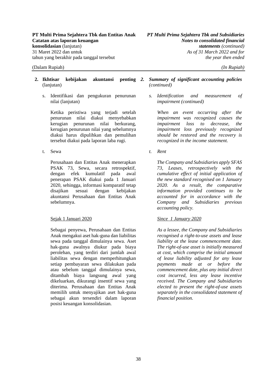- **2. Ikhtisar kebijakan akuntansi penting**  (lanjutan)
	- s. Identifikasi dan pengukuran penurunan nilai (lanjutan)

Ketika peristiwa yang terjadi setelah penurunan nilai diakui menyebabkan kerugian penurunan nilai berkurang, kerugian penurunan nilai yang sebelumnya diakui harus dipulihkan dan pemulihan tersebut diakui pada laporan laba rugi.

t. Sewa *t. Rent* 

Perusahaan dan Entitas Anak menerapkan PSAK 73, Sewa, secara retrospektif, dengan efek kumulatif pada awal penerapan PSAK diakui pada 1 Januari 2020, sehingga, informasi komparatif tetap disajikan sesuai dengan kebijakan akuntansi Perusahaan dan Entitas Anak sebelumnya.

Sebagai penyewa, Perusahaan dan Entitas Anak mengakui aset hak-guna dan liabilitas sewa pada tanggal dimulainya sewa. Aset hak-guna awalnya diukur pada biaya perolehan, yang terdiri dari jumlah awal liabilitas sewa dengan memperhitungkan setiap pembayaran sewa dilakukan pada atau sebelum tanggal dimulainya sewa, ditambah biaya langsung awal yang dikeluarkan, dikurangi insentif sewa yang diterima. Perusahaan dan Entitas Anak memilih untuk menyajikan aset hak-guna sebagai akun tersendiri dalam laporan posisi keuangan konsolidasian.

- *2. Summary of significant accounting policies (continued)*
	- *s. Identification and measurement of impairment (continued)*

*When an event occurring after the impairment was recognized causes the impairment loss to decrease, the impairment loss previously recognized should be restored and the recovery is recognized in the income statement.* 

*The Company and Subsidiaries apply SFAS 73, Leases, retrospectively with the cumulative effect of initial application of the new standard recognised on 1 January 2020. As a result, the comparative information provided continues to be accounted for in accordance with the Company and Subsidiaries previous accounting policy.* 

### Sejak 1 Januari 2020 *Since 1 January 2020*

*As a lessee, the Company and Subsidiaries recognised a right-to-use assets and lease liability at the lease commencement date. The right-of-use asset is initially measured at cost, which comprise the initial amount of lease liability adjusted for any lease payments made at or before the commencement date, plus any initial direct cost incurred, less any lease incentive received. The Company and Subsidiaries elected to present the right-of-use assets separately in the consolidated statement of financial position.*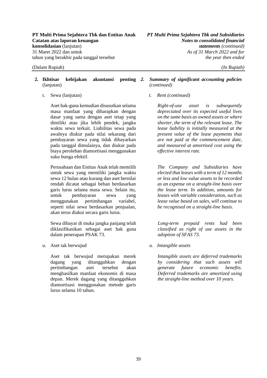- **2. Ikhtisar kebijakan akuntansi penting**  (lanjutan)
	-

Aset hak-guna kemudian disusutkan selama masa manfaat yang diharapkan dengan dasar yang sama dengan aset tetap yang dimiliki atau jika lebih pendek, jangka waktu sewa terkait. Liabilitas sewa pada awalnya diukur pada nilai sekarang dari pembayaran sewa yang tidak dibayarkan pada tanggal dimulainya, dan diukur pada biaya perolehan diamortisasi menggunakan suku bunga efektif.

Perusahaan dan Entitas Anak telah memilih untuk sewa yang memiliki jangka waktu sewa 12 bulan atau kurang dan aset bernilai rendah dicatat sebagai beban berdasarkan garis lurus selama masa sewa. Selain itu, untuk pembayaran sewa yang menggunakan pertimbangan variabel, seperti nilai sewa berdasarkan penjualan, akan terus diakui secara garis lurus.

Sewa dibayar di muka jangka panjang telah diklasifikasikan sebagai aset hak guna dalam penerapan PSAK 73.

u. Aset tak berwujud *u. Intangible assets* 

Aset tak berwujud merupakan merek dagang yang ditangguhkan dengan pertimbangan aset tersebut akan menghasilkan manfaat ekonomis di masa depan. Merek dagang yang ditangguhkan diamortisasi menggunakan metode garis lurus selama 10 tahun.

### *2. Summary of significant accounting policies (continued)*

t. Sewa (lanjutan) *t. Rent (continued)* 

*Right-of-use asset is subsequently depreciated over its expected useful lives on the same basis as owned assets or where shorter, the term of the relevant lease. The lease liability is initially measured at the present value of the lease payments that are not paid at the commencement date, and measured at amortised cost using the effective interest rate.* 

*The Company and Subsidiaries have elected that leases with a term of 12 months or less and low value assets to be recorded as an expense on a straight-line basis over the lease term. In addition, amounts for leases with variable consideration, such as lease value based on sales, will continue to be recognised on a straight-line basis.* 

*Long-term prepaid rents had been classified as right of use assets in the adoption of SFAS 73.* 

*Intangible assets are deferred trademarks by considering that such assets will generate future economic benefits. Deferred trademarks are amortized using the straight-line method over 10 years.*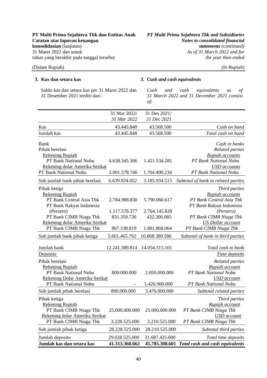Saldo kas dan setara kas per 31 Maret 2022 dan 31 Desember 2021 terdiri dari :

### **3. Kas dan setara kas** *3. Cash and cash equivalents*

*Cash and cash equivalents as of 31 March 2022 and 31 December 2021 consist of:* 

|                                | 31 Mar 2022/<br>31 Mar 2022 | 31 Des 2021/<br>31 Dec 2021 |                                                |
|--------------------------------|-----------------------------|-----------------------------|------------------------------------------------|
| Kas                            | 43.445.848                  | 43.568.500                  | Cash on hand                                   |
| Jumlah kas                     | 43.445.848                  | 43.568.500                  | Total cash on hand                             |
| Bank                           |                             |                             | Cash in banks                                  |
| Pihak berelasi                 |                             |                             | <b>Related parties</b>                         |
| <b>Rekening Rupiah</b>         |                             |                             | Rupiah accounts                                |
| PT Bank National Nobu          | 4.638.345.306               | 1.421.534.281               | PT Bank National Nobu                          |
| Rekening dolar Amerika Serikat |                             |                             | USD accounts                                   |
| PT Bank National Nobu          | 2.001.578.746               | 1.764.400.234               | PT Bank National Nobu                          |
| Sub jumlah bank pihak berelasi | 6.639.924.052               | 3.185.934.515               | Subtotal of bank in related parties            |
| Pihak ketiga                   |                             |                             | Third parties                                  |
| <b>Rekening Rupiah</b>         |                             |                             | Rupiah accounts                                |
| PT Bank Central Asia Tbk       | 2.784.988.830               | 5.790.060.617               | PT Bank Central Asia Tbk                       |
| PT Bank Rakyat Indonesia       |                             |                             | PT Bank Rakyat Indonesia                       |
| (Persero)                      | 1.117.578.377               | 2.764.145.820               | (Persero)                                      |
| PT Bank CIMB Niaga Tbk         | 831.359.736                 | 432.306.085                 | PT Bank CIMB Niaga Tbk                         |
| Rekening dolar Amerika Serikat |                             |                             | <b>US Dollar account</b>                       |
| PT Bank CIMB Niaga Tbk         | 867.538.819                 | 1.881.868.064               | PT Bank CIMB Niaga Tbk                         |
| Sub jumlah bank pihak ketiga   | 5.601.465.762               | 10.868.380.586              | Subtotal of bank in third parties              |
| Jumlah bank                    | 12.241.389.814              | 14.054.315.101              | Total cash in bank                             |
|                                |                             |                             |                                                |
| Deposito                       |                             |                             | Time deposits                                  |
| Pihak berelasi                 |                             |                             | <b>Related parties</b>                         |
| <b>Rekening Rupiah</b>         |                             |                             | Rupiah account                                 |
| PT Bank National Nobu          | 800.000.000                 | 2.050.000.000               | PT Bank National Nobu                          |
| Rekening Dolar Amerika Serikat |                             |                             | <b>USD</b> account                             |
| PT Bank National Nobu          |                             | 1.426.900.000               | PT Bank National Nobu                          |
| Sub jumlah pihak berelasi      | 800.000.000                 | 3.476.900.000               | Subtotal related parties                       |
| Pihak ketiga                   |                             |                             | Third parties                                  |
| <b>Rekening Rupiah</b>         |                             |                             | Rupiah account                                 |
| PT Bank CIMB Niaga Tbk         | 25.000.000.000              | 25.000.000.000              | PT Bank CIMB Niaga Tbk                         |
| Rekening dolar Amerika Serikat |                             |                             | <b>USD</b> account                             |
| PT Bank CIMB Niaga Tbk         | 3.228.525.000               | 3.210.525.000               | PT Bank CIMB Niaga Tbk                         |
| Sub jumlah pihak ketiga        | 28.228.525.000              | 28.210.525.000              | Subtotal third parties                         |
| Jumlah deposito                | 29.028.525.000              | 31.687.425.000              | Total time deposits                            |
| Jumlah kas dan setara kas      | 41.313.360.662              |                             | 45.785.308.601 Total cash and cash equivalents |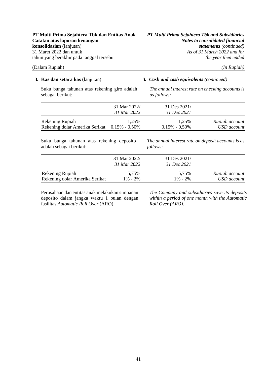Suku bunga tahunan atas rekening giro adalah sebagai berikut:

### **3. Kas dan setara kas** (lanjutan) *3. Cash and cash equivalents (continued)*

*The annual interest rate on checking accounts is as follows:* 

|                                              | 31 Mar 2022/ | 31 Des 2021/      |                |
|----------------------------------------------|--------------|-------------------|----------------|
|                                              | 31 Mar 2022  | 31 Dec 2021       |                |
| Rekening Rupiah                              | 1.25%        | 1.25%             | Rupiah account |
| Rekening dolar Amerika Serikat 0,15% - 0,50% |              | $0,15\% - 0,50\%$ | USD account    |

Suku bunga tahunan atas rekening deposito adalah sebagai berikut:

*The annual interest rate on deposit accounts is as follows:* 

|                                | 31 Mar 2022/ | 31 Des 2021/ |                |
|--------------------------------|--------------|--------------|----------------|
|                                | 31 Mar 2022  | 31 Dec 2021  |                |
| Rekening Rupiah                | 5.75%        | 5.75%        | Rupiah account |
| Rekening dolar Amerika Serikat | $1\% - 2\%$  | $1\% - 2\%$  | USD account    |

Perusahaan dan entitas anak melakukan simpanan deposito dalam jangka waktu 1 bulan dengan fasilitas *Automatic Roll Over* (ARO).

*The Company and subsidiaries save its deposits within a period of one month with the Automatic Roll Over (ARO).*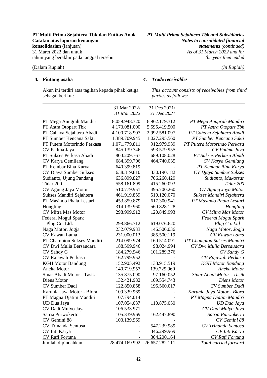# **PT Multi Prima Sejahtera Tbk dan Entitas Anak** *PT Multi Prima Sejahtera Tbk and Subsidiaries*

### (Dalam Rupiah) *(In Rupiah)*

### **4. Piutang usaha**

Akun ini terdiri atas tagihan kepada pihak ketiga sebagai berikut:

### *4. Trade receivables*

*This account consists of receivables from third parties as follows:* 

|                             | 31 Mar 2022/   | 31 Des 2021/   |                             |
|-----------------------------|----------------|----------------|-----------------------------|
|                             | 31 Mar 2022    | 31 Dec 2021    |                             |
| PT Mega Anugrah Mandiri     | 8.059.948.320  | 6.962.179.312  | PT Mega Anugrah Mandiri     |
| PT Astra Otopart Tbk        | 4.173.081.000  | 5.595.419.500  | PT Astra Otopart Tbk        |
| PT Cahaya Sejahtera Abadi   | 4.100.718.907  | 2.992.581.097  | PT Cahaya Sejahtera Abadi   |
| PT Sumber Kencana Sakti     | 1.389.709.945  | 1.027.295.560  | PT Sumber Kencana Sakti     |
| PT Putera Motorindo Perkasa | 1.071.779.811  | 912.979.939    | PT Putera Motorindo Perkasa |
| CV Padma Jaya               | 845.139.746    | 593.579.955    | CV Padma Jaya               |
| PT Sukses Perkasa Abadi     | 800.209.767    | 689.108.028    | PT Sukses Perkasa Abadi     |
| CV Karya Gemilang           | 684.399.796    | 464.740.035    | CV Karya Gemilang           |
| PT Kembar Bina Karya        | 640.399.819    |                | PT Kembar Bina Karya        |
| CV Djaya Sumber Sukses      | 638.319.810    | 330.190.182    | CV Djaya Sumber Sukses      |
| Sudianto, Ujung Pandang     | 636.899.827    | 706.260.429    | Sudianto, Makassar          |
| Tidar 200                   | 558.161.899    | 415.260.093    | Tidar 200                   |
| CV Agung Jaya Motor         | 510.779.951    | 495.700.260    | CV Agung Jaya Motor         |
| Sukses Mandiri Sejahtera    | 461.919.859    | 510.120.070    | Sukses Mandiri Sejahtera    |
| PT Masindo Phala Lestari    | 453.859.879    | 617.300.941    | PT Masindo Phala Lestari    |
| Hongling                    | 314.139.960    | 560.828.128    | Hongling                    |
| <b>CV Mitra Mas Motor</b>   | 298.999.912    | 120.849.993    | CV Mitra Mas Motor          |
| Federal Mogul Spark         |                |                | Federal Mogul Spark         |
| Plug Co. Ltd.               | 298.866.712    | 619.076.620    | Plug Co. Ltd                |
| Naga Motor, Jogja           | 232.079.933    | 146.500.036    | Naga Motor, Jogja           |
| CV Kawan Lama               | 231.000.013    | 385.500.119    | CV Kawan Lama               |
| PT Champion Sukses Mandiri  | 214.099.974    | 160.514.091    | PT Champion Sukses Mandiri  |
| CV Dwi Mulia Bersaudara     | 188.599.946    | 98.024.994     | CV Dwi Mulia Bersaudara     |
| CV Sahdy G                  | 184.279.946    | 101.289.376    | CV Sahdy G                  |
| CV Rajawali Perkasa         | 162.799.952    |                | CV Rajawali Perkasa         |
| <b>KGH Motor Bandung</b>    | 152.905.492    | 138.915.519    | <b>KGH Motor Bandung</b>    |
| Aneka Motor                 | 140.719.957    | 139.729.960    | Aneka Motor                 |
| Sinar Abadi Motor - Tasik   | 135.875.090    | 97.160.052     | Sinar Abadi Motor - Tasik   |
| Diens Motor                 | 132.421.982    | 109.554.743    | Diens Motor                 |
| CV Sumber Dadi              | 122.850.858    | 195.560.017    | CV Sumber Dadi              |
| Karunia Jaya Motor - Blora  | 109.339.969    |                | Karunia Jaya Motor - Blora  |
| PT Magna Djatim Mandiri     | 107.794.014    |                | PT Magna Djatim Mandiri     |
| UD Dua Jaya                 | 107.054.037    | 110.875.050    | UD Dua Jaya                 |
| CV Dadi Mulyo Jaya          | 106.533.971    |                | CV Dadi Mulyo Jaya          |
| Satria Purwokerto           | 105.339.969    | 162.447.890    | Satria Purwokerto           |
| CV Gemini 88                | 103.139.969    |                | CV Gemini 88                |
| CV Trinanda Sentosa         |                | 547.239.989    | CV Trinanda Sentosa         |
| CV Inti Karya               |                | 346.299.969    | CV Inti Karya               |
| <b>CV Rafi Fortuna</b>      |                | 304.200.164    | CV Rafi Fortuna             |
| Jumlah dipindahkan          | 28.474.169.992 | 26.657.282.111 | Total carried forward       |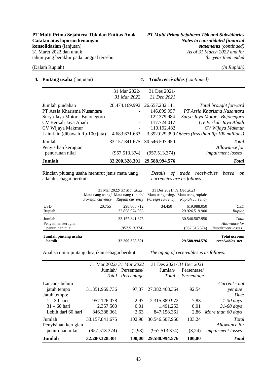**4. Piutang usaha** (lanjutan) *4. Trade receivables (continued)*

| <b>Jumlah</b>                   | 32.200.328.301                | 29.588.994.576 | <b>Total</b>                                       |
|---------------------------------|-------------------------------|----------------|----------------------------------------------------|
| penurunan nilai                 | (957.513.374)                 | (957.513.374)  | <i>impairment losses</i>                           |
| Penyisihan kerugian             |                               |                | Allowance for                                      |
| Jumlah                          | 33.157.841.675                | 30.546.507.950 | Total                                              |
| Lain-lain (dibawah Rp 100 juta) | 4.683.671.683                 |                | 3.392.029.399 Others (less than $Rp$ 100 millions) |
| CV Wijaya Makmur                |                               | 110.192.482    | CV Wijaya Makmur                                   |
| CV Berkah Jaya Abadi            | $\overline{\phantom{0}}$      | 117.724.017    | CV Berkah Jaya Abadi                               |
| Surya Jaya Motor - Bojonegoro   |                               | 122.379.984    | Surya Jaya Motor - Bojonegoro                      |
| PT Assia Kharisma Nusantara     |                               | 146.899.957    | PT Assia Kharisma Nusantara                        |
| Jumlah pindahan                 | 28.474.169.992 26.657.282.111 |                | Total brought forward                              |
|                                 | 31 Mar 2022                   | 31 Dec 2021    |                                                    |
|                                 | 31 Mar 2022/                  | 31 Des 2021/   |                                                    |

Rincian piutang usaha menurut jenis mata uang adalah sebagai berikut:

*Details of trade receivables based on currencies are as follows:* 

|                                |                         | 31 Mar 2022/ 31 Mar 2022                                               | 31 Des 2021/31 Dec 2021            |                 |                                          |
|--------------------------------|-------------------------|------------------------------------------------------------------------|------------------------------------|-----------------|------------------------------------------|
|                                | <i>Foreign currency</i> | Mata uang asing/ Mata uang rupiah/<br>Rupiah currency Foreign currency | Mata uang asing/ Mata uang rupiah/ | Rupiah currency |                                          |
| <b>USD</b>                     | 20.755                  | 298.866.712                                                            | 34.450                             | 619.988.050     | <i>USD</i>                               |
| Rupiah                         |                         | 32.858.974.963                                                         |                                    | 29.926.519.900  | Rupiah                                   |
| Jumlah<br>Penyisihan kerugian  |                         | 33.157.841.675                                                         |                                    | 30.546.507.950  | Total<br>Allowance for                   |
| penurunan nilai                |                         | (957.513.374)                                                          |                                    | (957.513.374)   | <i>impairment losses</i>                 |
| Jumlah piutang usaha<br>bersih |                         | 32.200.328.301                                                         |                                    | 29.588.994.576  | <b>Total account</b><br>receivables, net |

Analisa umur piutang disajikan sebagai berikut: *The aging of receivables is as follows:* 

|                     | 31 Mar 2022/31 Mar 2022 |             | 31 Des 2021/31 Dec 2021 |             |                          |
|---------------------|-------------------------|-------------|-------------------------|-------------|--------------------------|
|                     | Jumlah/                 | Persentase/ | Jumlah/                 | Persentase/ |                          |
|                     | Total                   | Percentage  | Total                   | Percentage  |                          |
| Lancar - belum      |                         |             |                         |             | Current - not            |
| jatuh tempo         | 31.351.969.736          | 97.37       | 27.382.468.364          | 92,54       | yet due                  |
| Jatuh tempo:        |                         |             |                         |             | Due:                     |
| $1 - 30$ hari       | 957.126.078             | 2,97        | 2.315.389.972           | 7,83        | $1-30$ days              |
| $31 - 60$ hari      | 2.357.500               | 0,01        | 1.491.253               | 0.01        | $31-60$ days             |
| Lebih dari 60 hari  | 846.388.361             | 2,63        | 847.158.361             |             | 2,86 More than 60 days   |
| Jumlah              | 33.157.841.675          | 102,98      | 30.546.507.950          | 103,24      | Total                    |
| Penyisihan kerugian |                         |             |                         |             | Allowance for            |
| penurunan nilai     | (957.513.374)           | (2,98)      | (957.513.374)           | (3,24)      | <i>impairment losses</i> |
| Jumlah              | 32.200.328.301          | 100,00      | 29.588.994.576          | 100,00      | <b>Total</b>             |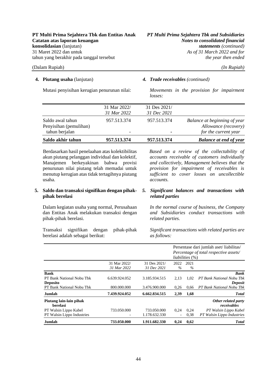### **4. Piutang usaha** (lanjutan) *4. Trade receivables (continued)*

Mutasi penyisihan kerugian penurunan nilai: *Movements in the provision for impairment losses:* 

| Saldo akhir tahun      | 957.513.374              | 957.513.374  | <b>Balance at end of year</b> |
|------------------------|--------------------------|--------------|-------------------------------|
| tahun berjalan         | $\overline{\phantom{a}}$ | ٠            | for the current year          |
| Penyisihan (pemulihan) |                          |              | Allowance (recovery)          |
| Saldo awal tahun       | 957.513.374              | 957.513.374  | Balance at beginning of year  |
|                        | 31 Mar 2022              | 31 Dec 2021  |                               |
|                        | 31 Mar 2022/             | 31 Des 2021/ |                               |
|                        |                          |              |                               |

Berdasarkan hasil penelaahan atas kolektibilitas akun piutang pelanggan individual dan kolektif, Manajemen berkeyakinan bahwa provisi penurunan nilai piutang telah memadai untuk menutup kerugian atas tidak tertagihnya piutang usaha.

### **5. Saldo dan transaksi signifikan dengan pihakpihak berelasi**

Dalam kegiatan usaha yang normal, Perusahaan dan Entitas Anak melakukan transaksi dengan pihak-pihak berelasi.

Transaksi signifikan dengan pihak-pihak berelasi adalah sebagai berikut:

*Based on a review of the collectability of accounts receivable of customers individually and collectively, Management believes that the provision for impairment of receivables is sufficient to cover losses on uncollectible accounts.*

### *5. Significant balances and transactions with related parties*

*In the normal course of business, the Company and Subsidiaries conduct transactions with related parties.*

*Significant transactions with related parties are as follows:*

|                                                             |                             |                             |                          | <i>liabilities</i> (%) | Persentase dari jumlah aset/liabilitas/<br>Percentage of total respective assets/ |
|-------------------------------------------------------------|-----------------------------|-----------------------------|--------------------------|------------------------|-----------------------------------------------------------------------------------|
|                                                             | 31 Mar 2022/<br>31 Mar 2022 | 31 Des 2021/<br>31 Dec 2021 | 2022<br>$\%$             | 2021<br>$\%$           |                                                                                   |
|                                                             |                             |                             |                          |                        |                                                                                   |
| <b>Bank</b><br>PT Bank National Nobu Thk<br><b>Deposito</b> | 6.639.924.052               | 3.185.934.515               | 2,13                     | 1,02                   | <b>Bank</b><br>PT Bank National Nobu Tbk<br>Deposit                               |
| PT Bank National Nobu Tbk                                   | 800.000.000                 | 3.476.900.000               | 0,26                     | 0,66                   | PT Bank National Nobu Tbk                                                         |
| Jumlah                                                      | 7.439.924.052               | 6.662.834.515               | 2,39                     | 1,68                   | <b>Total</b>                                                                      |
| Piutang lain-lain pihak<br><b>berelasi</b>                  |                             |                             |                          |                        | Other related party<br>receivables                                                |
| PT Walsin Lippo Kabel                                       | 733.050.000                 | 733.050.000                 | 0.24                     | 0,24                   | PT Walsin Lippo Kabel                                                             |
| PT Walsin Lippo Industries                                  | $\overline{\phantom{0}}$    | 1.178.632.330               | $\overline{\phantom{a}}$ | 0.38                   | PT Walsin Lippo Industries                                                        |
| <b>Jumlah</b>                                               | 733.050.000                 | 1.911.682.330               | 0,24                     | 0,62                   | <b>Total</b>                                                                      |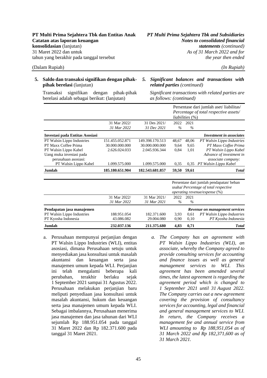### **5. Saldo dan transaksi signifikan dengan pihakpihak berelasi** (lanjutan)

*related parties (continued)*

*5. Significant balances and transactions with* 

Transaksi signifikan dengan pihak-pihak berelasi adalah sebagai berikut: (lanjutan)

*Significant transactions with related parties are as follows: (continued)*

|                                 |                 |                 |       |                        | Persentase dari jumlah aset/liabilitas/<br>Percentage of total respective assets/ |
|---------------------------------|-----------------|-----------------|-------|------------------------|-----------------------------------------------------------------------------------|
|                                 |                 |                 |       | <i>liabilities</i> (%) |                                                                                   |
|                                 | 31 Mar 2022/    | 31 Des 2021/    | 2022  | 2021                   |                                                                                   |
|                                 | 31 Mar 2022     | 31 Dec 2021     | $\%$  | $\%$                   |                                                                                   |
| Investasi pada Entitas Asosiasi |                 |                 |       |                        | <b>Investment in associates</b>                                                   |
| PT Walsin Lippo Industries      | 151.455.052.871 | 149.398.170.513 | 48,67 | 48,06                  | PT Walsin Lippo Industries                                                        |
| PT Maxx Coffee Prima            | 30.000.000.000  | 30.000.000.000  | 9,64  | 9,65                   | PT Maxx Coffee Prima                                                              |
| PT Walsin Lippo Kabel           | 2.626.024.033   | 2.045.936.344   | 0,84  | 1,01                   | PT Walsin Lippo Kabel                                                             |
| Uang muka investasi pada        |                 |                 |       |                        | Advance of investment in                                                          |
| perusahaan asosiasi:            |                 |                 |       |                        | associate company:                                                                |
| PT Walsin Lippo Kabel           | 1.099.575.000   | 1.099.575.000   | 0.35  | 0,35                   | PT Walsin Lippo Kabel                                                             |
| <b>Jumlah</b>                   | 185.180.651.904 | 182.543.681.857 | 59,50 | 59,61                  | <b>T</b> otal                                                                     |
|                                 |                 |                 |       |                        | Persentase dari jumlah pendapatan/beban                                           |
|                                 |                 |                 |       |                        | usahal Percentage of total respective                                             |
|                                 |                 |                 |       |                        | operating revenue/expense (%)                                                     |
|                                 | 31 Mar 2022/    | 31 Mar 2021/    | 2022  | 2021                   |                                                                                   |
|                                 | 31 Mar 2022     | 31 Mar 2021     | $\%$  | $\%$                   |                                                                                   |
| Pendapatan jasa manajemen       |                 |                 |       |                        | Revenue on management services                                                    |
| PT Walsin Lippo Industries      | 188.951.054     | 182.371.600     | 3.93  | 0,61                   | PT Walsin Lippo Industries                                                        |
| PT Kyosha Indonesia             | 43.086.082      | 29.004.080      | 0,90  | 0,10                   | PT Kyosha Indonesia                                                               |
| Jumlah                          | 232.037.136     | 211.375.680     | 4,83  | 0,71                   | <b>T</b> otal                                                                     |

- a. Perusahaan mempunyai perjanjian dengan PT Walsin Lippo Industries (WLI), entitas asosiasi, dimana Perusahaan setuju untuk menyediakan jasa konsultasi untuk masalah akuntansi dan keuangan serta jasa manajemen umum kepada WLI. Perjanjian ini telah mengalami beberapa kali perubahan, terakhir berlaku sejak 1 September 2021 sampai 31 Agustus 2022. Perusahaan melakukan perjanjian baru meliputi penyediaan jasa konsultasi untuk masalah akuntansi, hukum dan keuangan serta jasa manajemen umum kepada WLI. Sebagai imbalannya, Perusahaan menerima jasa manajemen dan jasa tahunan dari WLI sejumlah Rp 188.951.054 pada tanggal 31 Maret 2022 dan Rp 182.371.600 pada tanggal 31 Maret 2021.
- *a. The Company has an agreement with PT Walsin Lippo Industries (WLI), an associate, whereby the Company agreed to provide consulting services for accounting and finance issues as well as general management services to WLI. This agreement has been amended several times, the latest agreement is regarding the agreement period which is changed to 1 September 2021 until 31 August 2022. The Company carries out a new agreement covering the provision of consultancy services for accounting, legal and financial and general management services to WLI. In return, the Company receives a management fee and annual service from WLI amounting to Rp 188,951,054 as of 31 March 2022 and Rp 182,371,600 as of 31 March 2021.*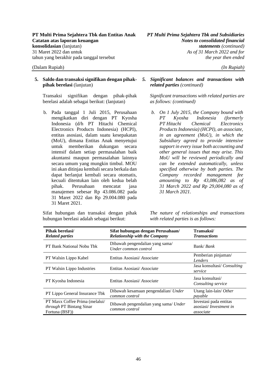### **5. Saldo dan transaksi signifikan dengan pihakpihak berelasi** (lanjutan)

Transaksi signifikan dengan pihak-pihak berelasi adalah sebagai berikut: (lanjutan)

b. Pada tanggal 1 Juli 2015, Perusahaan mengikatkan diri dengan PT Kyosha Indonesia (d/h PT Hitachi Chemical Electronics Products Indonesia) (HCPI), entitas asosiasi, dalam suatu kesepakatan (MoU), dimana Entitas Anak menyetujui untuk memberikan dukungan secara intensif dalam setiap permasalahan baik akuntansi maupun permasalahan lainnya secara umum yang mungkin timbul. MOU ini akan ditinjau kembali secara berkala dan dapat berlanjut kembali secara otomatis, kecuali ditentukan lain oleh kedua belah pihak. Perusahaan mencatat jasa manajemen sebesar Rp 43.086.082 pada 31 Maret 2022 dan Rp 29.004.080 pada 31 Maret 2021.

Sifat hubungan dan transaksi dengan pihak hubungan berelasi adalah sebagai berikut:

### *5. Significant balances and transactions with related parties (continued)*

*Significant transactions with related parties are as follows: (continued)*

*b. On 1 July 2015, the Company bound with PT Kyosha Indonesia (formerly PT Hitachi Chemical Electronics Products Indonesia) (HCPI), an associate, in an agreement (MoU), in which the Subsidiary agreed to provide intensive support in every issue both accounting and other general issues that may arise. This MoU will be reviewed periodically and can be extended automatically, unless specified otherwise by both parties. The Company recorded management fee amounting to Rp 43,086,082 as of 31 March 2022 and Rp 29,004,080 as of 31 March 2021.*

*The nature of relationships and transactions with related parties is as follows:*

| Pihak berelasi/<br><b>Related parties</b>                                    | Sifat hubungan dengan Perusahaan/<br><b>Relationship with the Company</b> | Transaksi/<br><b>Transactions</b>                                     |
|------------------------------------------------------------------------------|---------------------------------------------------------------------------|-----------------------------------------------------------------------|
| PT Bank National Nobu Thk                                                    | Dibawah pengendalian yang sama/<br>Under common control                   | Bank/ Bank                                                            |
| PT Walsin Lippo Kabel                                                        | Entitas Asosiasi/Associate                                                | Pemberian pinjaman/<br>Lenders                                        |
| <b>PT</b> Walsin Lippo Industries                                            | Entitas Asosiasi/Associate                                                | Jasa konsultasi/ Consulting<br>service                                |
| PT Kyosha Indonesia                                                          | Entitas Asosiasi/Associate                                                | Jasa konsultasi/<br>Consulting service                                |
| PT Lippo General Insurance Tbk                                               | Dibawah kesamaan pengendalian/ Under<br>common control                    | Utang lain-lain/ Other<br>payable                                     |
| PT Maxx Coffee Prima (melalui/<br>through PT Bintang Sinar<br>Fortuna (BSF)) | Dibawah pengendalian yang sama/ Under<br>common control                   | Investasi pada entitas<br>asosiasi/ <i>Investment in</i><br>associate |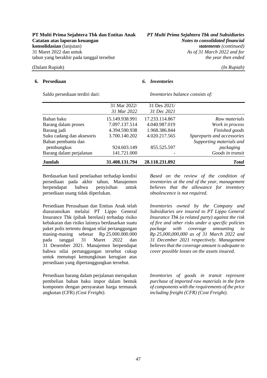### **6. Persediaan** *6. Inventories*

| Saldo persediaan terdiri dari: | Inventories balance consists of: |                             |                            |  |  |
|--------------------------------|----------------------------------|-----------------------------|----------------------------|--|--|
|                                | 31 Mar 2022/<br>31 Mar 2022      | 31 Des 2021/<br>31 Dec 2021 |                            |  |  |
| Bahan baku                     | 15.149.938.991                   | 17.233.114.867              | Raw materials              |  |  |
| Barang dalam proses            | 7.097.137.514                    | 4.040.987.019               | Work in process            |  |  |
| Barang jadi                    | 4.394.590.938                    | 1.968.386.844               | Finished goods             |  |  |
| Suku cadang dan aksesoris      | 3.700.140.202                    | 4.020.217.565               | Spareparts and accessories |  |  |
| Bahan pembantu dan             |                                  |                             | Supporting materials and   |  |  |
| pembungkus                     | 924.603.149                      | 855.525.597                 | packaging                  |  |  |
| Barang dalam perjalanan        | 141.721.000                      |                             | Goods in transit           |  |  |
| Jumlah                         | 31.408.131.794                   | 28.118.231.892              | <b>Total</b>               |  |  |

Berdasarkan hasil penelaahan terhadap kondisi persediaan pada akhir tahun, Manajemen berpendapat bahwa penyisihan untuk persediaan usang tidak diperlukan.

Persediaan Perusahaan dan Entitas Anak telah diasuransikan melalui PT Lippo General Insurance Tbk (pihak berelasi) terhadap risiko kebakaran dan risiko lainnya berdasarkan suatu paket polis tertentu dengan nilai pertanggungan masing-masing sebesar Rp 25.000.000.000 pada tanggal 31 Maret 2022 dan 31 Desember 2021. Manajemen berpendapat bahwa nilai pertanggungan tersebut cukup untuk menutupi kemungkinan kerugian atas persediaan yang dipertanggungkan tersebut.

Persediaan barang dalam perjalanan merupakan pembelian bahan baku impor dalam bentuk komponen dengan persyaratan harga termasuk angkutan (CFR) *(Cost Freight)*.

*Based on the review of the condition of inventories at the end of the year, management believes that the allowance for inventory obsolescence is not required.* 

*Inventories owned by the Company and Subsidiaries are insured to PT Lippo General Insurance Tbk (a related party) against the risk of fire and other risks under a specific policies package with coverage amounting to Rp 25,000,000,000 as of 31 March 2022 and 31 December 2021 respectively. Management believes that the coverage amount is adequate to cover possible losses on the assets insured.* 

*Inventories of goods in transit represent purchase of imported raw materials in the form of components with the requirements of the price including freight (CFR) (Cost Freight).*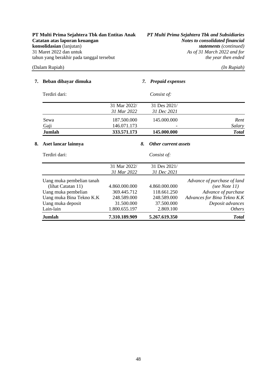**Catatan atas laporan keuangan** *Notes to consolidated financial*  **konsolidasian** (lanjutan) *statements (continued)* 31 Maret 2022 dan untuk *As of 31 March 2022 and for* tahun yang berakhir pada tanggal tersebut *the year then ended*

**PT Multi Prima Sejahtera Tbk dan Entitas Anak** *PT Multi Prima Sejahtera Tbk and Subsidiaries*

### (Dalam Rupiah) *(In Rupiah)*

### **7. Beban dibayar dimuka** *7. Prepaid expenses*

| Terdiri dari: | Consist of:                 |                             |              |
|---------------|-----------------------------|-----------------------------|--------------|
|               | 31 Mar 2022/<br>31 Mar 2022 | 31 Des 2021/<br>31 Dec 2021 |              |
| Sewa          | 187.500.000                 | 145.000.000                 | Rent         |
| Gaji          | 146.071.173                 |                             | Salary       |
| Jumlah        | 333.571.173                 | 145.000.000                 | <b>Total</b> |

### **8. Aset lancar lainnya** *8. Other current assets*

| 7.310.189.909 | 5.267.619.350 | <b>Total</b>                |
|---------------|---------------|-----------------------------|
| 1.800.655.197 | 2.869.100     | <i>Others</i>               |
| 31.500.000    | 37.500.000    | Deposit advances            |
| 248.589.000   | 248.589.000   | Advances for Bina Tekno K.K |
| 369.445.712   | 118.661.250   | Advance of purchase         |
| 4.860.000.000 | 4.860.000.000 | (see Note $11$ )            |
|               |               | Advance of purchase of land |
| 31 Mar 2022   | 31 Dec 2021   |                             |
| 31 Mar 2022/  | 31 Des 2021/  |                             |
|               | Consist of:   |                             |
|               |               |                             |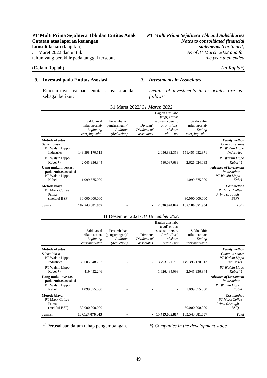### **9. Investasi pada Entitas Asosiasi** *9. Investments in Associates*

Rincian investasi pada entitas asosiasi adalah sebagai berikut:

*Details of investments in associates are as follows:* 

|                                                                          | Saldo awal<br>nilai tercatat/<br><b>Beginning</b><br>carrying value | Penambahan<br>(pengurangan)<br>Addition<br>(deduction) | Dividen/<br>Dividend of<br>associates | Bagian atas laba<br>(rugi) entitas<br>asosiasi - bersih/<br>Profit (loss)<br>of share<br>value - net | Saldo akhir<br>nilai tercatat/<br>Ending<br>carrying value |                                                                          |
|--------------------------------------------------------------------------|---------------------------------------------------------------------|--------------------------------------------------------|---------------------------------------|------------------------------------------------------------------------------------------------------|------------------------------------------------------------|--------------------------------------------------------------------------|
| Metode ekuitas<br>Saham biasa<br>PT Walsin Lippo<br><b>Industries</b>    | 149.398.170.513                                                     |                                                        |                                       | 2.056.882.358                                                                                        | 151.455.052.871                                            | <b>Equity method</b><br>Common shares<br>PT Walsin Lippo<br>Industries   |
| PT Walsin Lippo<br>Kabel $*$ )                                           | 2.045.936.344                                                       |                                                        |                                       | 580.087.689                                                                                          | 2.626.024.033                                              | PT Walsin Lippo<br>$Kabel *$                                             |
| Uang muka investasi<br>pada entitas asosiasi<br>PT Walsin Lippo<br>Kabel | 1.099.575.000                                                       |                                                        |                                       |                                                                                                      | 1.099.575.000                                              | <b>Advance of investment</b><br>in associate<br>PT Walsin Lippo<br>Kabel |
| Metode biava<br>PT Maxx Coffee<br>Prima<br>(melalui BSF)                 | 30.000.000.000                                                      |                                                        |                                       |                                                                                                      | 30.000.000.000                                             | Cost method<br>PT Maxx Coffee<br>Prima (through<br>BSF)                  |
| Jumlah                                                                   | 182.543.681.857                                                     |                                                        |                                       | 2.636.970.047                                                                                        | 185.180.651.904                                            | <b>Total</b>                                                             |

### 31 Maret 2022/ *31 March 2022*

### 31 Desember 2021/ *31 December 2021*

|                                                                              | Saldo awal<br>nilai tercatat/<br><b>Beginning</b><br>carrying value | Penambahan<br>(pengurangan)<br>Addition<br>(deduction) | Dividen/<br>Dividend of<br>associates | Bagian atas laba<br>(rugi) entitas<br>asosiasi - bersih/<br>Profit (loss)<br>of share<br>value - net | Saldo akhir<br>nilai tercatat/<br>Ending<br>carrying value |                                                                          |
|------------------------------------------------------------------------------|---------------------------------------------------------------------|--------------------------------------------------------|---------------------------------------|------------------------------------------------------------------------------------------------------|------------------------------------------------------------|--------------------------------------------------------------------------|
| <b>Metode ekuitas</b><br>Saham biasa<br>PT Walsin Lippo<br><b>Industries</b> | 135.605.048.797                                                     |                                                        | $\sim$                                | 13.793.121.716                                                                                       | 149.398.170.513                                            | <b>Equity method</b><br>Common shares<br>PT Walsin Lippo<br>Industries   |
| PT Walsin Lippo<br>Kabel $*$ )                                               | 419.452.246                                                         |                                                        |                                       | 1.626.484.098                                                                                        | 2.045.936.344                                              | PT Walsin Lippo<br>$Kabel *$                                             |
| Uang muka investasi<br>pada entitas asosiasi<br>PT Walsin Lippo<br>Kabel     | 1.099.575.000                                                       |                                                        |                                       |                                                                                                      | 1.099.575.000                                              | <b>Advance of investment</b><br>in associate<br>PT Walsin Lippo<br>Kabel |
| Metode biava<br>PT Maxx Coffee<br>Prima<br>(melalui BSF)                     | 30.000.000.000                                                      |                                                        |                                       |                                                                                                      | 30.000.000.000                                             | Cost method<br>PT Maxx Coffee<br>Prima (through<br>BSF)                  |
| Jumlah                                                                       | 167.124.076.043                                                     |                                                        |                                       | 15.419.605.814                                                                                       | 182.543.681.857                                            | <b>Total</b>                                                             |

\*) Perusahaan dalam tahap pengembangan. *\*) Companies in the development stage.*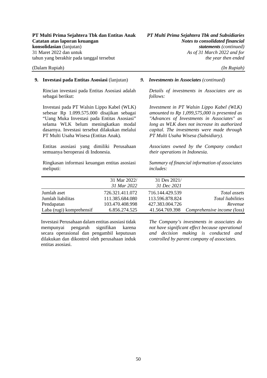### **9. Investasi pada Entitas Asosiasi** (lanjutan) *9. Investments in Associates (continued)*

Rincian investasi pada Entitas Asosiasi adalah sebagai berikut:

Investasi pada PT Walsin Lippo Kabel (WLK) sebesar Rp 1.099.575.000 disajikan sebagai "Uang Muka Investasi pada Entitas Asosiasi" selama WLK belum meningkatkan modal dasarnya. Investasi tersebut dilakukan melalui PT Multi Usaha Wisesa (Entitas Anak).

Entitas asosiasi yang dimiliki Perusahaan semuanya beroperasi di Indonesia.

Ringkasan informasi keuangan entitas asosiasi meliputi:

*Details of investments in Associates are as follows:* 

*Investment in PT Walsin Lippo Kabel (WLK) amounted to Rp 1,099,575,000 is presented as "Advances of Investments in Associates" as long as WLK does not increase its authorized capital. The investments were made through PT Multi Usaha Wisesa (Subsidiary).* 

*Associates owned by the Company conduct their operations in Indonesia.* 

*Summary of financial information of associates includes:* 

|                          | 31 Mar 2022/    | 31 Des 2021/    |                             |
|--------------------------|-----------------|-----------------|-----------------------------|
|                          | 31 Mar 2022     | 31 Dec 2021     |                             |
| Jumlah aset              | 726.321.411.072 | 716.144.429.539 | Total assets                |
| Jumlah liabilitas        | 111.385.684.080 | 113.596.878.824 | Total liabilities           |
| Pendapatan               | 103.470.408.998 | 427.383.004.726 | Revenue                     |
| Laba (rugi) komprehensif | 6.856.274.525   | 41.564.769.398  | Comprehensive income (loss) |

Investasi Perusahaan dalam entitas asosiasi tidak mempunyai pengaruh signifikan karena secara operasional dan pengambil keputusan dilakukan dan dikontrol oleh perusahaan induk entitas asosiasi.

*The Company's investments in associates do not have significant effect because operational and decision making is conducted and controlled by parent company of associates.*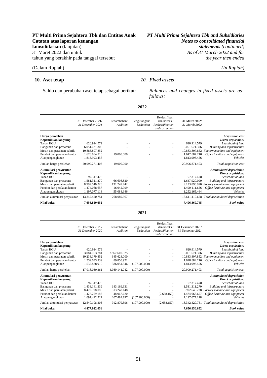**PT Multi Prima Sejahtera Tbk dan Entitas Anak** *PT Multi Prima Sejahtera Tbk and Subsidiaries* As of 31 March 2022 and for

### **10. Aset tetap** *10. Fixed assets*

Saldo dan perubahan aset tetap sebagai berikut: *Balances and changes in fixed assets are as follows:* 

| I |
|---|
|---|

|                                                                                                                                                                         | 31 Desember 2021/<br>31 December 2021                                            | Penambahan/<br><b>Addition</b>                        | Pengurangan/<br>Deduction | Reklasifikasi<br>dan koreksi/<br>Reclassification<br>and correction | 31 Maret 2022/<br>31 March 2022                                |                                                                                                                                                                                                         |
|-------------------------------------------------------------------------------------------------------------------------------------------------------------------------|----------------------------------------------------------------------------------|-------------------------------------------------------|---------------------------|---------------------------------------------------------------------|----------------------------------------------------------------|---------------------------------------------------------------------------------------------------------------------------------------------------------------------------------------------------------|
| Harga perolehan<br>Kepemilikan langsung:<br>Tanah HGU<br>Bangunan dan prasarana<br>Mesin dan peralatan pabrik<br>Perabot dan peralatan kantor<br>Alat pengangkutan      | 620.914.579<br>6.051.671.306<br>10.883.807.852<br>1.628.884.210<br>1.813.993.456 | 19.000.000                                            |                           | $\overline{\phantom{a}}$                                            | 620.914.579<br>6.051.671.306<br>1.647.884.210<br>1.813.993.456 | <b>Acquisition cost</b><br>Direct acquisition:<br>Leasehold of land<br>Building and infrastructure<br>10.883.807.852 Factory machine and equipment<br>Office furniture and equipment<br><b>Vehicles</b> |
| Jumlah harga perolehan                                                                                                                                                  | 20.999.271.403                                                                   | 19.000.000                                            |                           |                                                                     | 20.996.871.403                                                 | Total acquisition cost                                                                                                                                                                                  |
| Akumulasi penyusutan<br>Kepemilikan langsung:<br>Tanah HGU<br>Bangunan dan prasarana<br>Mesin dan peralatan pabrik<br>Perabot dan peralatan kantor<br>Alat pengangkutan | 97.317.478<br>1.581.311.270<br>8.992.646.228<br>1.474.068.657<br>1.197.077.118   | 66.608.820<br>131.249.742<br>16.042.999<br>55.088.346 |                           | $\overline{a}$                                                      | 97.317.478<br>1.647.920.090<br>1.490.111.656<br>1.252.165.464  | <b>Accumulated depreciation</b><br>Direct acquisition:<br>Leasehold of land<br>Building and infrastructure<br>9.123.895.970 Factory machine and equipment<br>Office furniture and equipment<br>Vehicles |
| Jumlah akumulasi penyusutan                                                                                                                                             | 13.342.420.751                                                                   | 268.989.907                                           |                           |                                                                     |                                                                | 13.611.410.658 Total accumulated depreciation                                                                                                                                                           |
| Nilai buku                                                                                                                                                              | 7.656.850.652                                                                    |                                                       |                           |                                                                     | 7.406.860.745                                                  | <b>Book</b> value                                                                                                                                                                                       |

### **2021**

| Nilai buku                               | 4.477.922.056     |                 |               |                               | 7.656.850.652     | <b>Book</b> value                              |
|------------------------------------------|-------------------|-----------------|---------------|-------------------------------|-------------------|------------------------------------------------|
| Jumlah akumulasi penyusutan              | 12.540.108.305    | 912.870.596     | (107.900.000) | (2.658.150)                   | 13.342.420.751    | Total accumulated depreciation                 |
| Alat pengangkutan                        | 1.097.492.221     | 207.484.897     | (107.900.000) | ٠                             | 1.197.077.118     | Vehicles                                       |
| Perabot dan peralatan kantor             | 1.427.759.187     | 48.967.620      |               | (2.658.150)                   | 1.474.068.657     | Office furniture and equipment                 |
| Mesin dan peralatan pabrik               | 8.479.398.080     | 513.248.148     |               |                               |                   | 8.992.646.228 Factory machine and equipment    |
| Bangunan dan prasarana                   | 1.438.141.339     | 143.169.931     |               | $\overline{\phantom{a}}$      | 1.581.311.270     | Building and infrastructure                    |
| Kepemilikan langsung:<br>Tanah HGU       | 97.317.478        |                 |               |                               | 97.317.478        | Direct acquisition:<br>Leasehold of land       |
| Akumulasi penyusutan                     |                   |                 |               |                               |                   | <b>Accumulated depreciation</b>                |
| Jumlah harga perolehan                   | 17.018.030.361    | 4.089.141.042   | (107.900.000) | $\overline{\phantom{a}}$      | 20.999.271.403    | Total acquisition cost                         |
| Alat pengangkutan                        | 1.535.838.910     | 386.054.546     | (107.900.000) | $\overline{\phantom{a}}$      | 1.813.993.456     | Vehicles                                       |
| Perabot dan peralatan kantor             | 1.539.033.239     | 89.850.971      |               |                               | 1.628.884.210     | Office furniture and equipment                 |
| Mesin dan peralatan pabrik               | 10.238.179.852    | 645.628.000     |               |                               | 10.883.807.852    | Factory machine and equipment                  |
| Bangunan dan prasarana                   | 3.084.063.781     | 2.967.607.525   |               | $\overline{\phantom{a}}$      | 6.051.671.306     | <b>Building and infrastructure</b>             |
| Tanah HGU                                | 620.914.579       |                 |               |                               | 620.914.579       | Leasehold of land                              |
| Harga perolehan<br>Kepemilikan langsung: |                   |                 |               |                               |                   | <b>Acquisition cost</b><br>Direct acquisition: |
|                                          |                   |                 |               | and correction                |                   |                                                |
|                                          | 31 December 2020  | <b>Addition</b> | Deduction     | Reclassification              | 31 December 2021  |                                                |
|                                          | 31 Desember 2020/ | Penambahan/     | Pengurangan/  | Reklasifikasi<br>dan koreksi/ | 31 Desember 2021/ |                                                |
|                                          |                   |                 |               |                               |                   |                                                |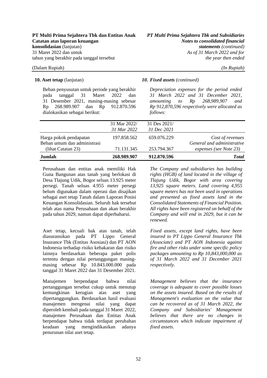Beban penyusutan untuk periode yang berakhir pada tanggal 31 Maret 2022 dan 31 Desember 2021, masing-masing sebesar Rp 268.989.907 dan Rp 912.870.596 dialokasikan sebagai berikut:

### **10. Aset tetap** (lanjutan) *10. Fixed assets (continued)*

*Depreciation expenses for the period ended 31 March 2022 and 31 December 2021, amounting to Rp 268,989,907 and Rp 912,870,596 respectively were allocated as follows:* 

| Jumlah                                            | 268.989.907                 | 912.870.596                 | <b>T</b> otal                                        |
|---------------------------------------------------|-----------------------------|-----------------------------|------------------------------------------------------|
| Beban umum dan administrasi<br>(lihat Catatan 23) | 71.131.345                  | 253.794.367                 | General and administrative<br>expenses (see Note 23) |
| Harga pokok pendapatan                            | 197.858.562                 | 659.076.229                 | Cost of revenues                                     |
|                                                   | 31 Mar 2022/<br>31 Mar 2022 | 31 Des 2021/<br>31 Dec 2021 |                                                      |
|                                                   |                             |                             |                                                      |

Perusahaan dan entitas anak memiliki Hak Guna Bangunan atas tanah yang berlokasi di Desa Tlajung Udik, Bogor seluas 13.925 meter persegi. Tanah seluas 4.955 meter persegi belum digunakan dalam operasi dan disajikan sebagai aset tetap Tanah dalam Laporan Posisi Keuangan Konsolidasian. Seluruh hak tersebut telah atas nama Perusahaan dan akan berakhir pada tahun 2029, namun dapat diperbaharui.

Aset tetap, kecuali hak atas tanah, telah diasuransikan pada PT Lippo General Insurance Tbk (Entitas Asosiasi) dan PT AON Indonesia terhadap risiko kebakaran dan risiko lainnya berdasarkan beberapa paket polis tertentu dengan nilai pertanggungan masingmasing sebesar Rp 10.843.000.000 pada tanggal 31 Maret 2022 dan 31 Desember 2021.

Manajemen berpendapat bahwa nilai pertanggungan tersebut cukup untuk menutup kemungkinan kerugian atas aset yang dipertanggungkan. Berdasarkan hasil evaluasi manajemen mengenai nilai yang dapat diperoleh kembali pada tanggal 31 Maret 2022, manajemen Perusahaan dan Entitas Anak berpendapat bahwa tidak terdapat perubahan keadaan yang mengindikasikan adanya penurunan nilai aset tetap.

*The Company and subsidiaries has building rights (HGB) of land located in the village of Tlajung Udik, Bogor with area covering 13,925 square meters. Land covering 4,955 square meters has not been used in operations and presented as fixed assets land in the Consolidated Statements of Financial Position. All rights have been registered on behalf of the Company and will end in 2029, but it can be renewed.* 

*Fixed assets, except land rights, have been insured to PT Lippo General Insurance Tbk (Associate) and PT AON Indonesia against fire and other risks under some specific policy packages amounting to Rp 10,843,000,000 as of 31 March 2022 and 31 December 2021 respectively.* 

*Management believes that the insurance coverage is adequate to cover possible losses on the assets insured. Based on the results of Management's evaluation on the value that can be recovered as of 31 March 2022, the Company and Subsidiaries' Management believes that there are no changes in circumstances which indicate impairment of fixed assets.*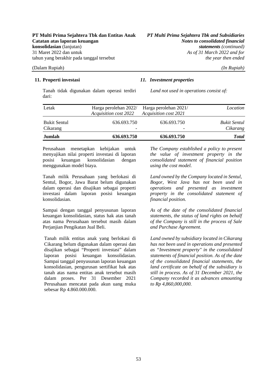Tanah tidak digunakan dalam operasi terdiri dari:

### **11. Properti investasi** *11. Investment properties*

*Land not used in operations consist of:* 

| Jumlah                          | 636.693.750                                           | 636.693.750                                    | <b>Total</b>                    |
|---------------------------------|-------------------------------------------------------|------------------------------------------------|---------------------------------|
| <b>Bukit Sentul</b><br>Cikarang | 636.693.750<br>$\overline{\phantom{a}}$               | 636.693.750<br>$\overline{\phantom{0}}$        | <b>Bukit Sentul</b><br>Cikarang |
| Letak                           | Harga perolehan 2022/<br><b>Acquisition cost 2022</b> | Harga perolehan 2021/<br>Acquisition cost 2021 | Location                        |
|                                 |                                                       |                                                |                                 |

Perusahaan menetapkan kebijakan untuk menyajikan nilai properti investasi di laporan posisi keuangan konsolidasian dengan menggunakan model biaya.

Tanah milik Perusahaan yang berlokasi di Sentul, Bogor, Jawa Barat belum digunakan dalam operasi dan disajikan sebagai properti investasi dalam laporan posisi keuangan konsolidasian.

Sampai dengan tanggal penyusunan laporan keuangan konsolidasian, status hak atas tanah atas nama Perusahaan tersebut masih dalam Perjanjian Pengikatan Jual Beli.

Tanah milik entitas anak yang berlokasi di Cikarang belum digunakan dalam operasi dan disajikan sebagai "Properti investasi" dalam laporan posisi keuangan konsolidasian. Sampai tanggal penyusunan laporan keuangan konsolidasian, pengurusan sertifikat hak atas tanah atas nama entitas anak tersebut masih dalam proses. Per 31 Desember 2021 Perusahaan mencatat pada akun uang muka sebesar Rp 4.860.000.000.

*The Company established a policy to present the value of investment property in the consolidated statement of financial position using the cost model.* 

*Land owned by the Company located in Sentul, Bogor, West Java has not been used in operations and presented as investment property in the consolidated statement of financial position.* 

*As of the date of the consolidated financial statements, the status of land rights on behalf of the Company is still in the process of Sale and Purchase Agreement.* 

*Land owned by subsidiary located in Cikarang has not been used in operations and presented as "Investment property" in the consolidated statements of financial position. As of the date of the consolidated financial statements, the land certificate on behalf of the subsidiary is still in process. As of 31 December 2021, the Company recorded it as advances amounting to Rp 4,860,000,000.*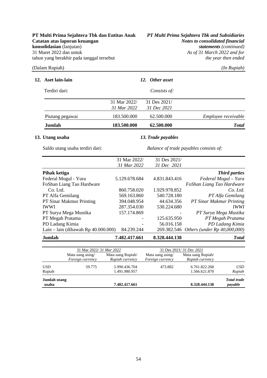As of 31 March 2022 and for

### (Dalam Rupiah) *(In Rupiah)*

|  | In Rupiah |  |
|--|-----------|--|
|  |           |  |
|  |           |  |

|  | 12. Aset lain-lain                     |               | 12. Other asset    |                                          |
|--|----------------------------------------|---------------|--------------------|------------------------------------------|
|  | Terdiri dari:                          |               | Consists of:       |                                          |
|  |                                        | 31 Mar 2022/  | 31 Des 2021/       |                                          |
|  |                                        | 31 Mar 2022   | 31 Dec 2021        |                                          |
|  | Piutang pegawai                        | 183.500.000   | 62.500.000         | Employee receivable                      |
|  | Jumlah                                 | 183.500.000   | 62.500.000         | <b>Total</b>                             |
|  | 13. Utang usaha                        |               | 13. Trade payables |                                          |
|  | Saldo utang usaha terdiri dari:        |               |                    | Balance of trade payables consists of:   |
|  |                                        | 31 Mar 2022/  | 31 Des 2021/       |                                          |
|  |                                        | 31 Mar 2022   | 31 Dec 2021        |                                          |
|  | Pihak ketiga                           |               |                    | <b>Third parties</b>                     |
|  | Federal Mogul - Yura                   | 5.129.678.684 | 4.831.843.416      | Federal Mogul - Yura                     |
|  | FoShan Liang Tao Hardware              |               |                    | FoShan Liang Tao Hardware                |
|  | Co. Ltd.                               | 860.758.020   | 1.929.978.852      | Co. Ltd.                                 |
|  | PT Alfa Gemilang                       | 569.163.860   | 540.728.180        | PT Alfa Gemilang                         |
|  | PT Sinar Makmur Printing               | 394.048.954   | 44.634.356         | PT Sinar Makmur Printing                 |
|  | <b>IWWI</b>                            | 287.354.030   | 530.224.680        | <b>IWWI</b>                              |
|  | PT Surya Mega Mustika                  | 157.174.869   |                    | PT Surya Mega Mustika                    |
|  | PT Megah Pratama                       |               | 125.635.950        | PT Megah Pratama                         |
|  | PD Ladang Kimia                        |               | 56.016.158         | PD Ladang Kimia                          |
|  | Lain – lain (dibawah Rp $40.000.000$ ) | 84.239.244    |                    | 269.382.546 Others (under Rp 40,000,000) |

**Jumlah 7.482.417.661 8.328.444.138** *Total* 

|                       | 31 Mar 2022/31 Mar 2022              |                                      | 31 Des 2021/31 Dec 2021              |                                      |                               |
|-----------------------|--------------------------------------|--------------------------------------|--------------------------------------|--------------------------------------|-------------------------------|
|                       | Mata uang asing/<br>Foreign currency | Mata uang Rupiah/<br>Rupiah currency | Mata uang asing/<br>Foreign currency | Mata uang Rupiah/<br>Rupiah currency |                               |
| <b>USD</b><br>Rupiah  | 59.775                               | 5.990.436.704<br>1.491.980.957       | 473.882                              | 6.761.822.268<br>1.566.621.870       | <b>USD</b><br>Rupiah          |
| Jumlah utang<br>usaha |                                      | 7.482.417.661                        |                                      | 8.328.444.138                        | <b>Total</b> trade<br>payable |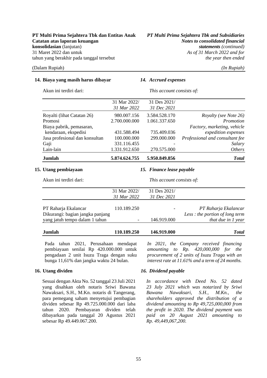### **14. Biaya yang masih harus dibayar** *14. Accrued expenses*

Akun ini terdiri dari: *This account consists of:* 

| Jumlah                         | 5.874.624.755 | 5.950.849.856            | <b>Total</b>                    |
|--------------------------------|---------------|--------------------------|---------------------------------|
| Lain-lain                      | 1.331.912.650 | 270.575.000              | <i>Others</i>                   |
| Gaji                           | 331.116.455   |                          | Salary                          |
| Jasa profesional dan konsultan | 100.000.000   | 299.000.000              | Professional and consultant fee |
| kendaraan, ekspedisi           | 431.588.494   | 735.409.036              | expedition expenses             |
| Biaya pabrik, pemasaran,       |               |                          | Factory, marketing, vehicle     |
| Promosi                        | 2.700.000.000 | 1.061.337.650            | Promotion                       |
| Royalti (lihat Catatan 26)     | 980.007.156   | 3.584.528.170            | Royalty (see Note 26)           |
|                                | 31 Mar 2022   | 31 Dec 2021              |                                 |
|                                | 31 Mar 2022/  | 31 Des 2021/             |                                 |
| длин ни клипт чап.             |               | This account consists of |                                 |

### **15. Utang pembiayaan** *15. Finance lease payable*

| Akun ini terdiri dari:           |              | This account consists of: |                                 |  |  |
|----------------------------------|--------------|---------------------------|---------------------------------|--|--|
|                                  | 31 Mar 2022/ | 31 Des 2021/              |                                 |  |  |
|                                  | 31 Mar 2022  | 31 Dec 2021               |                                 |  |  |
| PT Raharja Ekalancar             | 110.189.250  |                           | PT Raharja Ekalancar            |  |  |
| Dikurangi: bagian jangka panjang |              |                           | Less : the portion of long term |  |  |
| yang jatuh tempo dalam 1 tahun   |              | 146.919.000               | that due in 1 year              |  |  |
| Jumlah                           | 110.189.250  | 146.919.000               | <b>T</b> otal                   |  |  |

Pada tahun 2021, Perusahaan mendapat pembiayaan senilai Rp 420.000.000 untuk pengadaan 2 unit Isuzu Traga dengan suku bunga 11,61% dan jangka waktu 24 bulan.

Sesuai dengan Akta No. 52 tanggal 23 Juli 2021 yang disahkan oleh notaris Sriwi Bawana Nawaksari, S.H., M.Kn. notaris di Tangerang, para pemegang saham menyetujui pembagian dividen sebesar Rp 49.725.000.000 dari laba tahun 2020. Pembayaran dividen telah dibayarkan pada tanggal 20 Agustus 2021 sebesar Rp 49.449.067.200.

### *amounting to Rp. 420,000,000 for the procurement of 2 units of Isuzu Traga with an interest rate at 11.61% and a term of 24 months.*

*In 2021, the Company received financing* 

### **16. Utang dividen** *16. Dividend payable*

*In accordance with Deed No. 52 dated 23 July 2021 which was notarized by Sriwi Bawana Nawaksari, S.H., M.Kn., the shareholders approved the distribution of a dividend amounting to Rp 49,725,000,000 from the profit in 2020. The dividend payment was paid on 20 August 2021 amounting to Rp. 49,449,067,200.*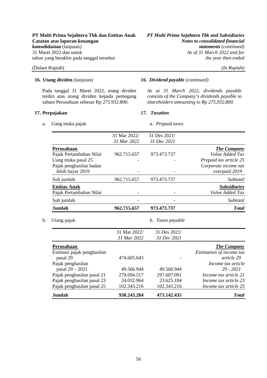### **PT Multi Prima Sejahtera Tbk dan Entitas Anak** *PT Multi Prima Sejahtera Tbk and Subsidiaries* **Catatan atas laporan keuangan** *Notes to consolidated financial*  **konsolidasian** (lanjutan) *statements* (continued)<br>31 Maret 2022 dan untuk *As of 31 March 2022 and for* tahun yang berakhir pada tanggal tersebut *the year then ended*

### (Dalam Rupiah) *(In Rupiah)*

Pada tanggal 31 Maret 2022, utang dividen terdiri atas utang dividen kepada pemegang saham Perusahaan sebesar Rp 275.932.800.

### **17. Perpajakan** *17. Taxation*

a. Uang muka pajak *a. Prepaid taxes*

### **16. Utang dividen** (lanjutan) *16. Dividend payable (continued)*

*As at 31 March 2022, dividends payable consists of the Company's dividends payable to shareholders amounting to Rp 275,932,800.* 

|                            | 31 Mar 2022/ | 31 Des 2021/     |                          |
|----------------------------|--------------|------------------|--------------------------|
|                            | 31 Mar 2022  | 31 Dec 2021      |                          |
| Perusahaan                 |              |                  | <b>The Company</b>       |
| Pajak Pertambahan Nilai    | 962.715.657  | 973.473.737      | Value Added Tax          |
| Uang muka pasal 25         |              |                  | Prepaid tax article 25   |
| Pajak penghasilan badan    |              |                  | Corporate income tax     |
| lebih bayar 2019           |              |                  | overpaid 2019            |
| Sub jumlah                 | 962.715.657  | 973.473.737      | Subtotal                 |
| <b>Entitas Anak</b>        |              |                  | <b>Subsidiaries</b>      |
| Pajak Pertambahan Nilai    |              |                  | Value Added Tax          |
| Sub jumlah                 |              |                  | Subtotal                 |
| Jumlah                     | 962.715.657  | 973.473.737      | <b>Total</b>             |
| Utang pajak                |              | b. Taxes payable |                          |
|                            | 31 Mar 2022/ | 31 Des 2021/     |                          |
|                            | 31 Mar 2022  | 31 Dec 2021      |                          |
| Perusahaan                 |              |                  | <b>The Company</b>       |
| Estimasi pajak penghasilan |              |                  | Estimation of income tax |
| pasal 29                   | 474.605.643  |                  | article 29               |
| Pajak penghasilan          |              |                  | Income tax article       |
| pasal 29 - 2021            | 49.566.944   | 49.566.944       | $29 - 2021$              |
| Pajak penghasilan pasal 21 | 279.694.517  | 297.607.091      | Income tax article 21    |
| Pajak penghasilan pasal 23 | 24.032.964   | 23.625.184       | Income tax article 23    |

Pajak penghasilan pasal 25 102.343.216 102.343.216 *Income tax article 25* **Jumlah 930.243.284 473.142.435** *Total*

As of 31 March 2022 and for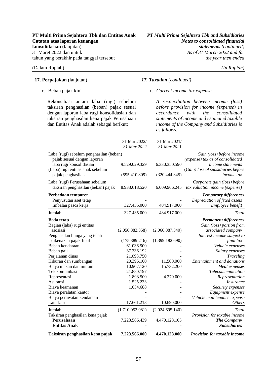### **17. Perpajakan** (lanjutan) *17. Taxation (continued)*

c. Beban pajak kini

Rekonsiliasi antara laba (rugi) sebelum taksiran penghasilan (beban) pajak sesuai dengan laporan laba rugi konsolidasian dan taksiran penghasilan kena pajak Perusahaan dan Entitas Anak adalah sebagai berikut:

**PT Multi Prima Sejahtera Tbk dan Entitas Anak** *PT Multi Prima Sejahtera Tbk and Subsidiaries* As of 31 March 2022 and for

### *c. Current income tax expense*

*A reconciliation between income (loss) before provision for income (expense) in accordance with the consolidated statements of income and estimated taxable income of the Company and Subsidiaries is as follows:* 

|                                         | 31 Mar 2022/    | 31 Mar 2021/    |                                    |
|-----------------------------------------|-----------------|-----------------|------------------------------------|
|                                         | 31 Mar 2022     | 31 Mar 2021     |                                    |
| Laba (rugi) sebelum penghasilan (beban) |                 |                 | Gain (loss) before income          |
| pajak sesuai dengan laporan             |                 |                 | (expense) tax as of consolidated   |
| laba rugi konsolidasian                 | 9.529.029.329   | 6.330.350.590   | income statements                  |
| (Laba) rugi entitas anak sebelum        |                 |                 | (Gain) loss of subsidiaries before |
| pajak penghasilan                       | (595.410.809)   | (320.444.345)   | income tax                         |
| Laba (rugi) Perusahaan sebelum          |                 |                 | Corporate gain (loss) before       |
| taksiran penghasilan (beban) pajak      | 8.933.618.520   | 6.009.906.245   | tax valuation income (expense)     |
| Perbedaan temporer                      |                 |                 | <b>Temporary differences</b>       |
| Penyusutan aset tetap                   |                 |                 | Depreciation of fixed assets       |
| Imbalan pasca kerja                     | 327.435.000     | 484.917.000     | Employee benefit                   |
| Jumlah                                  | 327.435.000     | 484.917.000     | Total                              |
| <b>Beda</b> tetap                       |                 |                 | <b>Permanent differences</b>       |
| Bagian (laba) rugi entitas              |                 |                 | Gain (loss) portion from           |
| asosiasi                                | (2.056.882.358) | (2.066.887.340) | associated company                 |
| Penghasilan bunga yang telah            |                 |                 | Interest income subject to         |
| dikenakan pajak final                   | (175.389.216)   | (1.399.182.690) | final tax                          |
| Beban kendaraan                         | 61.036.500      |                 | Vehicle expenses                   |
| Beban gaji                              | 37.336.192      |                 | Salary expenses                    |
| Perjalanan dinas                        | 21.093.750      |                 | Traveling                          |
| Hiburan dan sumbangan                   | 20.396.100      | 11.500.000      | <b>Entertainment and donations</b> |
| Biaya makan dan minum                   | 10.907.120      | 15.732.200      | Meal expenses                      |
| Telekomunikasi                          | 21.880.197      |                 | Telecommunication                  |
| Representasi                            | 1.893.500       | 4.270.000       | Representation                     |
| Asuransi                                | 1.525.233       |                 | <i>Insurance</i>                   |
| Biaya keamanan                          | 1.054.688       |                 | Security expenses                  |
| Biaya peralatan kantor                  |                 |                 | Equipment expense                  |
| Biaya perawatan kendaraan               |                 |                 | Vehicle maintenance expense        |
| Lain-lain                               | 17.661.213      | 10.690.000      | <b>Others</b>                      |
| Jumlah                                  | (1.710.052.081) | (2.024.695.140) | Total                              |
| Taksiran penghasilan kena pajak         |                 |                 | Provision for taxable income       |
| Perusahaan                              | 7.223.566.439   | 4.470.128.105   | <b>The Company</b>                 |
| <b>Entitas Anak</b>                     |                 |                 | <b>Subsidiaries</b>                |
| Taksiran penghasilan kena pajak         | 7.223.566.000   | 4.470.128.000   | Provision for taxable income       |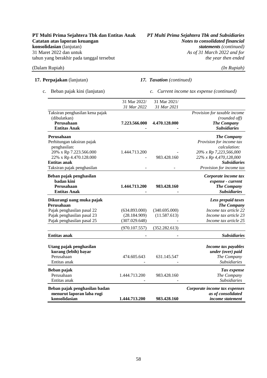As of 31 March 2022 and for

(Dalam Rupiah) *(In Rupiah)* 

### **17. Perpajakan** (lanjutan)

c. Beban pajak kini (lanjutan)

*17. Taxation (continued)* 

*c. Current income tax expense (continued)* 

|                                 | 31 Mar 2022/  | 31 Mar 2021/  |                               |
|---------------------------------|---------------|---------------|-------------------------------|
|                                 | 31 Mar 2022   | 31 Mar 2021   |                               |
| Taksiran penghasilan kena pajak |               |               | Provision for taxable income  |
| (dibulatkan)                    |               |               | (rounded off)                 |
| Perusahaan                      | 7.223.566.000 | 4.470.128.000 | <b>The Company</b>            |
| <b>Entitas Anak</b>             |               |               | <b>Subsidiaries</b>           |
| Perusahaan                      |               |               | <b>The Company</b>            |
| Perhitungan taksiran pajak      |               |               | Provision for income tax      |
| penghasilan:                    |               |               | calculation:                  |
| 20% x Rp 7.223.566.000          | 1.444.713.200 |               | 20% x Rp 7,223,566,000        |
| 22% x Rp 4.470.128.000          |               | 983.428.160   | 22% x Rp 4,470,128,000        |
| <b>Entitas anak</b>             |               |               | <b>Subsidiaries</b>           |
| Taksiran pajak penghasilan      |               |               | Provision for income tax      |
| Beban pajak penghasilan         |               |               | Corporate income tax          |
| badan kini                      |               |               | expense - current             |
| Perusahaan                      | 1.444.713.200 | 983.428.160   | <b>The Company</b>            |
| <b>Entitas Anak</b>             |               |               | <b>Subsidiaries</b>           |
| Dikurangi uang muka pajak       |               |               | Less prepaid taxes            |
| Perusahaan                      |               |               | <b>The Company</b>            |
| Pajak penghasilan pasal 22      | (634.893.000) | (340.695.000) | Income tax article 22         |
| Pajak penghasilan pasal 23      | (28.184.909)  | (11.587.613)  | Income tax article 23         |
| Pajak penghasilan pasal 25      | (307.029.648) |               | Income tax article 25         |
|                                 |               |               |                               |
|                                 | (970.107.557) | (352.282.613) |                               |
| <b>Entitas anak</b>             |               |               | <b>Subsidiaries</b>           |
| Utang pajak penghasilan         |               |               | Income tax payables           |
| kurang (lebih) bayar            |               |               | under (over) paid             |
| Perusahaan                      | 474.605.643   | 631.145.547   | The Company                   |
| Entitas anak                    |               |               | <b>Subsidiaries</b>           |
| Beban pajak                     |               |               | Tax expense                   |
| Perusahaan                      | 1.444.713.200 | 983.428.160   | The Company                   |
| Entitas anak                    |               |               | <b>Subsidiaries</b>           |
|                                 |               |               |                               |
| Beban pajak penghasilan badan   |               |               | Corporate income tax expenses |
| menurut laporan laba rugi       |               |               | as of consolidated            |
| konsolidasian                   | 1.444.713.200 | 983.428.160   | <i>income statement</i>       |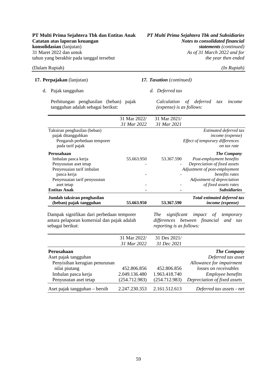# **PT Multi Prima Sejahtera Tbk dan Entitas Anak** *PT Multi Prima Sejahtera Tbk and Subsidiaries* As of 31 March 2022 and for<br>the year then ended

|    | 17. Perpajakan (lanjutan)                                                                             |              | 17. Taxation (continued)                            |                                 |     |                                                                           |
|----|-------------------------------------------------------------------------------------------------------|--------------|-----------------------------------------------------|---------------------------------|-----|---------------------------------------------------------------------------|
| d. | Pajak tangguhan                                                                                       |              | d. Deferred tax                                     |                                 |     |                                                                           |
|    | Perhitungan penghasilan (beban) pajak<br>tangguhan adalah sebagai berikut:                            |              | Calculation of deferred<br>(expense) is as follows: |                                 | tax | income                                                                    |
|    |                                                                                                       | 31 Mar 2022/ | 31 Mar 2021/                                        |                                 |     |                                                                           |
|    |                                                                                                       | 31 Mar 2022  | 31 Mar 2021                                         |                                 |     |                                                                           |
|    | Taksiran penghasilan (beban)<br>pajak ditangguhkan<br>Pengaruh perbedaan temporer<br>pada tarif pajak |              |                                                     | Effect of temporary differences |     | Estimated deferred tax<br><i>income</i> ( <i>expense</i> )<br>on tax rate |
|    | Perusahaan                                                                                            |              |                                                     |                                 |     | <b>The Company</b>                                                        |
|    | Imbalan pasca kerja                                                                                   | 55.663.950   | 53.367.590                                          | Post-employment benefits        |     |                                                                           |
|    | Penyusutan aset tetap                                                                                 |              |                                                     | Depreciation of fixed assets    |     |                                                                           |
|    | Penyesuaian tarif imbalan                                                                             |              |                                                     | Adjustment of post-employment   |     |                                                                           |
|    | pasca kerja                                                                                           |              |                                                     |                                 |     | benefits rates                                                            |

| Penyesuaian tarif penyusutan                           |            |                | Adjustment of depreciation                                              |
|--------------------------------------------------------|------------|----------------|-------------------------------------------------------------------------|
| aset tetap                                             | -          | -              | of fixed assets rates                                                   |
| <b>Entitas Anak</b>                                    | ٠          | $\blacksquare$ | <i><b>Subsidiaries</b></i>                                              |
| Jumlah taksiran penghasilan<br>(beban) pajak tangguhan | 55.663.950 | 53.367.590     | <b>Total estimated deferred tax</b><br><i>income</i> ( <i>expense</i> ) |
|                                                        |            |                |                                                                         |

Dampak signifikan dari perbedaan temporer antara pelaporan komersial dan pajak adalah sebagai berikut:

*The significant impact of temporary differences between financial and tax reporting is as follows:* 

|                               | 31 Mar 2022/  | 31 Des 2021/  |                              |
|-------------------------------|---------------|---------------|------------------------------|
|                               | 31 Mar 2022   | 31 Dec 2021   |                              |
| Perusahaan                    |               |               | <b>The Company</b>           |
| Aset pajak tangguhan          |               |               | Deferred tax asset           |
| Penyisihan kerugian penurunan |               |               | Allowance for impairment     |
| nilai piutang                 | 452.806.856   | 452.806.856   | losses on receivables        |
| Imbalan pasca kerja           | 2.049.136.480 | 1.963.418.740 | <i>Employee benefits</i>     |
| Penyusutan aset tetap         | (254.712.983) | (254.712.983) | Depreciation of fixed assets |
| Aset pajak tangguhan – bersih | 2.247.230.353 | 2.161.512.613 | Deferred tax assets - net    |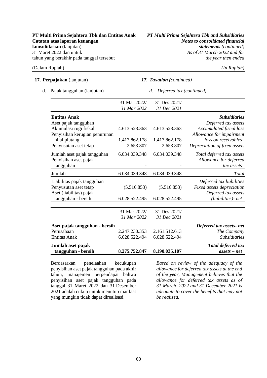### **17. Perpajakan** (lanjutan)

| (Dalam Rupiah)                   | $(In$ $Rupiah)$                 |
|----------------------------------|---------------------------------|
| <b>17. Perpajakan</b> (lanjutan) | <b>17. Taxation</b> (continued) |
| d. Pajak tangguhan (lanjutan)    | d. Deferred tax (continued)     |

|                               | 31 Mar 2022/  | 31 Des 2021/  |                                |
|-------------------------------|---------------|---------------|--------------------------------|
|                               | 31 Mar 2022   | 31 Dec 2021   |                                |
| <b>Entitas Anak</b>           |               |               | <b>Subsidiaries</b>            |
| Aset pajak tangguhan          |               |               | Deferred tax assets            |
| Akumulasi rugi fiskal         | 4.613.523.363 | 4.613.523.363 | <b>Accumulated fiscal loss</b> |
| Penyisihan kerugian penurunan |               |               | Allowance for impairment       |
| nilai piutang                 | 1.417.862.178 | 1.417.862.178 | loss on receivables            |
| Penyusutan aset tetap         | 2.653.807     | 2.653.807     | Depreciation of fixed assets   |
| Jumlah aset pajak tangguhan   | 6.034.039.348 | 6.034.039.348 | Total deferred tax assets      |
| Penyisihan aset pajak         |               |               | Allowance for deferred         |
| tangguhan                     |               |               | tax assets                     |
| Jumlah                        | 6.034.039.348 | 6.034.039.348 | Total                          |
| Liabilitas pajak tangguhan    |               |               | Deferred tax liabilities       |
| Penyusutan aset tetap         | (5.516.853)   | (5.516.853)   | Fixed assets depreciation      |
| Aset (liabilitas) pajak       |               |               | Deferred tax assets            |
| tangguhan - bersih            | 6.028.522.495 | 6.028.522.495 | (liabilities) - net            |
|                               |               |               |                                |
|                               | 31 Mar 2022/  | 31 Des 2021/  |                                |
|                               | 31 Mar 2022   | 31 Dec 2021   |                                |
| Aset pajak tangguhan - bersih |               |               | Deferred tax assets-net        |
| Perusahaan                    | 2.247.230.353 | 2.161.512.613 | The Company                    |
| <b>Entitas Anak</b>           | 6.028.522.494 | 6.028.522.494 | <i>Subsidiaries</i>            |
| Jumlah aset pajak             |               |               | Total deferred tax             |
| tangguhan - bersih            | 8.275.752.847 | 8.190.035.107 | $assets - net$                 |

Berdasarkan penelaahan kecukupan penyisihan aset pajak tangguhan pada akhir tahun, manajemen berpendapat bahwa penyisihan aset pajak tangguhan pada tanggal 31 Maret 2022 dan 31 Desember 2021 adalah cukup untuk menutup manfaat yang mungkin tidak dapat direalisasi.

*Based on review of the adequacy of the allowance for deferred tax assets at the end of the year, Management believes that the allowance for deferred tax assets as of 31 March 2022 and 31 December 2021 is adequate to cover the benefits that may not be realized.*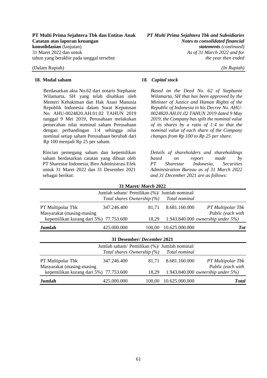### **18. Modal saham** *18. Capital stock*

Berdasarkan akta No.62 dari notaris Stephanie Wilamarta, SH yang telah disahkan oleh Menteri Kehakiman dan Hak Asasi Manusia Republik Indonesia dalam Surat Keputusan No. AHU-0024820.AH.01.02 TAHUN 2019 tanggal 9 Mei 2019, Perusahaan melakukan pemecahan nilai nominal saham Perusahaan dengan perbandingan 1:4 sehingga nilai nominal setiap saham Perusahaan berubah dari Rp 100 menjadi Rp 25 per saham.

Rincian pemegang saham dan kepemilikan saham berdasarkan catatan yang dibuat oleh PT Sharestar Indonesia, Biro Administrasi Efek untuk 31 Maret 2022 dan 31 Desember 2021 sebagai berikut:

*Based on the Deed No. 62 of Stephanie Wilamarta, SH that has been approved by the Minister of Justice and Human Rights of the Republic of Indonesia in his Decree No. AHU-0024820.AH.01.02 TAHUN 2019 dated 9 May 2019, the Company has split the nominal value of its shares by a ratio of 1:4 so that the nominal value of each share of the Company changes from Rp 100 to Rp 25 per share.* 

*Details of shareholders and shareholdings based on report made by PT Sharestar Indonesia, Securities Administration Bureau as of 31 March 2022 and 31 December 2021 are as follows:* 

|                                                |                                                                               | 31 Maret/ March 2022 |                |                                        |
|------------------------------------------------|-------------------------------------------------------------------------------|----------------------|----------------|----------------------------------------|
|                                                | Jumlah saham/ Pemilikan (%)/ Jumlah nominal/<br>Total shares Ownership $(\%)$ |                      | Total nominal  |                                        |
| PT Multipolar Tbk<br>Masyarakat (masing-masing | 347.246.400                                                                   | 81,71                | 8.681.160.000  | PT Multipolar Tbk<br>Public (each with |
| kepemilikan kurang dari 5%) 77.753.600         |                                                                               | 18,29                |                | 1.943.840.000 ownership under $5\%$ )  |
| Jumlah                                         | 425.000.000                                                                   | 100,00               | 10.625.000.000 | <b>Tot</b>                             |
|                                                | 31 Desember/ December 2021                                                    |                      |                |                                        |
|                                                | Jumlah saham/ Pemilikan (%)/ Jumlah nominal/                                  |                      |                |                                        |
|                                                | Total shares Ownership $(\%)$                                                 |                      | Total nominal  |                                        |
| PT Multipolar Tbk<br>Masyarakat (masing-masing | 347.246.400                                                                   | 81,71                | 8.681.160.000  | PT Multipolar Tbk<br>Public (each with |
| kepemilikan kurang dari 5%)                    | 77.753.600                                                                    | 18,29                |                | 1.943.840.000 ownership under $5\%$ )  |
| Jumlah                                         | 425.000.000                                                                   | 100,00               | 10.625.000.000 | <b>Total</b>                           |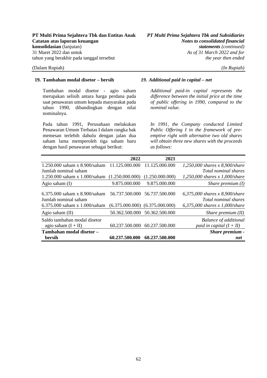### **19. Tambahan modal disetor – bersih** *19. Additional paid in capital – net*

Tambahan modal disetor - agio saham merupakan selisih antara harga perdana pada saat penawaran umum kepada masyarakat pada tahun 1990, dibandingkan dengan nilai nominalnya.

Pada tahun 1991, Perusahaan melakukan Penawaran Umum Terbatas I dalam rangka hak memesan terlebih dahulu dengan jalan dua saham lama memperoleh tiga saham baru dengan hasil penawaran sebagai berikut:

*Additional paid-in capital represents the difference between the initial price at the time of public offering in 1990, compared to the nominal value.* 

*In 1991, the Company conducted Limited Public Offering I in the framework of preemptive right with alternative two old shares will obtain three new shares with the proceeds as follows:* 

|                                                                                             | 2022            | 2021                                                                 |                                                                                          |
|---------------------------------------------------------------------------------------------|-----------------|----------------------------------------------------------------------|------------------------------------------------------------------------------------------|
| 1.250.000 saham x 8.900/saham 11.125.000.000                                                |                 | 11.125.000.000                                                       | 1,250,000 shares $x$ 8,900/share                                                         |
| Jumlah nominal saham                                                                        |                 |                                                                      | Total nominal shares                                                                     |
| $1.250.000$ saham x $1.000$ /saham                                                          | (1.250.000.000) | (1.250.000.000)                                                      | $1,250,000$ shares x 1,000/share                                                         |
| Agio saham $(I)$                                                                            | 9.875.000.000   | 9.875.000.000                                                        | Share premium $(I)$                                                                      |
| 6.375,000 saham x $8.900$ /saham<br>Jumlah nominal saham<br>6.375.000 saham $x$ 1.000/saham |                 | 56.737.500.000 56.737.500.000<br>$(6.375.000.000)$ $(6.375.000.000)$ | 6,375,000 shares x 8,900/share<br>Total nominal shares<br>6,375,000 shares x 1,000/share |
| Agio saham $(II)$                                                                           |                 | 50.362.500.000 50.362.500.000                                        | Share premium $(II)$                                                                     |
| Saldo tambahan modal disetor<br>agio saham $(I + II)$                                       | 60.237.500.000  | 60.237.500.000                                                       | <b>Balance of additional</b><br>paid in capital $(I + II)$                               |
| Tambahan modal disetor -                                                                    |                 |                                                                      | Share premium -                                                                          |
| bersih                                                                                      | 60.237.500.000  | 60.237.500.000                                                       | net                                                                                      |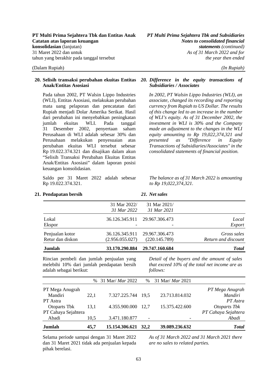### **20. Selisih transaksi perubahan ekuitas Entitas**  *20. Difference in the equity transactions of*  **Anak/Entitas Asosiasi**

Pada tahun 2002, PT Walsin Lippo Industries (WLI), Entitas Asosiasi, melakukan perubahan mata uang pelaporan dan pencatatan dari Rupiah menjadi Dolar Amerika Serikat. Hasil dari perubahan ini menyebabkan peningkatan jumlah ekuitas WLI. Pada tanggal 31 Desember 2002, penyertaan saham Perusahaan di WLI adalah sebesar 30% dan Perusahaan melakukan penyesuaian atas perubahan ekuitas WLI tersebut sebesar Rp 19.022.374.321 dan disajikan dalam akun "Selisih Transaksi Perubahan Ekuitas Entitas Anak/Entitas Asosiasi" dalam laporan posisi keuangan konsolidasian.

Saldo per 31 Maret 2022 adalah sebesar Rp 19.022.374.321.

# *Subsidiaries / Associates*

*In 2002, PT Walsin Lippo Industries (WLI), an associate, changed its recording and reporting currency from Rupiah to US Dollar. The results of this change led to an increase in the number of WLI's equity. As of 31 December 2002, the investment in WLI is 30% and the Company made an adjustment to the changes in the WLI equity amounting to Rp 19,022,374,321 and presented as "Difference in Equity Transactions of Subsidiaries/Associates" in the consolidated statements of financial position.*

*The balance as of 31 March 2022 is amounting to Rp 19,022,374,321.* 

| 36.126.345.911 29.967.306.473<br>36.126.345.911 29.967.306.473<br>(220.145.789) | Local<br>Export<br>Gross sales<br>Return and discount |
|---------------------------------------------------------------------------------|-------------------------------------------------------|
|                                                                                 |                                                       |
|                                                                                 |                                                       |
|                                                                                 |                                                       |
|                                                                                 |                                                       |
| 31 Mar 2021                                                                     |                                                       |
|                                                                                 | 31 Mar 2021/                                          |

**21. Pendapatan bersih** *21. Net sales* 

Rincian pembeli dan jumlah penjualan yang melebihi 10% dari jumlah pendapatan bersih adalah sebagai berikut:

*Detail of the buyers and the amount of sales that exceed 10% of the total net income are as follows:* 

|                     |      | % 31 Mar/ Mar 2022 |             | % 31 Mar/ Mar 2021 |                     |
|---------------------|------|--------------------|-------------|--------------------|---------------------|
| PT Mega Anugrah     |      |                    |             |                    | PT Mega Anugrah     |
| Mandiri             | 22,1 | 7.327.225.744 19,5 |             | 23.713.814.032     | Mandiri             |
| PT Astra            |      |                    |             |                    | PT Astra            |
| Otoparts Tbk        | 13,1 | 4.355.900.000      | 12.7        | 15.375.422.600     | Otoparts Tbk        |
| PT Cahaya Sejahtera |      |                    |             |                    | PT Cahaya Sejahtera |
| Abadi               | 10,5 | 3.471.180.877      |             | -                  | Abadi               |
| Jumlah              | 45,7 | 15.154.306.621     | <b>32.2</b> | 39.089.236.632     | <b>Total</b>        |

Selama periode sampai dengan 31 Maret 2022 dan 31 Maret 2021 tidak ada penjualan kepada pihak berelasi.

*As of 31 March 2022 and 31 March 2021 there are no sales to related parties.*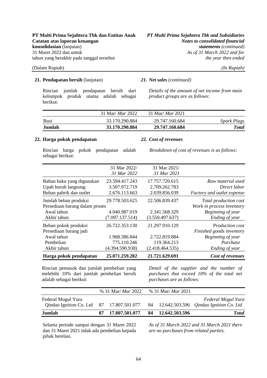### **21. Pendapatan bersih** (lanjutan) *21. Net sales (continued)*

Rincian jumlah pendapatan bersih dari kelompok produk utama adalah sebagai berikut:

*Details of the amount of net income from main product groups are as follows:* 

| Jumlah | 33.170.290.884          | 29.747.160.684          | <b>Total</b>       |
|--------|-------------------------|-------------------------|--------------------|
| Busi   | 33.170.290.884          | 29.747.160.684          | <b>Spark Plugs</b> |
|        | 31 Mar/ <i>Mar</i> 2022 | 31 Mar/ <i>Mar</i> 2021 |                    |

### **22. Harga pokok pendapatan** *22. Cost of revenues*

Rincian harga pokok pendapatan adalah sebagai berikut:

*Breakdown of cost of revenues is as follows:* 

| Harga pokok pendapatan         | 25.071.259.282  | 21.721.629.691  | Cost of revenues           |
|--------------------------------|-----------------|-----------------|----------------------------|
| Akhir tahun                    | (4.394.590.938) | (2.418.464.535) | Ending of year             |
| Pembelian                      | 775.110.246     | 119.364.213     | Purchase                   |
| Awal tahun                     | 1.968.386.844   | 2.722.819.884   | Beginning of year          |
| Persediaan barang jadi         |                 |                 | Finished goods inventory   |
| Beban pokok produksi           | 26.722.353.130  | 21.297.910.129  | <i>Production cost</i>     |
| Akhir tahun                    | (7.097.137.514) | (3.550.497.637) | Ending of year             |
| Awal tahun                     | 4.040.987.019   | 2.341.568.329   | Beginning of year          |
| Persediaan barang dalam proses |                 |                 | Work in process inventory  |
| Jumlah beban produksi          | 29.778.503.625  | 22.506.839.437  | Total production cost      |
| Beban pabrik dan outlet        | 2.676.113.663   | 2.039.856.039   | Factory and outlet expense |
| Upah buruh langsung            | 3.507.972.719   | 2.709.262.783   | Direct labor               |
| Bahan baku yang digunakan      | 23.594.417.243  | 17.757.720.615  | Raw material used          |
|                                | 31 Mar 2022     | 31 Mar 2021     |                            |
|                                | 31 Mar 2022/    | 31 Mar 2021/    |                            |
|                                |                 |                 |                            |

Rincian pemasok dan jumlah pembelian yang melebihi 10% dari jumlah pembelian bersih adalah sebagai berikut:

*Detail of the supplier and the number of purchases that exceed 10% of the total net purchases are as follows:* 

|                                                                                                                  | % 31 Mar/ <i>Mar</i> 2022 | % 31 Mar/ <i>Mar</i> 2021 |                    |
|------------------------------------------------------------------------------------------------------------------|---------------------------|---------------------------|--------------------|
| Federal Mogul Yura<br>Qindao Ignition Co. Ltd 87 17.807.501.077 84 12.642.503.596 <i>Qindao Ignition Co. Ltd</i> |                           |                           | Federal Mogul Yura |
| Jumlah                                                                                                           | 17.807.501.077            | 84 12.642.503.596         | <b>Total</b>       |

Selama periode sampai dengan 31 Maret 2022 dan 31 Maret 2021 tidak ada pembelian kepada pihak berelasi.

*As of 31 March 2022 and 31 March 2021 there are no purchases from related parties.*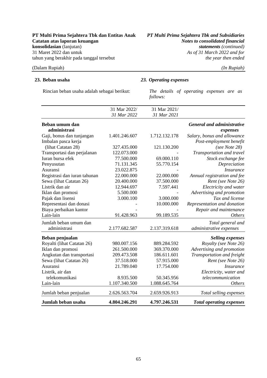As of 31 March 2022 and for

### (Dalam Rupiah) *(In Rupiah)*

### **23. Beban usaha** *23. Operating expenses*

Rincian beban usaha adalah sebagai berikut: *The details of operating expenses are as follows:* 

| Jumlah beban usaha           | 4.804.246.291 | 4.797.246.531 | <b>Total operating expenses</b>   |
|------------------------------|---------------|---------------|-----------------------------------|
| Jumlah beban penjualan       | 2.626.563.704 | 2.659.926.913 | Total selling expenses            |
| Lain-lain                    | 1.107.340.500 | 1.088.645.764 | <b>Others</b>                     |
| telekomunikasi               | 8.935.500     | 50.345.956    | telecommunication                 |
| Listrik, air dan             |               |               | Electricity, water and            |
| Asuransi                     | 21.789.040    | 17.754.000    | <i>Insurance</i>                  |
| Sewa (lihat Catatan 26)      | 37.518.000    | 57.915.000    | Rent (see Note 26)                |
| Angkutan dan transportasi    | 209.473.508   | 186.611.601   | Transportation and freight        |
| Iklan dan promosi            | 261.500.000   | 369.370.000   | Advertising and promotion         |
| Royalti (lihat Catatan 26)   | 980.007.156   | 889.284.592   | Royalty (see Note 26)             |
| Beban penjualan              |               |               | <b>Selling expenses</b>           |
| administrasi                 | 2.177.682.587 | 2.137.319.618 | administrative expenses           |
| Jumlah beban umum dan        |               |               | Total general and                 |
| Lain-lain                    | 91.428.963    | 99.189.535    | <b>Others</b>                     |
| Biaya perbaikan kantor       |               |               | Repair and maintenance            |
| Representasi dan donasi      |               | 10.000.000    | Representation and donation       |
| Pajak dan lisensi            | 3.000.100     | 3.000.000     | Tax and license                   |
| Iklan dan promosi            | 5.500.000     |               | Advertising and promotion         |
| Listrik dan air              | 12.944.697    | 7.597.441     | Electricity and water             |
| Sewa (lihat Catatan 26)      | 20.400.000    | 37.500.000    | Rent (see Note 26)                |
| Registrasi dan iuran tahunan | 22.000.000    | 22.000.000    | Annual registration and fee       |
| Asuransi                     | 23.022.875    |               | <b>Insurance</b>                  |
| Penyusutan                   | 71.131.345    | 55.770.154    | Depreciation                      |
| Iuran bursa efek             | 77.500.000    | 69.000.110    | Stock exchange fee                |
| Transportasi dan perjalanan  | 122.073.000   |               | Transportation and travel         |
| (lihat Catatan 28)           | 327.435.000   | 121.130.200   | (see Note 28)                     |
| Imbalan pasca kerja          |               |               | Post-employment benefit           |
| Gaji, bonus dan tunjangan    | 1.401.246.607 | 1.712.132.178 | Salary, bonus and allowance       |
| administrasi                 |               |               | expenses                          |
| Beban umum dan               |               |               | <b>General and administrative</b> |
|                              | 31 Mar 2022   | 31 Mar 2021   |                                   |
|                              | 31 Mar 2022/  | 31 Mar 2021/  |                                   |
|                              |               |               |                                   |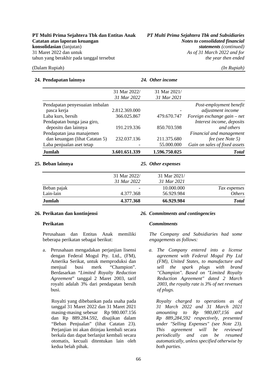### **24. Pendapatan lainnya** *24. Other income*

| Jumlah                         | 3.601.651.339 | 1.596.750.025 | <b>Total</b>                  |
|--------------------------------|---------------|---------------|-------------------------------|
| Laba penjualan aset tetap      |               | 55.000.000    | Gain on sales of fixed assets |
| dan keuangan (lihat Catatan 5) | 232.037.136   | 211.375.680   | fee (see Note 5)              |
| Pendapatan jasa manajemen      |               |               | Financial and management      |
| deposito dan lainnya           | 191.219.336   | 850.703.598   | and others                    |
| Pendapatan bunga jasa giro,    |               |               | Interest income, deposits     |
| Laba kurs, bersih              | 366.025.867   | 479.670.747   | Foreign exchange gain – net   |
| pasca kerja                    | 2.812.369.000 |               | adjustment income             |
| Pendapatan penyesuaian imbalan |               |               | Post-employment benefit       |
|                                | 31 Mar 2022   | 31 Mar 2021   |                               |
|                                | 31 Mar 2022/  | 31 Mar 2021/  |                               |
|                                |               |               |                               |

### **25. Beban lainnya** *25. Other expenses*

| 4.377.368    | 56.929.984   | <i>Others</i> |
|--------------|--------------|---------------|
|              |              |               |
|              | 10.000.000   | Tax expenses  |
| 31 Mar 2022  | 31 Mar 2021  |               |
| 31 Mar 2022/ | 31 Mar 2021/ |               |
|              |              |               |

Perusahaan dan Entitas Anak memiliki beberapa perikatan sebagai berikut:

a. Perusahaan mengadakan perjanjian lisensi dengan Federal Mogul Pty. Ltd., (FM), Amerika Serikat, untuk memproduksi dan menjual busi merk "Champion". Berdasarkan "*Limited Royalty Reduction Agreement*" tanggal 2 Maret 2003, tarif royalti adalah 3% dari pendapatan bersih busi.

Royalti yang dibebankan pada usaha pada tanggal 31 Maret 2022 dan 31 Maret 2021 masing-masing sebesar Rp 980.007.156 dan Rp 889.284.592, disajikan dalam "Beban Penjualan" (lihat Catatan 23). Perjanjian ini akan ditinjau kembali secara berkala dan dapat berlanjut kembali secara otomatis, kecuali ditentukan lain oleh kedua belah pihak.

### **26. Perikatan dan kontinjensi** *26. Commitments and contingencies*

### **Perikatan** *Commitments*

*The Company and Subsidiaries had some engagements as follows:*

*a. The Company entered into a license agreement with Federal Mogul Pty Ltd (FM), United States, to manufacture and sell the spark plugs with brand "Champion". Based on "Limited Royalty Reduction Agreement" dated 2 March 2003, the royalty rate is 3% of net revenues of plugs.* 

*Royalty charged to operations as of 31 March 2022 and 31 March 2021 amounting to Rp 980,007,156 and Rp 889,284,592 respectively, presented under "Selling Expenses" (see Note 23). This agreement will be reviewed periodically and can be resumed automatically, unless specified otherwise by both parties.*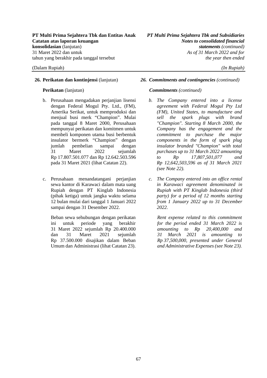- b. Perusahaan mengadakan perjanjian lisensi dengan Federal Mogul Pty. Ltd., (FM), Amerika Serikat, untuk memproduksi dan menjual busi merk "Champion". Mulai pada tanggal 8 Maret 2000, Perusahaan mempunyai perikatan dan komitmen untuk membeli komponen utama busi berbentuk insulator bermerk "Champion" dengan jumlah pembelian sampai dengan 31 Maret 2022 sejumlah Rp 17.807.501.077 dan Rp 12.642.503.596 pada 31 Maret 2021 (lihat Catatan 22).
- c. Perusahaan menandatangani perjanjian sewa kantor di Karawaci dalam mata uang Rupiah dengan PT Kinglab Indonesia (pihak ketiga) untuk jangka waktu selama 12 bulan mulai dari tanggal 1 Januari 2022 sampai dengan 31 Desember 2022.

Beban sewa sehubungan dengan perikatan ini untuk periode yang berakhir 31 Maret 2022 sejumlah Rp 20.400.000 dan 31 Maret 2021 sejumlah Rp 37.500.000 disajikan dalam Beban Umum dan Administrasi (lihat Catatan 23).

### **26. Perikatan dan kontinjensi** (lanjutan) *26. Commitments and contingencies (continued)*

### **Perikatan** (lanjutan) *Commitments (continued)*

- *b. The Company entered into a license agreement with Federal Mogul Pty Ltd (FM), United States, to manufacture and sell the spark plugs with brand "Champion". Starting 8 March 2000, the Company has the engagement and the commitment to purchase the major components in the form of spark plug insulator branded "Champion" with total purchases up to 31 March 2022 amounting to Rp 17,807,501,077 and Rp 12,642,503,596 as of 31 March 2021 (see Note 22).*
- *c. The Company entered into an office rental in Karawaci agreement denominated in Rupiah with PT Kinglab Indonesia (third party) for a period of 12 months starting from 1 January 2022 up to 31 December 2022.*

*Rent expense related to this commitment for the period ended 31 March 2022 is amounting to Rp 20,400,000 and 31 March 2021 is amounting to Rp 37,500,000, presented under General and Administrative Expenses (see Note 23).*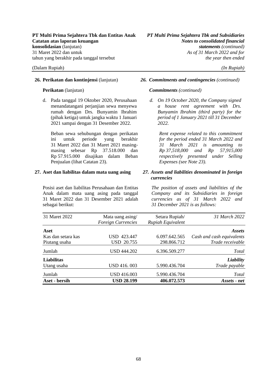d. Pada tanggal 19 Oktober 2020, Perusahaan menandatangani perjanjian sewa menyewa rumah dengan Drs. Bunyamin Ibrahim (pihak ketiga) untuk jangka waktu 1 Januari 2021 sampai dengan 31 Desember 2022.

Beban sewa sehubungan dengan perikatan ini untuk periode yang berakhir 31 Maret 2022 dan 31 Maret 2021 masingmasing sebesar Rp 37.518.000 dan Rp 57.915.000 disajikan dalam Beban Penjualan (lihat Catatan 23).

### **27. Aset dan liabilitas dalam mata uang asing** *27. Assets and liabilities denominated in foreign*

Posisi aset dan liabilitas Perusahaan dan Entitas Anak dalam mata uang asing pada tanggal 31 Maret 2022 dan 31 Desember 2021 adalah sebagai berikut:

### **26. Perikatan dan kontinjensi** (lanjutan) *26. Commitments and contingencies (continued)*

### **Perikatan** (lanjutan) *Commitments (continued)*

*d. On 19 October 2020, the Company signed a house rent agreement with Drs. Bunyamin Ibrahim (third party) for the period of 1 January 2021 till 31 December 2022.* 

*Rent expense related to this commitment for the period ended 31 March 2022 and 31 March 2021 is amounting to Rp 37,518,000 and Rp 57,915,000 respectively presented under Selling Expenses (see Note 23).*

## *currencies*

*The position of assets and liabilities of the Company and its Subsidiaries in foreign currencies as of 31 March 2022 and 31 December 2021 is as follows:*

| 31 Maret 2022      | Mata uang asing/          | Setara Rupiah/    | 31 March 2022             |
|--------------------|---------------------------|-------------------|---------------------------|
|                    | <b>Foreign Currencies</b> | Rupiah Equivalent |                           |
| Aset               |                           |                   | <i>Assets</i>             |
| Kas dan setara kas | USD 423.447               | 6.097.642.565     | Cash and cash equivalents |
| Piutang usaha      | <b>USD 20.755</b>         | 298.866.712       | Trade receivable          |
| Jumlah             | USD 444.202               | 6.396.509.277     | Total                     |
| <b>Liabilitas</b>  |                           |                   | Liability                 |
| Utang usaha        | USD 416, 003              | 5.990.436.704     | Trade payable             |
| Jumlah             | <b>USD 416.003</b>        | 5.990.436.704     | Total                     |
| Aset - bersih      | <b>USD 28.199</b>         | 406.072.573       | Assets - net              |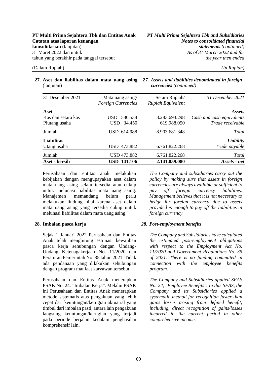(lanjutan)

**27. Aset dan liabilitas dalam mata uang asing**  *27. Assets and liabilities denominated in foreign currencies (continued)*

| 31 Desember 2021   | Mata uang asing/<br>Foreign Currencies | Setara Rupiah/<br>Rupiah Equivalent | 31 December 2021          |
|--------------------|----------------------------------------|-------------------------------------|---------------------------|
| Aset               |                                        |                                     | <i>Assets</i>             |
| Kas dan setara kas | 580.538<br>USD.                        | 8.283.693.298                       | Cash and cash equivalents |
| Piutang usaha      | 34.450<br>USD.                         | 619.988.050                         | Trade receivable          |
| Jumlah             | USD 614.988                            | 8.903.681.348                       | Total                     |
| Liabilitas         |                                        |                                     | Liability                 |
| Utang usaha        | 473.882<br>USD.                        | 6.761.822.268                       | Trade payable             |
| Jumlah             | <b>USD 473.882</b>                     | 6.761.822.268                       | <b>Total</b>              |
| Aset - bersih      | <b>USD 141.106</b>                     | 2.141.859.080                       | Assets - net              |

Perusahaan dan entitas anak melakukan kebijakan dengan mengupayakan aset dalam mata uang asing selalu tersedia atau cukup untuk melunasi liabilitas mata uang asing. Manajemen memandang belum perlu melakukan lindung nilai karena aset dalam mata uang asing yang tersedia cukup untuk melunasi liabilitas dalam mata uang asing.

Sejak 1 Januari 2022 Perusahaan dan Entitas Anak telah menghitung estimasi kewajiban pasca kerja sehubungan dengan Undang-Undang Ketenagakerjaan No. 11/2020 dan Peraturan Pemerintah No. 35 tahun 2021. Tidak ada pendanaan yang dilakukan sehubungan dengan program manfaat karyawan tersebut.

Perusahaan dan Entitas Anak menerapkan PSAK No. 24: "Imbalan Kerja". Melalui PSAK ini Perusahaan dan Entitas Anak menerapkan metode sistematis atas pengakuan yang lebih cepat dari keuntungan/kerugian aktuarial yang timbul dari imbalan pasti, antara lain pengakuan langsung keuntungan/kerugian yang terjadi pada periode berjalan kedalam penghasilan komprehensif lain.

*The Company and subsidiaries carry out the policy by making sure that assets in foreign currencies are always available or sufficient to pay off foreign currency liabilities. Management believes that it is not necessary to hedge for foreign currency due to assets provided is enough to pay off the liabilities in foreign currency.*

### **28. Imbalan pasca kerja** *28. Post-employment benefits*

*The Company and Subsidiaries have calculated the estimated post-employment obligations with respect to the Employment Act No. 11/2020 and Government Regulations No. 35 of 2021. There is no funding committed in connection with the employee benefits program.*

*The Company and Subsidiaries applied SFAS No. 24, "Employee Benefits". In this SFAS, the Company and its Subsidiaries applied a systematic method for recognition faster than gains losses arising from defined benefit, including, direct recognition of gains/losses incurred in the current period in other comprehensive income.*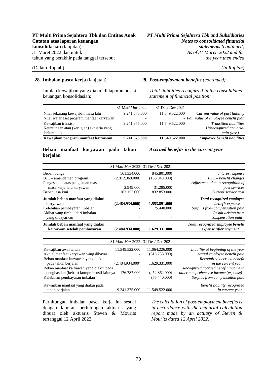### **PT Multi Prima Sejahtera Tbk dan Entitas Anak** *PT Multi Prima Sejahtera Tbk and Subsidiaries* **Catatan atas laporan keuangan** *Notes to consolidated financial*  **konsolidasian** (lanjutan) *statements* (continued)<br>
31 Maret 2022 dan untuk<br>
As of 31 March 2022 and for tahun yang berakhir pada tanggal tersebut *the year then ended*

As of 31 March 2022 and for

### (Dalam Rupiah) *(In Rupiah)*

Jumlah kewajiban yang diakui di laporan posisi keuangan konsolidasian:

### **28. Imbalan pasca kerja** (lanjutan) *28. Post-employment benefits (continued)*

*Total liabilities recognized in the consolidated statement of financial position:*

| Kewajiban program manfaat karyawan        | 9.241.375.000            | 11.549.522,000          | <b>Employee benefit liabilities</b>   |
|-------------------------------------------|--------------------------|-------------------------|---------------------------------------|
| belum diakui                              | $\overline{\phantom{0}}$ | -                       | gain (loss)                           |
| Keuntungan atau (kerugian) aktuaria yang  |                          |                         | Unrecognized actuarial                |
| Kewajiban transisi                        | 9.241.375.000            | 11.549.522.000          | <i>Transition liabilities</i>         |
| Nilai wajar aset program manfaat karyawan | -                        |                         | - Fair value of employee benefit plan |
| Nilai sekarang kewajiban masa lalu        | 9.241.375.000            | 11.549.522.000          | Current value of past liability       |
|                                           | 31 Mar/ <i>Mar</i> 2022  | 31 Des/ <i>Dec</i> 2021 |                                       |

### **Beban manfaat karyawan pada tahun berjalan**

#### *Accrued benefits in the current year*

|                                          | 31 Mar/ Mar 2022 31 Des/ Dec 2021 |                |                                      |
|------------------------------------------|-----------------------------------|----------------|--------------------------------------|
| Beban bunga                              | 161.334.000                       | 845.801.000    | Interest expense                     |
| BJL - amandemen program                  | (2.812.369.000)                   | (156.048.000)  | $PSC - benefit changes$              |
| Penyesuaian atas pengakuan masa          |                                   |                | Adjustment due to recognition of     |
| masa kerja lalu karyawan                 | 2.949.000                         | 31.285.000     | past services                        |
| Beban jasa kini                          | 163.152.000                       | 832.853.000    | Current service cost                 |
| Jumlah beban manfaat yang diakui         |                                   |                | Total recognized employee            |
| karvawan                                 | (2.484.934.000)                   | 1.553.891.000  | benefit expense                      |
| Kelebihan pembayaran imbalan             |                                   | 75.440.000     | Surplus from compensation paid       |
| Akibat yang timbul dari imbalan          |                                   |                | Result arising from                  |
| yang dibayarkan                          |                                   |                | compensation paid                    |
| Jumlah beban manfaat yang diakui         |                                   |                | Total recognized employee benefit    |
| karyawan setelah pembayaran              | (2.484.934.000)                   | 1.629.331.000  | expense after payment                |
|                                          |                                   |                |                                      |
|                                          | 31 Mar/ Mar 2022 31 Des/ Dec 2021 |                |                                      |
| Kewajiban awal tahun                     | 11.549.522.000                    | 11.064.226.000 | Liability at beginning of the year   |
| Aktual manfaat karyawan yang dibayar     |                                   | (615.733.000)  | Actual employee benefit paid         |
| Beban manfaat karyawan yang diakui       |                                   |                | Recognized accrued benefit           |
| pada tahun berjalan                      | (2.484.934.000)                   | 1.629.331.000  | in the current year                  |
| Beban manfaat karyawan yang diakui pada  |                                   |                | Recognized accrued benefit income in |
| penghasilan (beban) komprehensif lainnya | 176.787.000                       | (452.862.000)  | other comprehensive income (expense) |
| Kelebihan pembayaran imbalan             |                                   | (75.440.000)   | Surplus from compensation paid       |
| Kewajiban manfaat yang diakui pada       |                                   |                | Benefit liability recognized         |
| tahun berjalan                           | 9.241.375.000                     | 11.549.522.000 | in current year                      |

Perhitungan imbalan pasca kerja ini sesuai dengan laporan perhitungan aktuaris yang dibuat oleh aktuaris Steven & Mourits tertanggal 12 April 2022.

*The calculation of post-employment benefits is in accordance with the actuarial calculation report made by an actuary of Steven & Mourits dated 12 April 2022.*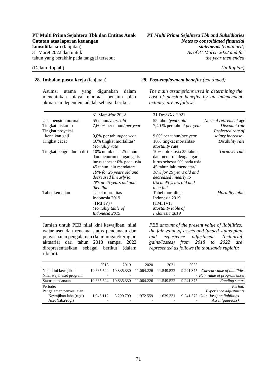As of 31 March 2022 and for

#### (Dalam Rupiah) *(In Rupiah)*

Asumsi utama yang digunakan dalam menentukan biaya manfaat pensiun oleh aktuaris independen, adalah sebagai berikut:

### **28. Imbalan pasca kerja** (lanjutan) *28. Post-employment benefits (continued)*

*The main assumptions used in determining the cost of pension benefits by an independent actuary, are as follows:*

|                          | 31 Mar/ <i>Mar</i> 2022           | 31 Des/ Dec 2021                  |                              |
|--------------------------|-----------------------------------|-----------------------------------|------------------------------|
| Usia pensiun normal      | 55 tahun/years old                | 55 tahun/years old                | <i>Normal retirement</i> age |
| Tingkat diskonto         | 7,60 % per tahun/ <i>per year</i> | 7,40 % per tahun/ <i>per year</i> | Discount rate                |
| Tingkat proyeksi         |                                   |                                   | Projected rate of            |
| kenaikan gaji            | 9,0% per tahun/ <i>per year</i>   | 9,0% per tahun/ <i>per year</i>   | salary increase              |
| Tingkat cacat            | 10% tingkat mortalitas/           | 10% tingkat mortalitas/           | Disability rate              |
|                          | Mortality rate                    | Mortality rate                    |                              |
| Tingkat pengunduran diri | 10% untuk usia 25 tahun           | 10% untuk usia 25 tahun           | Turnover rate                |
|                          | dan menurun dengan garis          | dan menurun dengan garis          |                              |
|                          | lurus sebesar 0% pada usia        | lurus sebesar 0% pada usia        |                              |
|                          | 45 tahun lalu mendatar/           | 45 tahun lalu mendatar/           |                              |
|                          | 10% for 25 years old and          | 10% for 25 years old and          |                              |
|                          | decreased linearly to             | decreased linearly to             |                              |
|                          | $0\%$ at 45 years old and         | $0\%$ at 45 years old and         |                              |
|                          | then flat                         | then flat                         |                              |
| Tabel kematian           | Tabel mortalitas                  | Tabel mortalitas                  | Mortality table              |
|                          | Indonesia 2019                    | Indonesia 2019                    |                              |
|                          | (TMI IV) /                        | (TMI IV) /                        |                              |
|                          | Mortality table of                | Mortality table of                |                              |
|                          | Indonesia 2019                    | Indonesia 2019                    |                              |

Jumlah untuk PEB nilai kini kewajiban, nilai wajar aset dan rencana status pendanaan dan penyesuaian pengalaman (keuntungan/kerugian aktuaria) dari tahun 2018 sampai 2022 direpresentasikan sebagai berikut (dalam ribuan):

*PEB amount of the present value of liabilities, the fair value of assets and funded status plan and experience adjustments (actuarial gains/losses) from 2018 to 2022 are represented as follows (in thousands rupiah):* 

|                          | 2018       | 2019       | 2020       | 2021       | 2022      |                                      |
|--------------------------|------------|------------|------------|------------|-----------|--------------------------------------|
| Nilai kini kewajiban     | 10.665.524 | 10.835.330 | 11.064.226 | 11.549.522 | 9.241.375 | Current value of liabilities         |
| Nilai wajar aset program |            |            |            |            |           | - Fair value of program asset        |
| Status pendanaan         | 10.665.524 | 10.835.330 | 11.064.226 | 11.549.522 | 9.241.375 | <b>Funding status</b>                |
| Periode:                 |            |            |            |            |           | Period:                              |
| Pengalaman penyesuaian   |            |            |            |            |           | <i>Experience adjustments</i>        |
| Kewajiban laba (rugi)    | 1.946.112  | 3.290.700  | 1.972.559  | 1.629.331  |           | 9.241.375 Gain (loss) on liabilities |
| Aset (laba/rugi)         |            |            |            |            |           | Asset (gain/loss)                    |
|                          |            |            |            |            |           |                                      |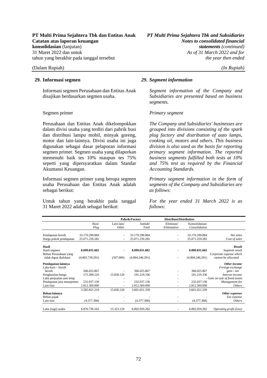Informasi segmen Perusahaan dan Entitas Anak disajikan berdasarkan segmen usaha.

Perusahaan dan Entitas Anak dikelompokkan dalam divisi usaha yang terdiri dari pabrik busi dan distribusi lampu mobil, minyak goreng, motor dan lain-lainnya. Divisi usaha ini juga digunakan sebagai dasar pelaporan informasi segmen primer. Segmen usaha yang dilaporkan memenuhi baik tes 10% maupun tes 75% seperti yang dipersyaratkan dalam Standar Akuntansi Keuangan.

Informasi segmen primer yang berupa segmen usaha Perusahaan dan Entitas Anak adalah sebagai berikut:

Untuk tahun yang berakhir pada tanggal 31 Maret 2022 adalah sebagai berikut:

#### **29. Informasi segmen** *29. Segment information*

*Segment information of the Company and Subsidiaries are presented based on business segments.*

#### Segmen primer *Primary segment*

*The Company and Subsidiaries' businesses are grouped into divisions consisting of the spark plug factory and distribution of auto lamps, cooking oil, motors and others. This business division is also used as the basis for reporting primary segment information. The reported business segments fulfilled both tests at 10% and 75% test as required by the Financial Accounting Standards.*

*Primary segment information in the form of segments of the Company and Subsidiaries are as follows:*

*For the year ended 31 March 2022 is as follows:* 

|                           |                 | Pabrik/Factory |                 | Distribusi/Distribution |                 |                                |
|---------------------------|-----------------|----------------|-----------------|-------------------------|-----------------|--------------------------------|
|                           | Busi/           | Lain-lain/     | Jumlah/         | Eliminasi/              | Konsolidasian/  |                                |
|                           | Plug            | Other          | Total           | Elimination             | Consolidation   |                                |
|                           |                 |                |                 |                         |                 |                                |
| Pendapatan bersih         | 33.170.290.884  |                | 33.170.290.884  |                         | 33.170.290.884  | Net sales                      |
| Harga pokok pendapatan    | 25.071.259.282  |                | 25.071.259.282  |                         | 25.071.259.282  | Cost of sales                  |
| Hasil                     |                 |                |                 |                         |                 | <b>Result</b>                  |
| Hasil segmen              | 8.099.031.602   |                | 8.099.031.602   |                         | 8.099.031.602   | Segment result                 |
| Beban Perusahaan yang     |                 |                |                 |                         |                 | Corporate expense which        |
| tidak dapat dialokasi     | (4.803.739.291) | (507.000)      | (4.804.246.291) |                         | (4.804.246.291) | cannot be allocated            |
| Pendapatan lainnya        |                 |                |                 |                         |                 | Other income                   |
| Laba kurs – bersih        |                 |                |                 |                         |                 | Foreign exchange               |
| hersih                    | 366.025.867     |                | 366.025.867     |                         | 366.025.867     | gain - net                     |
| Penghasilan bunga         | 175.389.216     | 15.830.120     | 191.219.336     |                         | 191.219.336     | Interest income                |
| Laba penjualan aset tetap |                 |                |                 |                         |                 | - Gain on sale of fixed assets |
| Pendapatan jasa manajemen | 232.037.136     |                | 232.037.136     |                         | 232.037.136     | Management fee                 |
| Lain-lain                 | 2.812.369.000   |                | 2.812.369.000   | ۰                       | 2.812.369.000   | <i><u><b>Others</b></u></i>    |
|                           | 3.585.821.219   | 15.830.120     | 3.601.651.339   |                         | 3.601.651.339   |                                |
| Beban lainnya             |                 |                |                 |                         |                 | Other expenses                 |
| Beban pajak               |                 |                |                 |                         |                 | Tax expense                    |
| Lain-lain                 | (4.377.368)     |                | (4.377.368)     | ٠                       | (4.377.368)     | <i>Others</i>                  |
|                           |                 |                |                 |                         |                 |                                |
| Laba (rugi) usaha         | 6.876.736.162   | 15.323.120     | 6.892.059.282   |                         | 6.892.059.282   | Operating profit (loss)        |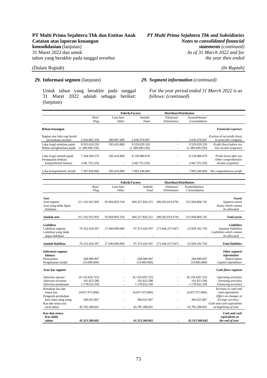### **PT Multi Prima Sejahtera Tbk dan Entitas Anak** *PT Multi Prima Sejahtera Tbk and Subsidiaries* **Catatan atas laporan keuangan** *Notes to consolidated financial*  **konsolidasian** (lanjutan) *statements* (continued)<br>31 Maret 2022 dan untuk *As of 31 March 2022 and for* tahun yang berakhir pada tanggal tersebut *the year then ended*

### (Dalam Rupiah) *(In Rupiah)*

Untuk tahun yang berakhir pada tanggal 31 Maret 2022 adalah sebagai berikut: (lanjutan)

### **29. Informasi segmen** (lanjutan) *29. Segment information (continued)*

*For the year period ended 31 March 2022 is as follows: (continued)*

|                                                                             |                             | Pabrik/Factory      |                             | Distribusi/Distribution   |                                 |                                                                                |
|-----------------------------------------------------------------------------|-----------------------------|---------------------|-----------------------------|---------------------------|---------------------------------|--------------------------------------------------------------------------------|
|                                                                             | Busi/<br>Plug               | Lain-lain/<br>Other | Jumlah/<br>Total            | Eliminasi/<br>Elimination | Konsolidasian/<br>Consolidation |                                                                                |
| Beban keuangan                                                              |                             |                     |                             |                           |                                 | <b>Financial expenses</b>                                                      |
| Bagian atas laba rugi bersih<br>perusahaan asosiasi                         | 2.056.882.358               | 580.087.689         | 2.636.970.047               |                           | 2.636.970.047                   | Portion of net profit (loss)<br>in associate company                           |
| Laba (rugi) sebelum pajak                                                   | 8.933.618.520               | 595.410.809         | 9.529.029.329               | $\overline{a}$            | 9.529.029.329                   |                                                                                |
| Beban (penghasilan) pajak                                                   | (1.389.049.250)             |                     | (1.389.049.250)             | ÷,                        | (1.389.049.250)                 | Profit (loss) before tax<br>Tax income (expense)                               |
|                                                                             |                             |                     |                             |                           |                                 |                                                                                |
| Laba (rugi) setelah pajak<br>Pendapatan (beban)                             | 7.544.569.270               | 595.410.809         | 8.139.980.079               |                           | 8.139.980.079                   | Profit (loss) after tax<br>Other comprehensive                                 |
| komprehensif lainnya                                                        | (146.733.210)               |                     | (146.733.210)               |                           | (146.733.210)                   | income (expense)                                                               |
| Laba komprehensif, bersih                                                   | 7.397.836.060               | 595.410.809         | 7.993.246.869               |                           | 7.993.246.869                   | Net comprehensive profit                                                       |
|                                                                             |                             |                     |                             |                           |                                 |                                                                                |
|                                                                             |                             |                     | Pabrik/Factory              | Distribusi/Distribution   |                                 |                                                                                |
|                                                                             | Busi/                       | Lain-lain/          | Jumlah/                     | Eliminasi/                | Konsolidasian/                  |                                                                                |
|                                                                             | Plug                        | Other               | Total                       | Elimination               | Consolidation                   |                                                                                |
| Aset<br>Aset segmen<br>Aset yang tidak dapat<br>dialokasi                   | 311.162.922.903             | 93.064.903.318      | 404.227.826.221             | (88.283.019.479)          | 315.944.806.742                 | <b>Assets</b><br>Segment assets<br>Assets which cannot<br>be allocated         |
| Jumlah aset                                                                 | 311.162.922.903             | 93.064.903.318      | 404.227.826.221             | (88.283.019.479)          | 315.944.806.742                 | Total assets                                                                   |
| Liabilitas<br>Liabilitas segmen<br>Liabilitas yang tidak<br>dapat dialokasi | 70.332.420.397              | 27.040.000.000      | 97.372.420.397              | (73.444.237.647)          | 23.928.182.750                  | Liabilities<br>Segment liabilities<br>Liabilities which cannot<br>be allocated |
| <b>Jumlah liabilitas</b>                                                    | 70.332.420.397              | 27.040.000.000      | 97.372.420.397              | (73.444.237.647)          | 23.928.182.750                  | <b>Total liabilities</b>                                                       |
| Informasi segmen<br>lainnya                                                 |                             |                     |                             |                           |                                 | Other segment<br>information                                                   |
| Penyusutan                                                                  | 268.989.907<br>(19.000.000) | $\bar{a}$           | 268.989.907<br>(19.000.000) | ä,                        | 268.989.907<br>(19.000.000)     | Depreciation                                                                   |
| Pengeluaran modal<br>Arus kas segmen                                        |                             |                     |                             |                           |                                 | Capital expenditure<br>Cash flows segment                                      |
| Aktivitas operasi                                                           | (6.118.429.722)             |                     | (6.118.429.722)             |                           | (6.118.429.722)                 | Operating activities                                                           |
| Aktivitas investasi                                                         | 101.823.586                 |                     | 101.823.586                 | L.                        | 101.823.586                     | Investing activities                                                           |
| Aktivitas pendanaan                                                         | 1.178.632.330               |                     | 1.178.632.330               |                           | 1.178.632.330                   | Financing activities                                                           |
| Kenaikan kas dan<br>setara kas                                              | (4.837.973.806)             |                     | (4.837.973.806)             |                           | (4.837.973.806)                 | Increase in cash and<br>cash equivalents                                       |
| Pengaruh perubahan<br>kurs mata uang asing<br>Kas dan setara kas            | 366.025.867                 |                     | 366.025.867                 |                           | 366.025.867                     | Effect on changes in<br>foreign currency<br>Cash and cash equivalents          |
| awal tahun                                                                  | 45.785.308.601              |                     | 45.785.308.601              |                           | 45.785.308.601                  | at beginning of year                                                           |
| Kas dan setara<br>Kas akhir<br>tahun                                        | 41.313.360.662              |                     | 41.313.360.662              |                           | 41.313.360.662                  | Cash and cash<br>equivalents at<br>the end of year                             |

As of 31 March 2022 and for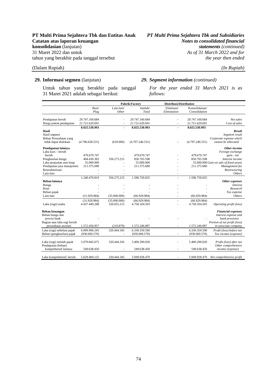#### (Dalam Rupiah) *(In Rupiah)*

Untuk tahun yang berakhir pada tanggal 31 Maret 2021 adalah sebagai berikut:

# As of 31 March 2022 and for

#### **29. Informasi segmen** (lanjutan) *29. Segment information (continued)*

*For the year ended 31 March 2021 is as follows:*

|                                                        |                           | Pabrik/Factory      |                           | Distribusi/Distribution   |                                 |                                                           |
|--------------------------------------------------------|---------------------------|---------------------|---------------------------|---------------------------|---------------------------------|-----------------------------------------------------------|
|                                                        | Busi/<br>Plug             | Lain-lain/<br>Other | Jumlah/<br>Total          | Eliminasi/<br>Elimination | Konsolidasian/<br>Consolidation |                                                           |
|                                                        |                           |                     |                           |                           |                                 |                                                           |
| Pendapatan bersih                                      | 29.747.160.684            |                     | 29.747.160.684            |                           | 29.747.160.684                  | Net sales                                                 |
| Harga pokok pendapatan                                 | 21.721.629.691            | $\blacksquare$      | 21.721.629.691            | ٠                         | 21.721.629.691                  | Cost of sales                                             |
|                                                        | 8.025.530.993             | $\blacksquare$      | 8.025.530.993             | $\blacksquare$            | 8.025.530.993                   |                                                           |
| Hasil                                                  |                           |                     |                           |                           |                                 | Result                                                    |
| Hasil segmen                                           |                           |                     |                           |                           |                                 | Segment result                                            |
| Beban Perusahaan yang                                  |                           |                     |                           |                           |                                 | Corporate expense which                                   |
| tidak dapat dialokasi                                  | (4.796.628.531)           | (618.000)           | (4.797.246.531)           |                           | (4.797.246.531)                 | cannot be allocated                                       |
| Pendapatan lainnya                                     |                           |                     |                           |                           |                                 | Other income                                              |
| Laba kurs – bersih                                     |                           |                     |                           |                           |                                 | Foreign exchange                                          |
| bersih                                                 | 479.670.747               |                     | 479.670.747               |                           | 479.670.747                     | gain - net                                                |
| Penghasilan bunga                                      | 494.430.383               | 356.273.215         | 850.703.598               |                           | 850.703.598                     | Interest income                                           |
| Laba penjualan aset tetap<br>Pendapatan jasa manajemen | 55.000.000<br>211.375.680 |                     | 55.000.000<br>211.375.680 |                           | 211.375.680                     | 55.000.000 Gain on sale of fixed assets<br>Management fee |
| Restrukturisasi                                        |                           |                     |                           |                           |                                 | Restructuring                                             |
| Lain-lain                                              |                           |                     |                           |                           |                                 | <b>Others</b>                                             |
|                                                        | 1.240.476.810             | 356.273.215         | 1.596.750.025             | ä,                        | 1.596.750.025                   |                                                           |
| Beban lainnya                                          |                           |                     |                           |                           |                                 | Other expenses                                            |
| Bunga                                                  |                           |                     |                           |                           |                                 | <i>Interest</i>                                           |
| Riset                                                  |                           |                     |                           |                           |                                 | Research                                                  |
| Beban pajak                                            |                           |                     |                           |                           |                                 | Tax expense                                               |
| Lain-lain                                              | (31.929.984)              | (35.000.000)        | (66.929.984)              |                           | (66.929.984)                    | <b>Others</b>                                             |
|                                                        | (31.929.984)              | (35.000.000)        | (66.929.984)              | ä,                        | (66.929.984)                    |                                                           |
| Laba (rugi) usaha                                      | 4.437.449.288             | 320.655.215         | 4.758.104.503             |                           | 4.758.104.503                   | Operating profit (loss)                                   |
| Beban keuangan                                         |                           |                     |                           |                           |                                 | <b>Financial expenses</b>                                 |
| Beban bunga dan                                        |                           |                     |                           |                           |                                 | Interest expense and                                      |
| provisi bank                                           |                           |                     |                           |                           |                                 | bank provision                                            |
| Bagian atas laba rugi bersih                           |                           |                     |                           |                           |                                 | Portion of net profit (loss)                              |
| perusahaan asosiasi                                    | 1.572.456.957             | (210.870)           | 1.572.246.087             |                           | 1.572.246.087                   | in associate company                                      |
| Laba (rugi) sebelum pajak                              | 6.009.906.245             | 320.444.345         | 6.330.350.590             |                           | 6.330.350.590                   | Profit (loss) before tax                                  |
| Beban (penghasilan) pajak                              | (930.060.570)             |                     | (930.060.570)             |                           | (930.060.570)                   | Tax income (expense)                                      |
| Laba (rugi) setelah pajak                              | 5.079.845.675             | 320.444.345         | 5.400.290.020             |                           | 5.400.290.020                   | Profit (loss) after tax                                   |
| Pendapatan (beban)                                     |                           |                     |                           |                           |                                 | Other comprehensive                                       |
| komprehensif lainnya                                   | 549.638.450               |                     | 549.638.450               | $\overline{a}$            | 549.638.450                     | income (expense)                                          |
|                                                        | 5.629.484.125             | 320.444.345         | 5.949.928.470             |                           | 5.949.928.470                   |                                                           |
| Laba komprehensif, bersih                              |                           |                     |                           |                           |                                 | Net comprehensive profit                                  |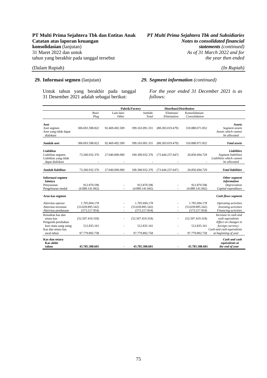(Dalam Rupiah) *(In Rupiah)* 

Untuk tahun yang berakhir pada tanggal 31 Desember 2021 adalah sebagai berikut:

**PT Multi Prima Sejahtera Tbk dan Entitas Anak** *PT Multi Prima Sejahtera Tbk and Subsidiaries* As of 31 March 2022 and for

### **29. Informasi segmen** (lanjutan) *29. Segment information (continued)*

*For the year ended 31 December 2021 is as follows:*

|                                                                              |                                                    |                     | Pabrik/Factory                                     | Distribusi/Distribution   |                                                    |                                                                                       |
|------------------------------------------------------------------------------|----------------------------------------------------|---------------------|----------------------------------------------------|---------------------------|----------------------------------------------------|---------------------------------------------------------------------------------------|
|                                                                              | Busi/<br>Plug                                      | Lain-lain/<br>Other | Jumlah/<br>Total                                   | Eliminasi/<br>Elimination | Konsolidasian/<br>Consolidation                    |                                                                                       |
| Aset<br>Aset segmen<br>Aset yang tidak dapat<br>dialokasi                    | 306.693.598.822                                    | 92.469.492.509      | 399.163.091.331                                    | (88.283.019.479)          | 310.880.071.852                                    | <b>Assets</b><br>Segment assets<br>Assets which cannot<br>be allocated                |
| <b>Jumlah</b> aset                                                           | 306.693.598.822                                    | 92.469.492.509      | 399.163.091.331                                    | (88.283.019.479)          | 310.880.071.852                                    | <b>Total assets</b>                                                                   |
| Liabilitas<br>Liabilitas segmen<br>Liabilitas yang tidak<br>dapat dialokasi  | 73.260.932.376                                     | 27.040.000.000      | 100.300.932.376                                    | (73.444.237.647)          | 26.856.694.729                                     | <b>Liabilities</b><br>Segment liabilities<br>Liabilities which cannot<br>be allocated |
| <b>Jumlah liabilitas</b>                                                     | 73.260.932.376                                     | 27.040.000.000      | 100.300.932.376                                    | (73.444.237.647)          | 26.856.694.729                                     | <b>Total liabilities</b>                                                              |
| Informasi segmen<br>lainnya<br>Penyusutan<br>Pengeluaran modal               | 912.870.596<br>(4.089.141.042)                     |                     | 912.870.596<br>(4.089.141.042)                     |                           | 912.870.596<br>(4.089.141.042)                     | Other segment<br>information<br>Depreciation<br>Capital expenditure                   |
| Arus kas segmen                                                              |                                                    |                     |                                                    |                           |                                                    | <b>Cash flows segment</b>                                                             |
| Aktivitas operasi<br>Aktivitas investasi<br>Aktivitas pendanaan              | 1.705.694.178<br>(53.639.895.542)<br>(573.217.954) |                     | 1.705.694.178<br>(53.639.895.542)<br>(573.217.954) |                           | 1.705.694.178<br>(53.639.895.542)<br>(573.217.954) | Operating activities<br>Investing activities<br>Financing activities                  |
| Kenaikan kas dan<br>setara kas<br>Pengaruh perubahan<br>kurs mata uang asing | (52.507.419.318)<br>512.835.161                    |                     | (52.507.419.318)<br>512.835.161                    |                           | (52.507.419.318)<br>512.835.161                    | Increase in cash and<br>cash equivalents<br>Effect on changes in<br>foreign currency  |
| Kas dan setara kas<br>awal tahun                                             | 97.779.892.758                                     |                     | 97.779.892.758                                     |                           | 97.779.892.758                                     | Cash and cash equivalents<br>at beginning of year                                     |
| Kas dan setara<br><b>Kas akhir</b><br>tahun                                  | 45.785.308.601                                     |                     | 45.785.308.601                                     |                           | 45.785.308.601                                     | Cash and cash<br>equivalents at<br>the end of year                                    |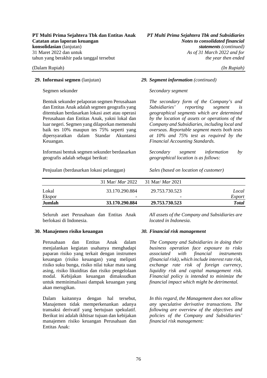Bentuk sekunder pelaporan segmen Perusahaan dan Entitas Anak adalah segmen geografis yang ditentukan berdasarkan lokasi aset atau operasi Perusahaan dan Entitas Anak, yakni lokal dan luar negeri. Segmen yang dilaporkan memenuhi baik tes 10% maupun tes 75% seperti yang dipersyaratkan dalam Standar Akuntansi Keuangan.

Informasi bentuk segmen sekunder berdasarkan geografis adalah sebagai berikut:

Penjualan (berdasarkan lokasi pelanggan) *Sales (based on location of customer)*

#### **29. Informasi segmen** (lanjutan) *29. Segment information (continued)*

#### Segmen sekunder *Secondary segment*

*The secondary form of the Company's and Subsidiaries' reporting segment is geographical segments which are determined by the location of assets or operations of the Company and Subsidiaries, including local and overseas. Reportable segment meets both tests at 10% and 75% test as required by the Financial Accounting Standards.*

*Secondary segment information by geographical location is as follows:*

|        | 31 Mar/ <i>Mar</i> 2022 | $-31$ Mar/ <i>Mar</i> 2021 |              |
|--------|-------------------------|----------------------------|--------------|
| Lokal  | 33.170.290.884          | 29.753.730.523             | Local        |
| Ekspor | -                       | $\overline{\phantom{0}}$   | Export       |
| Jumlah | 33.170.290.884          | 29.753.730.523             | <b>Total</b> |

Seluruh aset Perusahaan dan Entitas Anak berlokasi di Indonesia.

*All assets of the Company and Subsidiaries are located in Indonesia*.

### **30. Manajemen risiko keuangan** *30. Financial risk management*

Perusahaan dan Entitas Anak dalam menjalankan kegiatan usahanya menghadapi paparan risiko yang terkait dengan instrumen keuangan (risiko keuangan) yang meliputi risiko suku bunga, risiko nilai tukar mata uang asing, risiko likuiditas dan risiko pengelolaan modal. Kebijakan keuangan dimaksudkan untuk meminimalisasi dampak keuangan yang akan merugikan.

Dalam kaitannya dengan hal tersebut, Manajemen tidak memperkenankan adanya transaksi derivatif yang bertujuan spekulatif. Berikut ini adalah ikhtisar tujuan dan kebijakan manajemen risiko keuangan Perusahaan dan Entitas Anak:

*The Company and Subsidiaries in doing their business operation face exposure to risks associated with financial instruments (financial risk), which include interest rate risk, exchange rate risk of foreign currency, liquidity risk and capital management risk. Financial policy is intended to minimize the financial impact which might be detrimental.*

*In this regard, the Management does not allow any speculative derivative transactions. The following are overview of the objectives and policies of the Company and Subsidiaries' financial risk management:*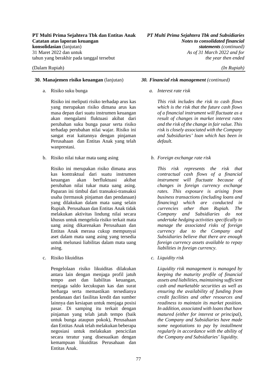#### **30. Manajemen risiko keuangan** (lanjutan) *30. Financial risk management (continued)*

a. Risiko suku bunga

Risiko ini meliputi risiko terhadap arus kas yang merupakan risiko dimana arus kas masa depan dari suatu instrumen keuangan akan mengalami fluktuasi akibat dari perubahan suku bunga pasar serta risiko terhadap perubahan nilai wajar. Risiko ini sangat erat kaitannya dengan pinjaman Perusahaan dan Entitas Anak yang telah wanprestasi.

b. Risiko nilai tukar mata uang asing

Risiko ini merupakan risiko dimana arus kas kontraktual dari suatu instrumen keuangan akan berfluktuasi akibat perubahan nilai tukar mata uang asing. Paparan ini timbul dari transaksi-transaksi usaha (termasuk pinjaman dan pendanaan) yang dilakukan dalam mata uang selain Rupiah. Perusahaan dan Entitas Anak tidak melakukan aktivitas lindung nilai secara khusus untuk mengelola risiko terkait mata uang asing dikarenakan Perusahaan dan Entitas Anak merasa cukup mempunyai aset dalam mata uang asing yang tersedia untuk melunasi liabilitas dalam mata uang asing.

c. Risiko likuiditas

Pengelolaan risiko likuiditas dilakukan antara lain dengan menjaga profil jatuh tempo aset dan liabilitas keuangan, menjaga saldo kecukupan kas dan surat berharga serta memastikan tersedianya pendanaan dari fasilitas kredit dan sumber lainnya dan kesiapan untuk menjaga posisi pasar. Di samping itu terkait dengan pinjaman yang telah jatuh tempo (baik untuk bunga ataupun pokok), Perusahaan dan Entitas Anak telah melakukan beberapa negosiasi untuk melakukan pencicilan secara teratur yang disesuaikan dengan kemampuan likuiditas Perusahaan dan Entitas Anak.

*a. Interest rate risk* 

*This risk includes the risk to cash flows which is the risk that the future cash flows of a financial instrument will fluctuate as a result of changes in market interest rates and the risk of the change in fair value. This risk is closely associated with the Company and Subsidiaries' loan which has been in default.* 

*b. Foreign exchange rate risk* 

*This risk represents the risk that contractual cash flows of a financial instrument will fluctuate because of changes in foreign currency exchange rates. This exposure is arising from business transactions (including loans and financing) which are conducted in currencies other than Rupiah. The Company and Subsidiaries do not undertake hedging activities specifically to manage the associated risks of foreign currency due to the Company and Subsidiaries believe that there are enough foreign currency assets available to repay liabilities in foreign currency.* 

*c. Liquidity risk* 

*Liquidity risk management is managed by keeping the maturity profile of financial assets and liabilities, maintaining sufficient cash and marketable securities as well as ensuring the availability of funding from credit facilities and other resources and readiness to maintain its market position. In addition, associated with loans that have matured (either for interest or principal), the Company and Subsidiaries have made some negotiations to pay by installment regularly in accordance with the ability of the Company and Subsidiaries' liquidity.*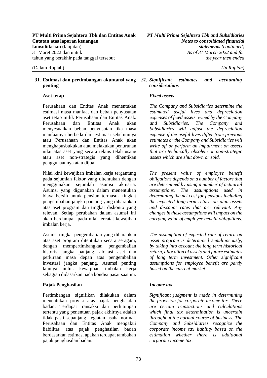## **penting**

Perusahaan dan Entitas Anak menentukan estimasi masa manfaat dan beban penyusutan aset tetap milik Perusahaan dan Entitas Anak. Perusahaan dan Entitas Anak akan menyesuaikan beban penyusutan jika masa manfaatnya berbeda dari estimasi sebelumnya atau Perusahaan dan Entitas Anak akan menghapusbukukan atau melakukan penurunan nilai atas aset yang secara teknis telah usang atau aset non-strategis yang dihentikan penggunaannya atau dijual.

Nilai kini kewajiban imbalan kerja tergantung pada sejumlah faktor yang ditentukan dengan menggunakan sejumlah asumsi aktuaria. Asumsi yang digunakan dalam menentukan biaya bersih untuk pensiun termasuk tingkat pengembalian jangka panjang yang diharapkan atas aset program dan tingkat diskonto yang relevan. Setiap perubahan dalam asumsi ini akan berdampak pada nilai tercatat kewajiban imbalan keria.

Asumsi tingkat pengembalian yang diharapkan atas aset program ditentukan secara seragam, dengan mempertimbangkan pengembalian historis jangka panjang, alokasi aset dan perkiraan masa depan atas pengembalian investasi jangka panjang. Asumsi penting lainnya untuk kewajiban imbalan kerja sebagian didasarkan pada kondisi pasar saat ini.

### **Pajak Penghasilan** *Income tax*

Pertimbangan signifikan dilakukan dalam menentukan provisi atas pajak penghasilan badan. Terdapat transaksi dan perhitungan tertentu yang penentuan pajak akhirnya adalah tidak pasti sepanjang kegiatan usaha normal. Perusahaan dan Entitas Anak mengakui liabilitas atas pajak penghasilan badan berdasarkan estimasi apakah terdapat tambahan pajak penghasilan badan.

### **31. Estimasi dan pertimbangan akuntansi yang**  *31. Significant estimates and accounting considerations*

### **Aset tetap** *Fixed assets*

*The Company and Subsidiaries determine the estimated useful lives and depreciation expenses of fixed assets owned by the Company and Subsidiaries. The Company and Subsidiaries will adjust the depreciation expense if the useful lives differ from previous estimates or the Company and Subsidiaries will write off or perform an impairment on assets that are technically obsolete or non-strategic assets which are shut down or sold.*

*The present value of employee benefit obligations depends on a number of factors that are determined by using a number of actuarial assumptions. The assumptions used in determining the net cost for pensions including the expected long-term return on plan assets and discount rates that are relevant. Any changes in these assumptions will impact on the carrying value of employee benefit obligations.*

*The assumption of expected rate of return on asset program is determined simultaneously, by taking into account the long term historical return, allocation of assets and future estimates of long term investment. Other significant assumptions for employee benefit are partly based on the current market.* 

*Significant judgment is made in determining the provision for corporate income tax. There are certain transactions and calculations which final tax determination is uncertain throughout the normal course of business. The Company and Subsidiaries recognize the corporate income tax liability based on the estimation whether there is additional corporate income tax.*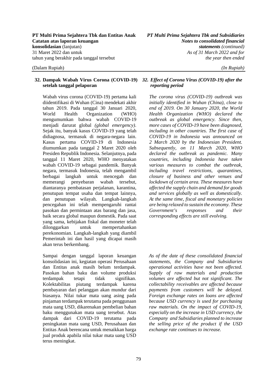#### **32. Dampak Wabah Virus Corona (COVID-19)**  *32. Effect of Corona Virus (COVID-19) after the*  **setelah tanggal pelaporan**

Wabah virus corona (COVID-19) pertama kali diidentifikasi di Wuhan (Cina) mendekati akhir tahun 2019. Pada tanggal 30 Januari 2020, World Health Organization (WHO) mengumumkan bahwa wabah COVID-19 menjadi darurat global *(global emergency)*. Sejak itu, banyak kasus COVID-19 yang telah didiagnosa, termasuk di negara-negara lain. Kasus pertama COVID-19 di Indonesia diumumkan pada tanggal 2 Maret 2020 oleh Presiden Republik Indonesia. Selanjutnya, pada tanggal 11 Maret 2020, WHO menyatakan wabah COVID-19 sebagai pandemik. Banyak negara, termasuk Indonesia, telah mengambil berbagai langkah untuk mencegah dan memerangi penyebaran wabah tersebut, diantaranya pembatasan perjalanan, karantina, penutupan tempat usaha dan tempat lainnya, dan penutupan wilayah. Langkah-langkah pencegahan ini telah mempengaruhi rantai pasokan dan permintaan atas barang dan jasa, baik secara global maupun domestik. Pada saat yang sama, kebijakan fiskal dan moneter telah dilonggarkan untuk mempertahankan perekonomian. Langkah-langkah yang diambil Pemerintah ini dan hasil yang dicapai masih akan terus berkembang.

Sampai dengan tanggal laporan keuangan konsolidasian ini, kegiatan operasi Perusahaan dan Entitas anak masih belum terdampak. Pasokan bahan baku dan volume produksi terdampak tetapi tidak signifikan. Kolektabilitas piutang terdampak karena pembayaran dari pelanggan akan mundur dari biasanya. Nilai tukar mata uang asing pada pinjaman terdampak terutama pada penggunaan mata uang USD, dikarenakan pembelian bahan baku menggunakan mata uang tersebut. Atas dampak dari COVID-19 terutama pada peningkatan mata uang USD, Perusahaan dan Entitas Anak berencana untuk menaikkan harga jual produk apabila nilai tukar mata uang USD terus meningkat.

# *reporting period*

*The corona virus (COVID-19) outbreak was initially identified in Wuhan (China), close to end of 2019. On 30 January 2020, the World Health Organization (WHO) declared the outbreak as global emergency. Since then, more cases of COVID-19 have been diagnosed, including in other countries. The first case of COVID-19 in Indonesia was announced on 2 March 2020 by the Indonesian President. Subsequently, on 11 March 2020, WHO declared the outbreak as pandemic. Many countries, including Indonesia have taken various measures to combat the outbreak, including travel restrictions, quarantines, closure of business and other venues and lockdown of certain area. These measures have affected the supply chain and demand for goods and services globally as well as domestically. At the same time, fiscal and monetary policies are being relaxed to sustain the economy. These Government's responses and their corresponding effects are still evolving.* 

*As of the date of these consolidated financial statements, the Company and Subsidiaries operational activities have not been affected. Supply of raw materials and production volumes are affected but not significant. The collectability receivables are affected because payments from customers will be delayed. Foreign exchange rates on loans are affected because USD currency is used for purchasing raw materials. On the impact of COVID-19, especially on the increase in USD currency, the Company and Subsidiaries planned to increase the selling price of the product if the USD exchange rate continues to increase.*